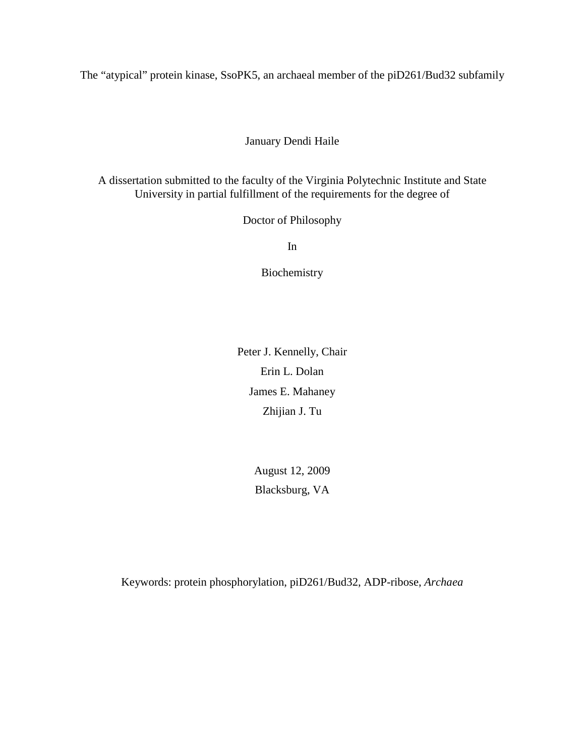The "atypical" protein kinase, SsoPK5, an archaeal member of the piD261/Bud32 subfamily

### January Dendi Haile

A dissertation submitted to the faculty of the Virginia Polytechnic Institute and State University in partial fulfillment of the requirements for the degree of

Doctor of Philosophy

In

Biochemistry

Peter J. Kennelly, Chair Erin L. Dolan James E. Mahaney Zhijian J. Tu

> August 12, 2009 Blacksburg, VA

Keywords: protein phosphorylation, piD261/Bud32, ADP-ribose, *Archaea*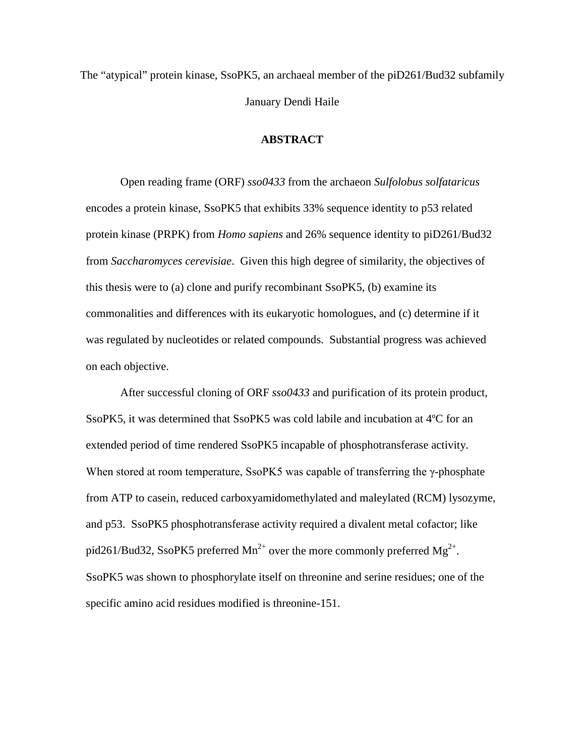The "atypical" protein kinase, SsoPK5, an archaeal member of the piD261/Bud32 subfamily January Dendi Haile

#### **ABSTRACT**

Open reading frame (ORF) *sso0433* from the archaeon *Sulfolobus solfataricus* encodes a protein kinase, SsoPK5 that exhibits 33% sequence identity to p53 related protein kinase (PRPK) from *Homo sapiens* and 26% sequence identity to piD261/Bud32 from *Saccharomyces cerevisiae*. Given this high degree of similarity, the objectives of this thesis were to (a) clone and purify recombinant SsoPK5, (b) examine its commonalities and differences with its eukaryotic homologues, and (c) determine if it was regulated by nucleotides or related compounds. Substantial progress was achieved on each objective.

After successful cloning of ORF *sso0433* and purification of its protein product, SsoPK5, it was determined that SsoPK5 was cold labile and incubation at 4ºC for an extended period of time rendered SsoPK5 incapable of phosphotransferase activity. When stored at room temperature, SsoPK5 was capable of transferring the γ-phosphate from ATP to casein, reduced carboxyamidomethylated and maleylated (RCM) lysozyme, and p53. SsoPK5 phosphotransferase activity required a divalent metal cofactor; like pid261/Bud32, SsoPK5 preferred  $Mn^{2+}$  over the more commonly preferred  $Mg^{2+}$ . SsoPK5 was shown to phosphorylate itself on threonine and serine residues; one of the specific amino acid residues modified is threonine-151.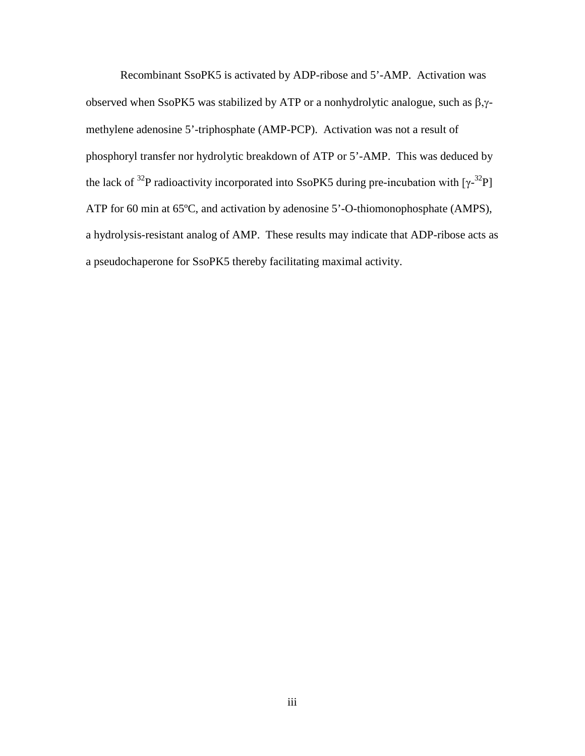Recombinant SsoPK5 is activated by ADP-ribose and 5'-AMP. Activation was observed when SsoPK5 was stabilized by ATP or a nonhydrolytic analogue, such as β,γmethylene adenosine 5'-triphosphate (AMP-PCP). Activation was not a result of phosphoryl transfer nor hydrolytic breakdown of ATP or 5'-AMP. This was deduced by the lack of <sup>32</sup>P radioactivity incorporated into SsoPK5 during pre-incubation with  $[\gamma^{32}P]$ ATP for 60 min at 65ºC, and activation by adenosine 5'-O-thiomonophosphate (AMPS), a hydrolysis-resistant analog of AMP. These results may indicate that ADP-ribose acts as a pseudochaperone for SsoPK5 thereby facilitating maximal activity.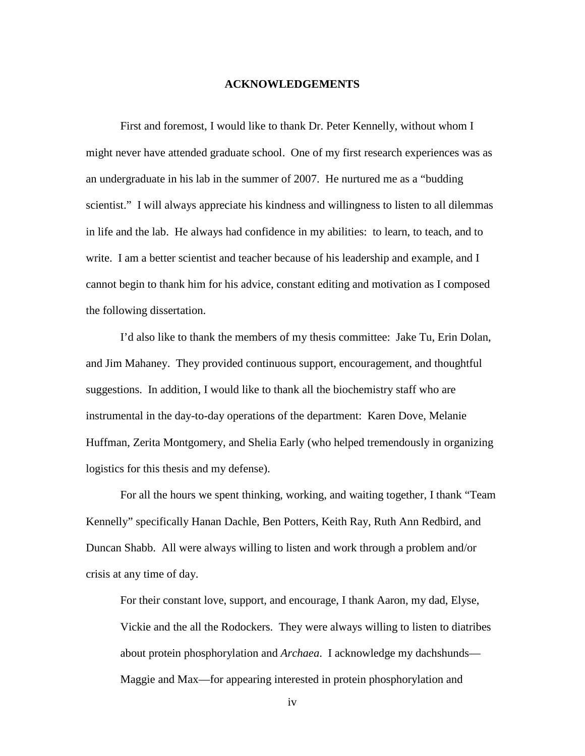#### **ACKNOWLEDGEMENTS**

First and foremost, I would like to thank Dr. Peter Kennelly, without whom I might never have attended graduate school. One of my first research experiences was as an undergraduate in his lab in the summer of 2007. He nurtured me as a "budding scientist." I will always appreciate his kindness and willingness to listen to all dilemmas in life and the lab. He always had confidence in my abilities: to learn, to teach, and to write. I am a better scientist and teacher because of his leadership and example, and I cannot begin to thank him for his advice, constant editing and motivation as I composed the following dissertation.

I'd also like to thank the members of my thesis committee: Jake Tu, Erin Dolan, and Jim Mahaney. They provided continuous support, encouragement, and thoughtful suggestions. In addition, I would like to thank all the biochemistry staff who are instrumental in the day-to-day operations of the department: Karen Dove, Melanie Huffman, Zerita Montgomery, and Shelia Early (who helped tremendously in organizing logistics for this thesis and my defense).

For all the hours we spent thinking, working, and waiting together, I thank "Team Kennelly" specifically Hanan Dachle, Ben Potters, Keith Ray, Ruth Ann Redbird, and Duncan Shabb. All were always willing to listen and work through a problem and/or crisis at any time of day.

For their constant love, support, and encourage, I thank Aaron, my dad, Elyse, Vickie and the all the Rodockers. They were always willing to listen to diatribes about protein phosphorylation and *Archaea*. I acknowledge my dachshunds— Maggie and Max—for appearing interested in protein phosphorylation and

iv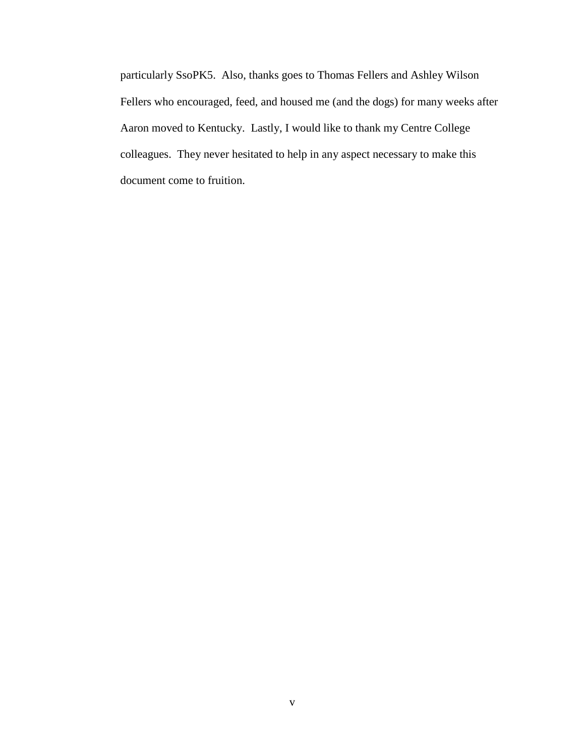particularly SsoPK5. Also, thanks goes to Thomas Fellers and Ashley Wilson Fellers who encouraged, feed, and housed me (and the dogs) for many weeks after Aaron moved to Kentucky. Lastly, I would like to thank my Centre College colleagues. They never hesitated to help in any aspect necessary to make this document come to fruition.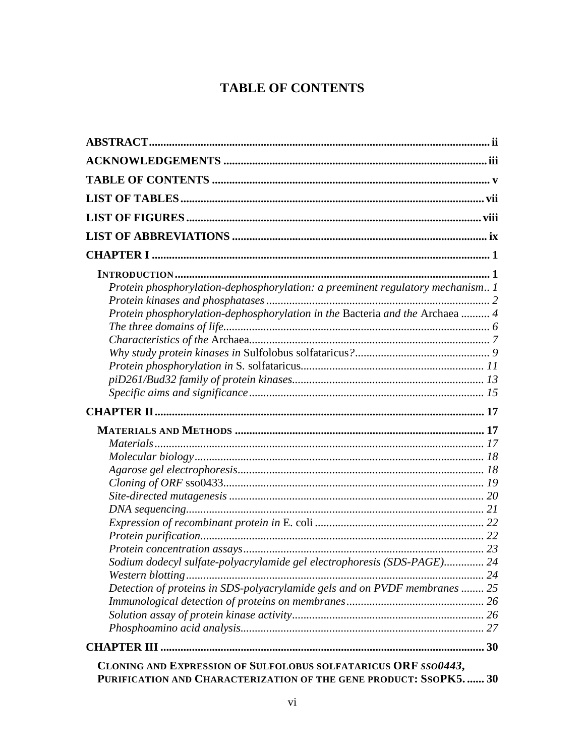# **TABLE OF CONTENTS**

| Protein phosphorylation-dephosphorylation: a preeminent regulatory mechanism 1<br>Protein phosphorylation-dephosphorylation in the Bacteria and the Archaea  4 |  |
|----------------------------------------------------------------------------------------------------------------------------------------------------------------|--|
|                                                                                                                                                                |  |
|                                                                                                                                                                |  |
|                                                                                                                                                                |  |
|                                                                                                                                                                |  |
|                                                                                                                                                                |  |
|                                                                                                                                                                |  |
|                                                                                                                                                                |  |
|                                                                                                                                                                |  |
|                                                                                                                                                                |  |
|                                                                                                                                                                |  |
| Sodium dodecyl sulfate-polyacrylamide gel electrophoresis (SDS-PAGE) 24                                                                                        |  |
| Western blotting                                                                                                                                               |  |
| Detection of proteins in SDS-polyacrylamide gels and on PVDF membranes  25                                                                                     |  |
|                                                                                                                                                                |  |
|                                                                                                                                                                |  |
|                                                                                                                                                                |  |
|                                                                                                                                                                |  |
| CLONING AND EXPRESSION OF SULFOLOBUS SOLFATARICUS ORF SSO0443,<br>PURIFICATION AND CHARACTERIZATION OF THE GENE PRODUCT: SSOPK5 30                             |  |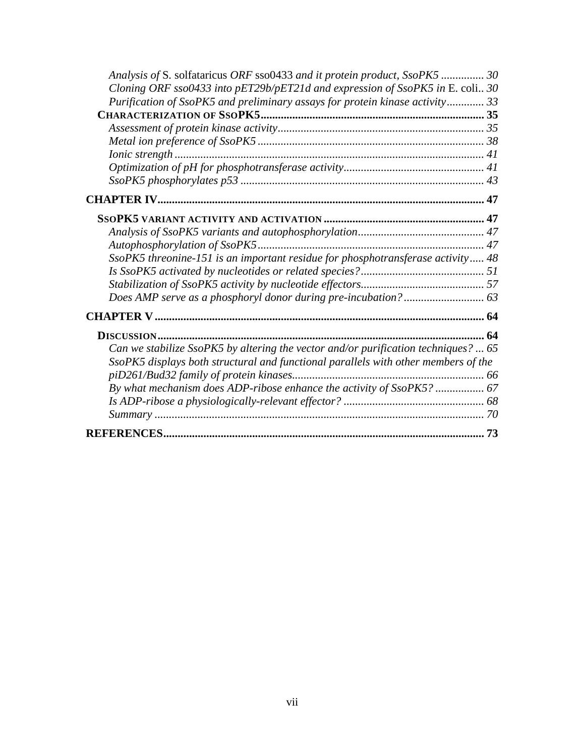| Analysis of S. solfataricus ORF sso0433 and it protein product, SsoPK5  30         |  |
|------------------------------------------------------------------------------------|--|
| Cloning ORF sso0433 into pET29b/pET21d and expression of SsoPK5 in E. coli 30      |  |
| Purification of SsoPK5 and preliminary assays for protein kinase activity 33       |  |
|                                                                                    |  |
|                                                                                    |  |
|                                                                                    |  |
|                                                                                    |  |
|                                                                                    |  |
|                                                                                    |  |
|                                                                                    |  |
|                                                                                    |  |
|                                                                                    |  |
|                                                                                    |  |
| SsoPK5 threonine-151 is an important residue for phosphotransferase activity 48    |  |
|                                                                                    |  |
|                                                                                    |  |
|                                                                                    |  |
|                                                                                    |  |
|                                                                                    |  |
| Can we stabilize SsoPK5 by altering the vector and/or purification techniques?  65 |  |
| SsoPK5 displays both structural and functional parallels with other members of the |  |
|                                                                                    |  |
| By what mechanism does ADP-ribose enhance the activity of SsoPK5?  67              |  |
|                                                                                    |  |
|                                                                                    |  |
|                                                                                    |  |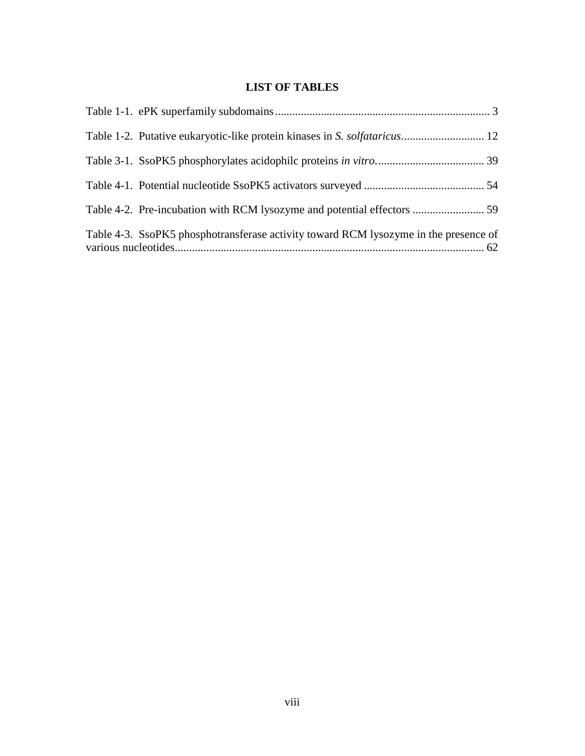# **LIST OF TABLES**

| Table 4-3. SsoPK5 phosphotransferase activity toward RCM lysozyme in the presence of |  |
|--------------------------------------------------------------------------------------|--|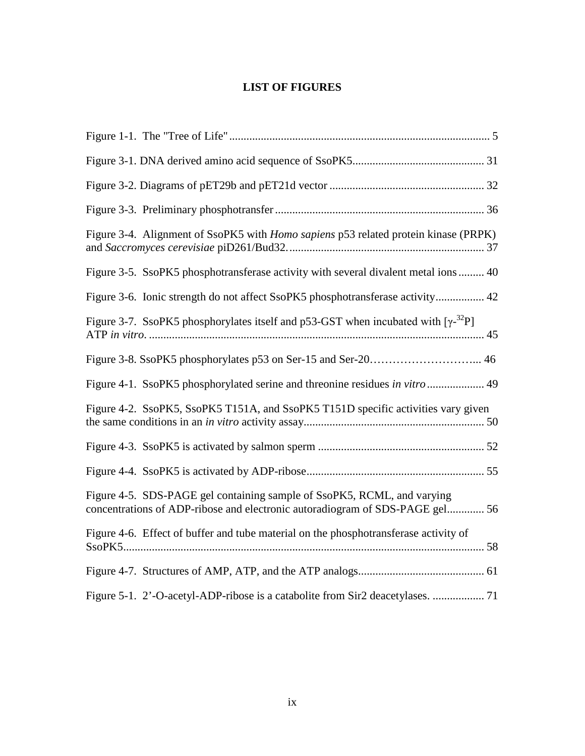# **LIST OF FIGURES**

| Figure 3-4. Alignment of SsoPK5 with <i>Homo sapiens</i> p53 related protein kinase (PRPK)                                                              |
|---------------------------------------------------------------------------------------------------------------------------------------------------------|
| Figure 3-5. SsoPK5 phosphotransferase activity with several divalent metal ions  40                                                                     |
| Figure 3-6. Ionic strength do not affect SsoPK5 phosphotransferase activity 42                                                                          |
| Figure 3-7. SsoPK5 phosphorylates itself and p53-GST when incubated with $[\gamma^{32}P]$                                                               |
|                                                                                                                                                         |
| Figure 4-1. SsoPK5 phosphorylated serine and threonine residues in vitro  49                                                                            |
| Figure 4-2. SsoPK5, SsoPK5 T151A, and SsoPK5 T151D specific activities vary given                                                                       |
|                                                                                                                                                         |
|                                                                                                                                                         |
| Figure 4-5. SDS-PAGE gel containing sample of SsoPK5, RCML, and varying<br>concentrations of ADP-ribose and electronic autoradiogram of SDS-PAGE gel 56 |
| Figure 4-6. Effect of buffer and tube material on the phosphotransferase activity of                                                                    |
|                                                                                                                                                         |
|                                                                                                                                                         |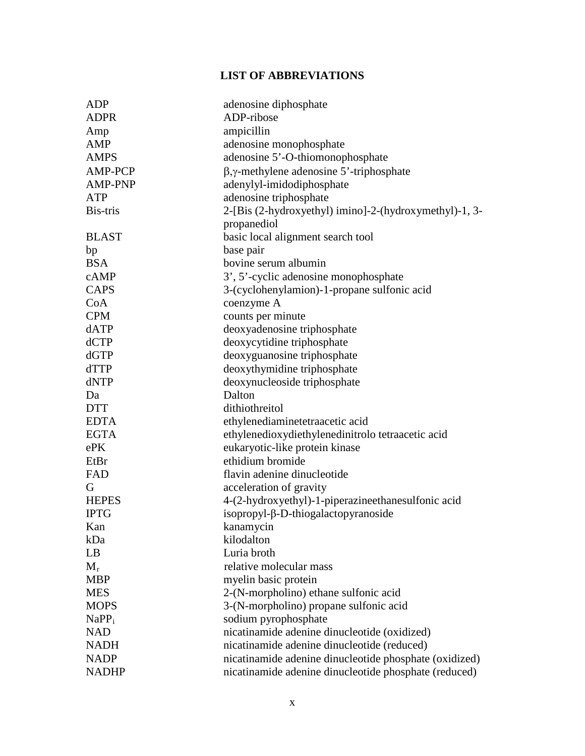# **LIST OF ABBREVIATIONS**

| <b>ADP</b>     | adenosine diphosphate                                   |
|----------------|---------------------------------------------------------|
| <b>ADPR</b>    | ADP-ribose                                              |
| Amp            | ampicillin                                              |
| AMP            | adenosine monophosphate                                 |
| <b>AMPS</b>    | adenosine 5'-O-thiomonophosphate                        |
| <b>AMP-PCP</b> | $\beta$ , $\gamma$ -methylene adenosine 5'-triphosphate |
| <b>AMP-PNP</b> | adenylyl-imidodiphosphate                               |
| <b>ATP</b>     | adenosine triphosphate                                  |
| Bis-tris       | 2-[Bis (2-hydroxyethyl) imino]-2-(hydroxymethyl)-1, 3-  |
|                | propanediol                                             |
| <b>BLAST</b>   | basic local alignment search tool                       |
| bp             | base pair                                               |
| <b>BSA</b>     | bovine serum albumin                                    |
| cAMP           | 3', 5'-cyclic adenosine monophosphate                   |
| <b>CAPS</b>    | 3-(cyclohenylamion)-1-propane sulfonic acid             |
| CoA            | coenzyme A                                              |
| <b>CPM</b>     | counts per minute                                       |
| dATP           | deoxyadenosine triphosphate                             |
| dCTP           | deoxycytidine triphosphate                              |
| dGTP           | deoxyguanosine triphosphate                             |
| dTTP           | deoxythymidine triphosphate                             |
| dNTP           | deoxynucleoside triphosphate                            |
| Da             | Dalton                                                  |
| <b>DTT</b>     | dithiothreitol                                          |
| <b>EDTA</b>    | ethylenediaminetetraacetic acid                         |
| <b>EGTA</b>    | ethylenedioxydiethylenedinitrolo tetraacetic acid       |
| ePK            | eukaryotic-like protein kinase                          |
| EtBr           | ethidium bromide                                        |
| FAD            | flavin adenine dinucleotide                             |
| G              | acceleration of gravity                                 |
| <b>HEPES</b>   | 4-(2-hydroxyethyl)-1-piperazineethanesulfonic acid      |
| <b>IPTG</b>    | isopropyl- $\beta$ -D-thiogalactopyranoside             |
| Kan            | kanamycin                                               |
| kDa            | kilodalton                                              |
| LB             | Luria broth                                             |
| $M_r$          | relative molecular mass                                 |
| <b>MBP</b>     | myelin basic protein                                    |
| <b>MES</b>     | 2-(N-morpholino) ethane sulfonic acid                   |
| <b>MOPS</b>    | 3-(N-morpholino) propane sulfonic acid                  |
| $NaPP_i$       | sodium pyrophosphate                                    |
| <b>NAD</b>     | nicatinamide adenine dinucleotide (oxidized)            |
| <b>NADH</b>    | nicatinamide adenine dinucleotide (reduced)             |
| <b>NADP</b>    | nicatinamide adenine dinucleotide phosphate (oxidized)  |
| <b>NADHP</b>   | nicatinamide adenine dinucleotide phosphate (reduced)   |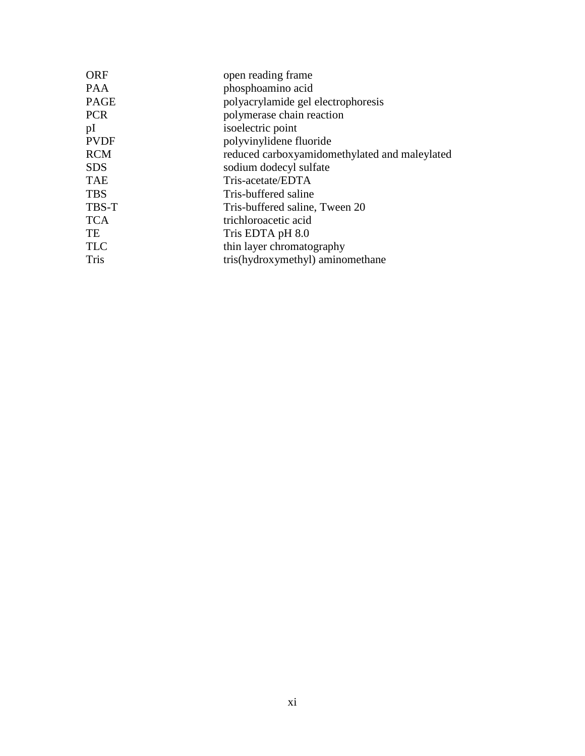| <b>ORF</b>  | open reading frame                            |
|-------------|-----------------------------------------------|
| <b>PAA</b>  | phosphoamino acid                             |
| <b>PAGE</b> | polyacrylamide gel electrophoresis            |
| <b>PCR</b>  | polymerase chain reaction                     |
| pI          | isoelectric point                             |
| <b>PVDF</b> | polyvinylidene fluoride                       |
| <b>RCM</b>  | reduced carboxyamidomethylated and maleylated |
| <b>SDS</b>  | sodium dodecyl sulfate                        |
| <b>TAE</b>  | Tris-acetate/EDTA                             |
| <b>TBS</b>  | Tris-buffered saline                          |
| TBS-T       | Tris-buffered saline, Tween 20                |
| <b>TCA</b>  | trichloroacetic acid                          |
| TE          | Tris EDTA pH 8.0                              |
| <b>TLC</b>  | thin layer chromatography                     |
| <b>Tris</b> | tris(hydroxymethyl) aminomethane              |
|             |                                               |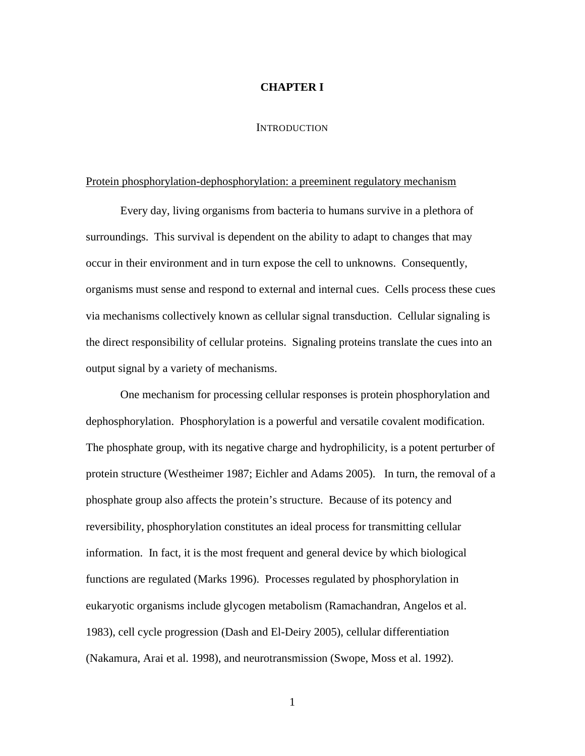#### **CHAPTER I**

#### **INTRODUCTION**

#### Protein phosphorylation-dephosphorylation: a preeminent regulatory mechanism

Every day, living organisms from bacteria to humans survive in a plethora of surroundings. This survival is dependent on the ability to adapt to changes that may occur in their environment and in turn expose the cell to unknowns. Consequently, organisms must sense and respond to external and internal cues. Cells process these cues via mechanisms collectively known as cellular signal transduction. Cellular signaling is the direct responsibility of cellular proteins. Signaling proteins translate the cues into an output signal by a variety of mechanisms.

One mechanism for processing cellular responses is protein phosphorylation and dephosphorylation. Phosphorylation is a powerful and versatile covalent modification. The phosphate group, with its negative charge and hydrophilicity, is a potent perturber of protein structure (Westheimer 1987; Eichler and Adams 2005). In turn, the removal of a phosphate group also affects the protein's structure. Because of its potency and reversibility, phosphorylation constitutes an ideal process for transmitting cellular information. In fact, it is the most frequent and general device by which biological functions are regulated (Marks 1996). Processes regulated by phosphorylation in eukaryotic organisms include glycogen metabolism (Ramachandran, Angelos et al. 1983), cell cycle progression (Dash and El-Deiry 2005), cellular differentiation (Nakamura, Arai et al. 1998), and neurotransmission (Swope, Moss et al. 1992).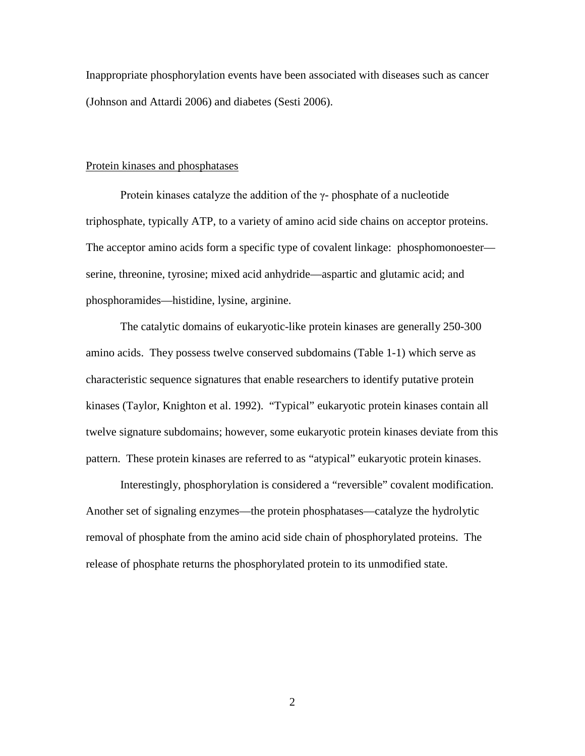Inappropriate phosphorylation events have been associated with diseases such as cancer (Johnson and Attardi 2006) and diabetes (Sesti 2006).

#### Protein kinases and phosphatases

Protein kinases catalyze the addition of the  $\gamma$ - phosphate of a nucleotide triphosphate, typically ATP, to a variety of amino acid side chains on acceptor proteins. The acceptor amino acids form a specific type of covalent linkage: phosphomonoester serine, threonine, tyrosine; mixed acid anhydride—aspartic and glutamic acid; and phosphoramides—histidine, lysine, arginine.

The catalytic domains of eukaryotic-like protein kinases are generally 250-300 amino acids. They possess twelve conserved subdomains (Table 1-1) which serve as characteristic sequence signatures that enable researchers to identify putative protein kinases (Taylor, Knighton et al. 1992). "Typical" eukaryotic protein kinases contain all twelve signature subdomains; however, some eukaryotic protein kinases deviate from this pattern. These protein kinases are referred to as "atypical" eukaryotic protein kinases.

Interestingly, phosphorylation is considered a "reversible" covalent modification. Another set of signaling enzymes—the protein phosphatases—catalyze the hydrolytic removal of phosphate from the amino acid side chain of phosphorylated proteins. The release of phosphate returns the phosphorylated protein to its unmodified state.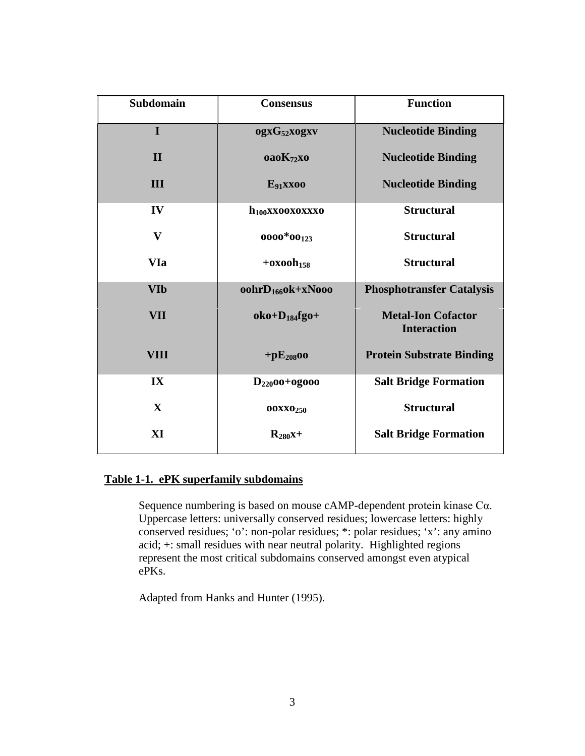| <b>Subdomain</b> | <b>Consensus</b>            | <b>Function</b>                                 |
|------------------|-----------------------------|-------------------------------------------------|
| $\mathbf I$      | ogxG <sub>52</sub> xogxv    | <b>Nucleotide Binding</b>                       |
| $\mathbf{I}$     | oaoK <sub>72</sub> xo       | <b>Nucleotide Binding</b>                       |
| <b>III</b>       | $E_{91}$ XXOO               | <b>Nucleotide Binding</b>                       |
| IV               | $h_{100}$ xxooxoxxxo        | <b>Structural</b>                               |
| $\mathbf{V}$     | $0000*00_{123}$             | <b>Structural</b>                               |
| <b>VIa</b>       | $+$ oxoo $h$ <sub>158</sub> | <b>Structural</b>                               |
| <b>VIb</b>       | $oohrD_{166}$ ok+xNooo      | <b>Phosphotransfer Catalysis</b>                |
| <b>VII</b>       | $oko+D_{184}fgo+$           | <b>Metal-Ion Cofactor</b><br><b>Interaction</b> |
| <b>VIII</b>      | $+pE_{208}$ 00              | <b>Protein Substrate Binding</b>                |
| IX               | $D_{220}$ 00+0g000          | <b>Salt Bridge Formation</b>                    |
| $\mathbf{X}$     | <b>OOXXO250</b>             | <b>Structural</b>                               |
| XI               | $R_{280}x+$                 | <b>Salt Bridge Formation</b>                    |

## **Table 1-1. ePK superfamily subdomains**

Sequence numbering is based on mouse cAMP-dependent protein kinase Cα. Uppercase letters: universally conserved residues; lowercase letters: highly conserved residues; 'o': non-polar residues; \*: polar residues; 'x': any amino acid; +: small residues with near neutral polarity. Highlighted regions represent the most critical subdomains conserved amongst even atypical ePKs.

Adapted from Hanks and Hunter (1995).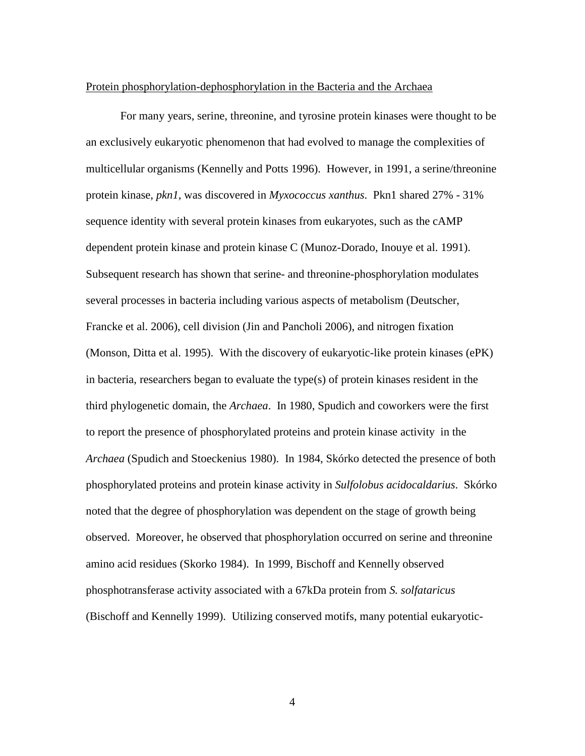#### Protein phosphorylation-dephosphorylation in the Bacteria and the Archaea

For many years, serine, threonine, and tyrosine protein kinases were thought to be an exclusively eukaryotic phenomenon that had evolved to manage the complexities of multicellular organisms (Kennelly and Potts 1996). However, in 1991, a serine/threonine protein kinase, *pkn1*, was discovered in *Myxococcus xanthus*. Pkn1 shared 27% - 31% sequence identity with several protein kinases from eukaryotes, such as the cAMP dependent protein kinase and protein kinase C (Munoz-Dorado, Inouye et al. 1991). Subsequent research has shown that serine- and threonine-phosphorylation modulates several processes in bacteria including various aspects of metabolism (Deutscher, Francke et al. 2006), cell division (Jin and Pancholi 2006), and nitrogen fixation (Monson, Ditta et al. 1995). With the discovery of eukaryotic-like protein kinases (ePK) in bacteria, researchers began to evaluate the type(s) of protein kinases resident in the third phylogenetic domain, the *Archaea*. In 1980, Spudich and coworkers were the first to report the presence of phosphorylated proteins and protein kinase activity in the *Archaea* (Spudich and Stoeckenius 1980). In 1984, Skórko detected the presence of both phosphorylated proteins and protein kinase activity in *Sulfolobus acidocaldarius*. Skórko noted that the degree of phosphorylation was dependent on the stage of growth being observed. Moreover, he observed that phosphorylation occurred on serine and threonine amino acid residues (Skorko 1984). In 1999, Bischoff and Kennelly observed phosphotransferase activity associated with a 67kDa protein from *S. solfataricus* (Bischoff and Kennelly 1999). Utilizing conserved motifs, many potential eukaryotic-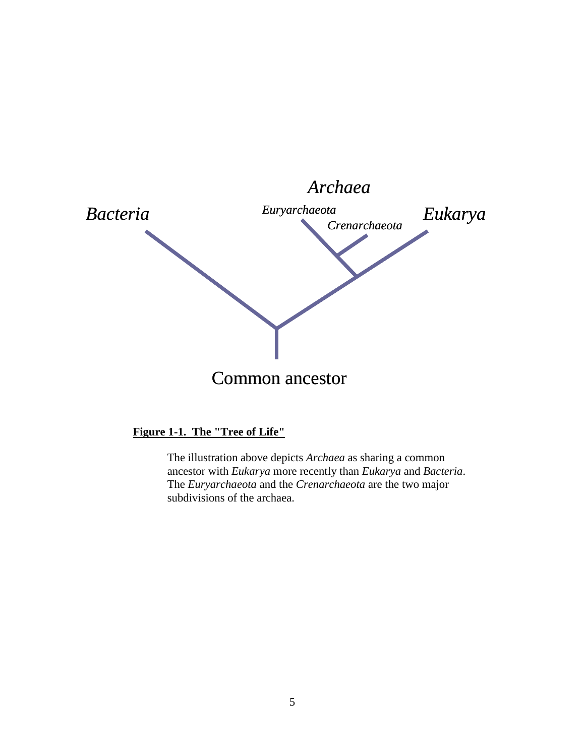

# **Figure 1-1. The "Tree of Life"**

The illustration above depicts *Archaea* as sharing a common ancestor with *Eukarya* more recently than *Eukarya* and *Bacteria*. The *Euryarchaeota* and the *Crenarchaeota* are the two major subdivisions of the archaea.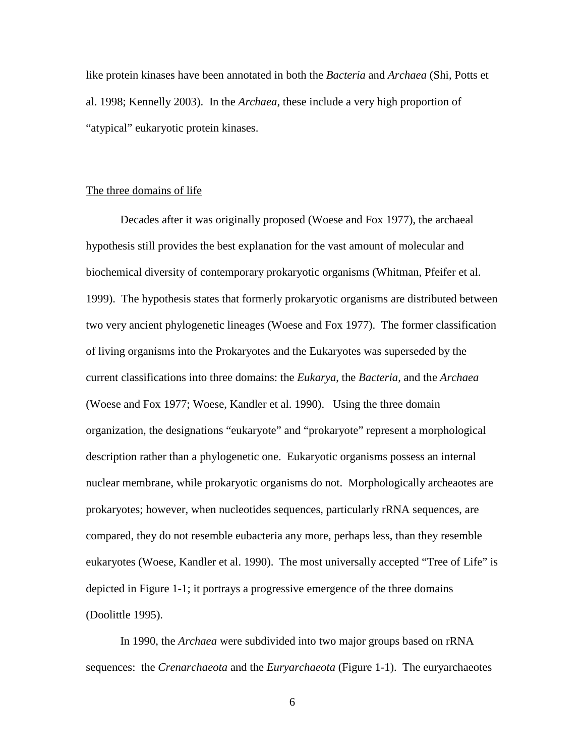like protein kinases have been annotated in both the *Bacteria* and *Archaea* (Shi, Potts et al. 1998; Kennelly 2003). In the *Archaea*, these include a very high proportion of "atypical" eukaryotic protein kinases.

#### The three domains of life

Decades after it was originally proposed (Woese and Fox 1977), the archaeal hypothesis still provides the best explanation for the vast amount of molecular and biochemical diversity of contemporary prokaryotic organisms (Whitman, Pfeifer et al. 1999). The hypothesis states that formerly prokaryotic organisms are distributed between two very ancient phylogenetic lineages (Woese and Fox 1977). The former classification of living organisms into the Prokaryotes and the Eukaryotes was superseded by the current classifications into three domains: the *Eukarya*, the *Bacteria*, and the *Archaea*  (Woese and Fox 1977; Woese, Kandler et al. 1990). Using the three domain organization, the designations "eukaryote" and "prokaryote" represent a morphological description rather than a phylogenetic one. Eukaryotic organisms possess an internal nuclear membrane, while prokaryotic organisms do not. Morphologically archeaotes are prokaryotes; however, when nucleotides sequences, particularly rRNA sequences, are compared, they do not resemble eubacteria any more, perhaps less, than they resemble eukaryotes (Woese, Kandler et al. 1990). The most universally accepted "Tree of Life" is depicted in Figure 1-1; it portrays a progressive emergence of the three domains (Doolittle 1995).

In 1990, the *Archaea* were subdivided into two major groups based on rRNA sequences: the *Crenarchaeota* and the *Euryarchaeota* (Figure 1-1). The euryarchaeotes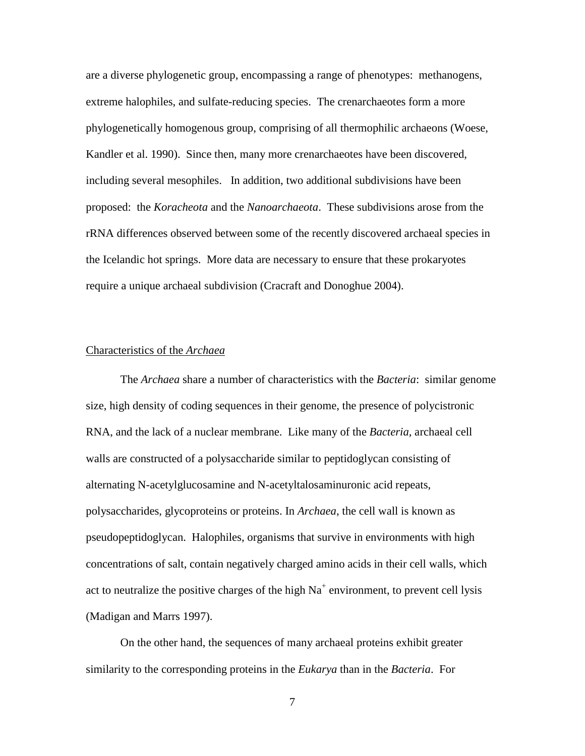are a diverse phylogenetic group, encompassing a range of phenotypes: methanogens, extreme halophiles, and sulfate-reducing species. The crenarchaeotes form a more phylogenetically homogenous group, comprising of all thermophilic archaeons (Woese, Kandler et al. 1990). Since then, many more crenarchaeotes have been discovered, including several mesophiles. In addition, two additional subdivisions have been proposed: the *Koracheota* and the *Nanoarchaeota*. These subdivisions arose from the rRNA differences observed between some of the recently discovered archaeal species in the Icelandic hot springs. More data are necessary to ensure that these prokaryotes require a unique archaeal subdivision (Cracraft and Donoghue 2004).

#### Characteristics of the *Archaea*

The *Archaea* share a number of characteristics with the *Bacteria*: similar genome size, high density of coding sequences in their genome, the presence of polycistronic RNA, and the lack of a nuclear membrane. Like many of the *Bacteria*, archaeal cell walls are constructed of a polysaccharide similar to peptidoglycan consisting of alternating N-acetylglucosamine and N-acetyltalosaminuronic acid repeats, polysaccharides, glycoproteins or proteins. In *Archaea*, the cell wall is known as pseudopeptidoglycan. Halophiles, organisms that survive in environments with high concentrations of salt, contain negatively charged amino acids in their cell walls, which act to neutralize the positive charges of the high  $Na<sup>+</sup>$  environment, to prevent cell lysis (Madigan and Marrs 1997).

On the other hand, the sequences of many archaeal proteins exhibit greater similarity to the corresponding proteins in the *Eukarya* than in the *Bacteria*. For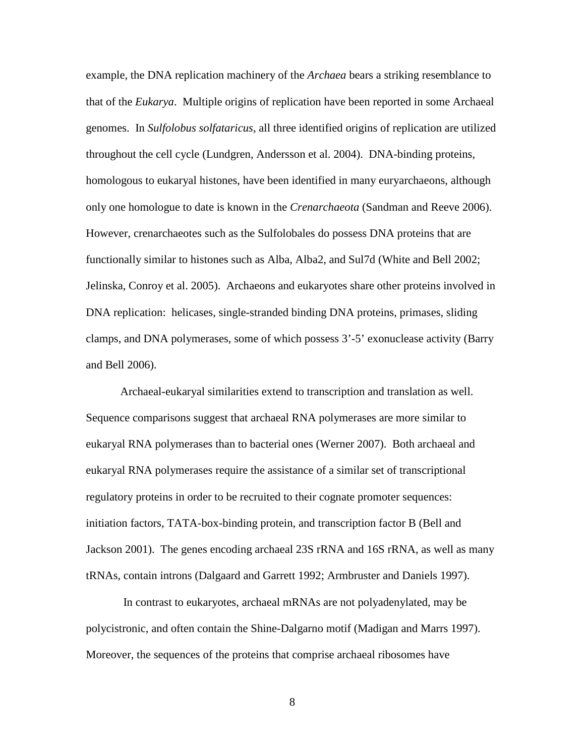example, the DNA replication machinery of the *Archaea* bears a striking resemblance to that of the *Eukarya*. Multiple origins of replication have been reported in some Archaeal genomes. In *Sulfolobus solfataricus*, all three identified origins of replication are utilized throughout the cell cycle (Lundgren, Andersson et al. 2004). DNA-binding proteins, homologous to eukaryal histones, have been identified in many euryarchaeons, although only one homologue to date is known in the *Crenarchaeota* (Sandman and Reeve 2006). However, crenarchaeotes such as the Sulfolobales do possess DNA proteins that are functionally similar to histones such as Alba, Alba2, and Sul7d (White and Bell 2002; Jelinska, Conroy et al. 2005). Archaeons and eukaryotes share other proteins involved in DNA replication: helicases, single-stranded binding DNA proteins, primases, sliding clamps, and DNA polymerases, some of which possess 3'-5' exonuclease activity (Barry and Bell 2006).

Archaeal-eukaryal similarities extend to transcription and translation as well. Sequence comparisons suggest that archaeal RNA polymerases are more similar to eukaryal RNA polymerases than to bacterial ones (Werner 2007). Both archaeal and eukaryal RNA polymerases require the assistance of a similar set of transcriptional regulatory proteins in order to be recruited to their cognate promoter sequences: initiation factors, TATA-box-binding protein, and transcription factor B (Bell and Jackson 2001). The genes encoding archaeal 23S rRNA and 16S rRNA, as well as many tRNAs, contain introns (Dalgaard and Garrett 1992; Armbruster and Daniels 1997).

In contrast to eukaryotes, archaeal mRNAs are not polyadenylated, may be polycistronic, and often contain the Shine-Dalgarno motif (Madigan and Marrs 1997). Moreover, the sequences of the proteins that comprise archaeal ribosomes have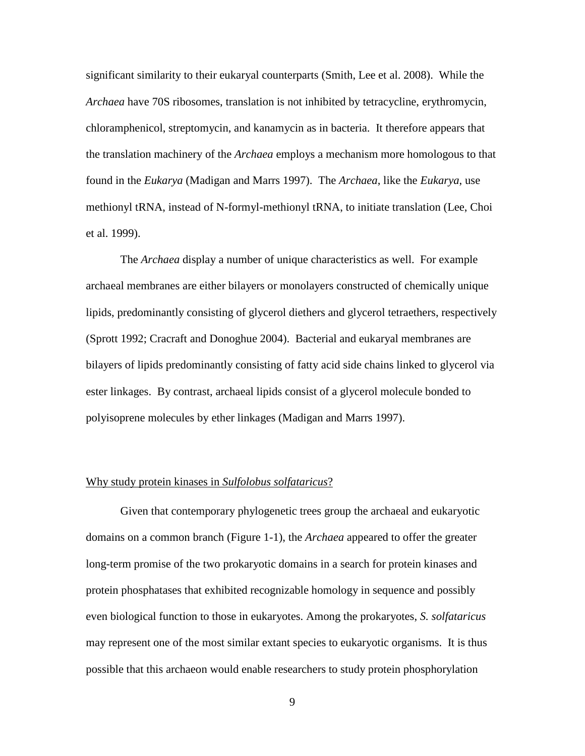significant similarity to their eukaryal counterparts (Smith, Lee et al. 2008). While the *Archaea* have 70S ribosomes, translation is not inhibited by tetracycline, erythromycin, chloramphenicol, streptomycin, and kanamycin as in bacteria. It therefore appears that the translation machinery of the *Archaea* employs a mechanism more homologous to that found in the *Eukarya* (Madigan and Marrs 1997). The *Archaea*, like the *Eukarya*, use methionyl tRNA, instead of N-formyl-methionyl tRNA, to initiate translation (Lee, Choi et al. 1999).

The *Archaea* display a number of unique characteristics as well. For example archaeal membranes are either bilayers or monolayers constructed of chemically unique lipids, predominantly consisting of glycerol diethers and glycerol tetraethers, respectively (Sprott 1992; Cracraft and Donoghue 2004). Bacterial and eukaryal membranes are bilayers of lipids predominantly consisting of fatty acid side chains linked to glycerol via ester linkages. By contrast, archaeal lipids consist of a glycerol molecule bonded to polyisoprene molecules by ether linkages (Madigan and Marrs 1997).

#### Why study protein kinases in *Sulfolobus solfataricus*?

Given that contemporary phylogenetic trees group the archaeal and eukaryotic domains on a common branch (Figure 1-1), the *Archaea* appeared to offer the greater long-term promise of the two prokaryotic domains in a search for protein kinases and protein phosphatases that exhibited recognizable homology in sequence and possibly even biological function to those in eukaryotes. Among the prokaryotes, *S. solfataricus* may represent one of the most similar extant species to eukaryotic organisms. It is thus possible that this archaeon would enable researchers to study protein phosphorylation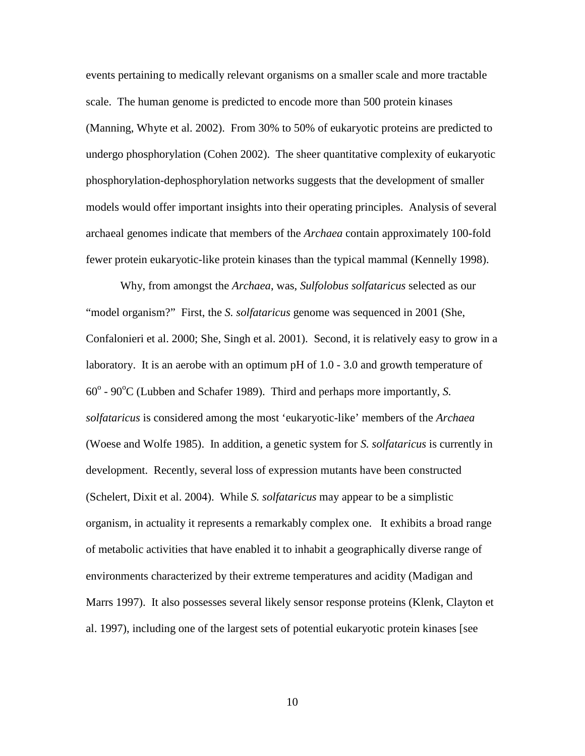events pertaining to medically relevant organisms on a smaller scale and more tractable scale. The human genome is predicted to encode more than 500 protein kinases (Manning, Whyte et al. 2002). From 30% to 50% of eukaryotic proteins are predicted to undergo phosphorylation (Cohen 2002). The sheer quantitative complexity of eukaryotic phosphorylation-dephosphorylation networks suggests that the development of smaller models would offer important insights into their operating principles. Analysis of several archaeal genomes indicate that members of the *Archaea* contain approximately 100-fold fewer protein eukaryotic-like protein kinases than the typical mammal (Kennelly 1998).

Why, from amongst the *Archaea*, was, *Sulfolobus solfataricus* selected as our "model organism?" First, the *S. solfataricus* genome was sequenced in 2001 (She, Confalonieri et al. 2000; She, Singh et al. 2001). Second, it is relatively easy to grow in a laboratory. It is an aerobe with an optimum pH of 1.0 - 3.0 and growth temperature of 60<sup>°</sup> - 90<sup>°</sup>C (Lubben and Schafer 1989). Third and perhaps more importantly, *S*. *solfataricus* is considered among the most 'eukaryotic-like' members of the *Archaea*  (Woese and Wolfe 1985). In addition, a genetic system for *S. solfataricus* is currently in development. Recently, several loss of expression mutants have been constructed (Schelert, Dixit et al. 2004). While *S. solfataricus* may appear to be a simplistic organism, in actuality it represents a remarkably complex one. It exhibits a broad range of metabolic activities that have enabled it to inhabit a geographically diverse range of environments characterized by their extreme temperatures and acidity (Madigan and Marrs 1997). It also possesses several likely sensor response proteins (Klenk, Clayton et al. 1997), including one of the largest sets of potential eukaryotic protein kinases [see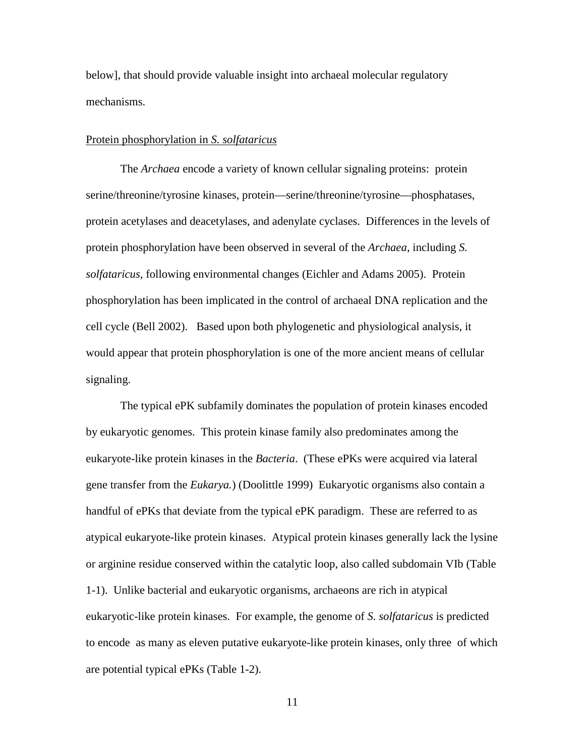below], that should provide valuable insight into archaeal molecular regulatory mechanisms.

#### Protein phosphorylation in *S. solfataricus*

The *Archaea* encode a variety of known cellular signaling proteins: protein serine/threonine/tyrosine kinases, protein—serine/threonine/tyrosine—phosphatases, protein acetylases and deacetylases, and adenylate cyclases. Differences in the levels of protein phosphorylation have been observed in several of the *Archaea*, including *S. solfataricus*, following environmental changes (Eichler and Adams 2005). Protein phosphorylation has been implicated in the control of archaeal DNA replication and the cell cycle (Bell 2002). Based upon both phylogenetic and physiological analysis, it would appear that protein phosphorylation is one of the more ancient means of cellular signaling.

The typical ePK subfamily dominates the population of protein kinases encoded by eukaryotic genomes. This protein kinase family also predominates among the eukaryote-like protein kinases in the *Bacteria*. (These ePKs were acquired via lateral gene transfer from the *Eukarya.*) (Doolittle 1999) Eukaryotic organisms also contain a handful of ePKs that deviate from the typical ePK paradigm. These are referred to as atypical eukaryote-like protein kinases. Atypical protein kinases generally lack the lysine or arginine residue conserved within the catalytic loop, also called subdomain VIb (Table 1-1). Unlike bacterial and eukaryotic organisms, archaeons are rich in atypical eukaryotic-like protein kinases. For example, the genome of *S. solfataricus* is predicted to encode as many as eleven putative eukaryote-like protein kinases, only three of which are potential typical ePKs (Table 1-2).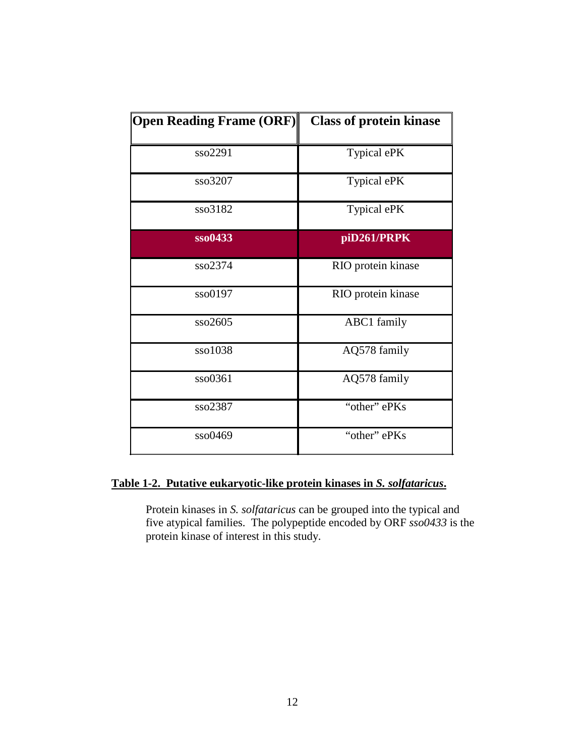| <b>Open Reading Frame (ORF)</b> | <b>Class of protein kinase</b> |
|---------------------------------|--------------------------------|
| sso2291                         | Typical ePK                    |
| sso3207                         | Typical ePK                    |
| sso3182                         | Typical ePK                    |
| sso0433                         | piD261/PRPK                    |
| sso2374                         | RIO protein kinase             |
| sso0197                         | RIO protein kinase             |
| sso2605                         | ABC1 family                    |
| sso1038                         | AQ578 family                   |
| sso0361                         | AQ578 family                   |
| sso2387                         | "other" ePKs                   |
| sso0469                         | "other" ePKs                   |

## **Table 1-2. Putative eukaryotic-like protein kinases in** *S. solfataricus***.**

Protein kinases in *S. solfataricus* can be grouped into the typical and five atypical families. The polypeptide encoded by ORF *sso0433* is the protein kinase of interest in this study.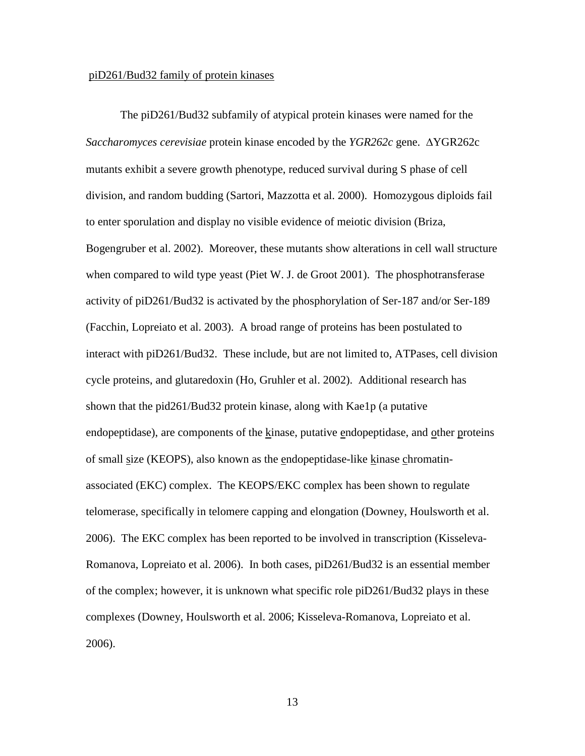#### piD261/Bud32 family of protein kinases

The piD261/Bud32 subfamily of atypical protein kinases were named for the *Saccharomyces cerevisiae* protein kinase encoded by the *YGR262c* gene. ∆YGR262c mutants exhibit a severe growth phenotype, reduced survival during S phase of cell division, and random budding (Sartori, Mazzotta et al. 2000). Homozygous diploids fail to enter sporulation and display no visible evidence of meiotic division (Briza, Bogengruber et al. 2002). Moreover, these mutants show alterations in cell wall structure when compared to wild type yeast (Piet W. J. de Groot 2001). The phosphotransferase activity of piD261/Bud32 is activated by the phosphorylation of Ser-187 and/or Ser-189 (Facchin, Lopreiato et al. 2003). A broad range of proteins has been postulated to interact with piD261/Bud32. These include, but are not limited to, ATPases, cell division cycle proteins, and glutaredoxin (Ho, Gruhler et al. 2002). Additional research has shown that the pid261/Bud32 protein kinase, along with Kae1p (a putative endopeptidase), are components of the kinase, putative endopeptidase, and other proteins of small size (KEOPS), also known as the endopeptidase-like kinase chromatinassociated (EKC) complex. The KEOPS/EKC complex has been shown to regulate telomerase, specifically in telomere capping and elongation (Downey, Houlsworth et al. 2006). The EKC complex has been reported to be involved in transcription (Kisseleva-Romanova, Lopreiato et al. 2006). In both cases, piD261/Bud32 is an essential member of the complex; however, it is unknown what specific role piD261/Bud32 plays in these complexes (Downey, Houlsworth et al. 2006; Kisseleva-Romanova, Lopreiato et al. 2006).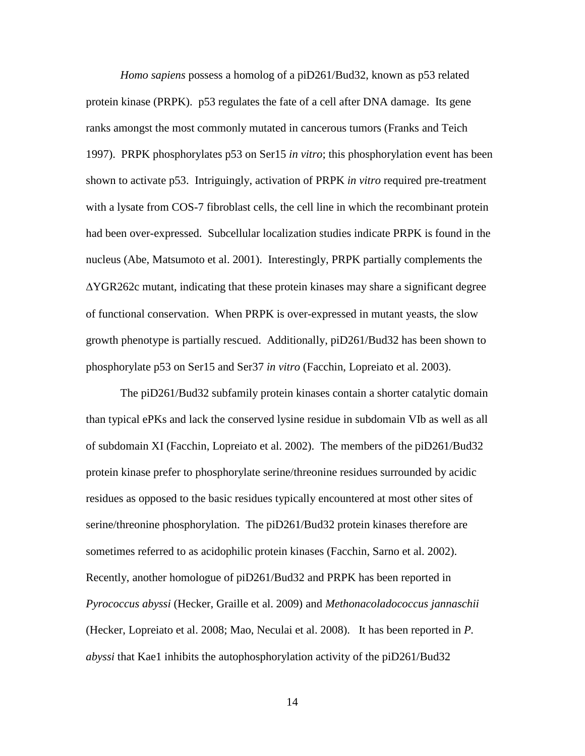*Homo sapiens* possess a homolog of a piD261/Bud32, known as p53 related protein kinase (PRPK). p53 regulates the fate of a cell after DNA damage. Its gene ranks amongst the most commonly mutated in cancerous tumors (Franks and Teich 1997). PRPK phosphorylates p53 on Ser15 *in vitro*; this phosphorylation event has been shown to activate p53. Intriguingly, activation of PRPK *in vitro* required pre-treatment with a lysate from COS-7 fibroblast cells, the cell line in which the recombinant protein had been over-expressed. Subcellular localization studies indicate PRPK is found in the nucleus (Abe, Matsumoto et al. 2001). Interestingly, PRPK partially complements the ∆YGR262c mutant, indicating that these protein kinases may share a significant degree of functional conservation. When PRPK is over-expressed in mutant yeasts, the slow growth phenotype is partially rescued. Additionally, piD261/Bud32 has been shown to phosphorylate p53 on Ser15 and Ser37 *in vitro* (Facchin, Lopreiato et al. 2003).

The piD261/Bud32 subfamily protein kinases contain a shorter catalytic domain than typical ePKs and lack the conserved lysine residue in subdomain VIb as well as all of subdomain XI (Facchin, Lopreiato et al. 2002). The members of the piD261/Bud32 protein kinase prefer to phosphorylate serine/threonine residues surrounded by acidic residues as opposed to the basic residues typically encountered at most other sites of serine/threonine phosphorylation. The piD261/Bud32 protein kinases therefore are sometimes referred to as acidophilic protein kinases (Facchin, Sarno et al. 2002). Recently, another homologue of piD261/Bud32 and PRPK has been reported in *Pyrococcus abyssi* (Hecker, Graille et al. 2009) and *Methonacoladococcus jannaschii*  (Hecker, Lopreiato et al. 2008; Mao, Neculai et al. 2008). It has been reported in *P. abyssi* that Kae1 inhibits the autophosphorylation activity of the piD261/Bud32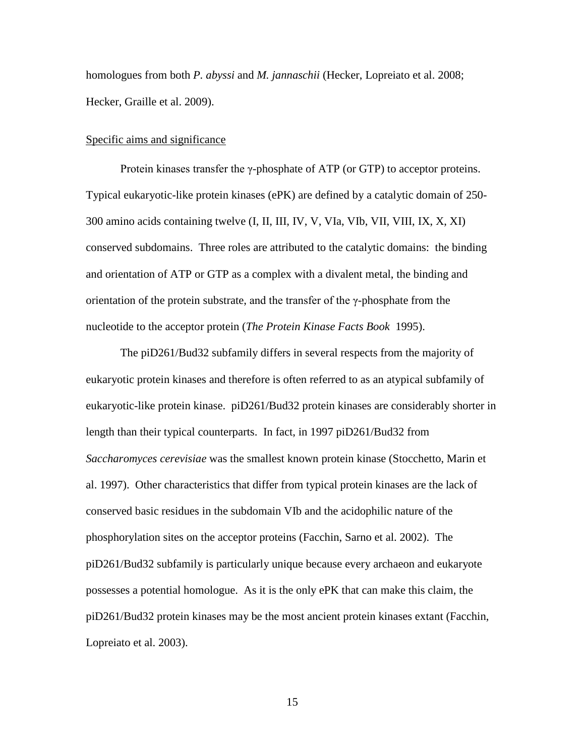homologues from both *P. abyssi* and *M. jannaschii* (Hecker, Lopreiato et al. 2008; Hecker, Graille et al. 2009).

#### Specific aims and significance

Protein kinases transfer the γ-phosphate of ATP (or GTP) to acceptor proteins. Typical eukaryotic-like protein kinases (ePK) are defined by a catalytic domain of 250- 300 amino acids containing twelve (I, II, III, IV, V, VIa, VIb, VII, VIII, IX, X, XI) conserved subdomains. Three roles are attributed to the catalytic domains: the binding and orientation of ATP or GTP as a complex with a divalent metal, the binding and orientation of the protein substrate, and the transfer of the γ-phosphate from the nucleotide to the acceptor protein (*The Protein Kinase Facts Book* 1995).

The piD261/Bud32 subfamily differs in several respects from the majority of eukaryotic protein kinases and therefore is often referred to as an atypical subfamily of eukaryotic-like protein kinase. piD261/Bud32 protein kinases are considerably shorter in length than their typical counterparts. In fact, in 1997 piD261/Bud32 from *Saccharomyces cerevisiae* was the smallest known protein kinase (Stocchetto, Marin et al. 1997). Other characteristics that differ from typical protein kinases are the lack of conserved basic residues in the subdomain VIb and the acidophilic nature of the phosphorylation sites on the acceptor proteins (Facchin, Sarno et al. 2002). The piD261/Bud32 subfamily is particularly unique because every archaeon and eukaryote possesses a potential homologue. As it is the only ePK that can make this claim, the piD261/Bud32 protein kinases may be the most ancient protein kinases extant (Facchin, Lopreiato et al. 2003).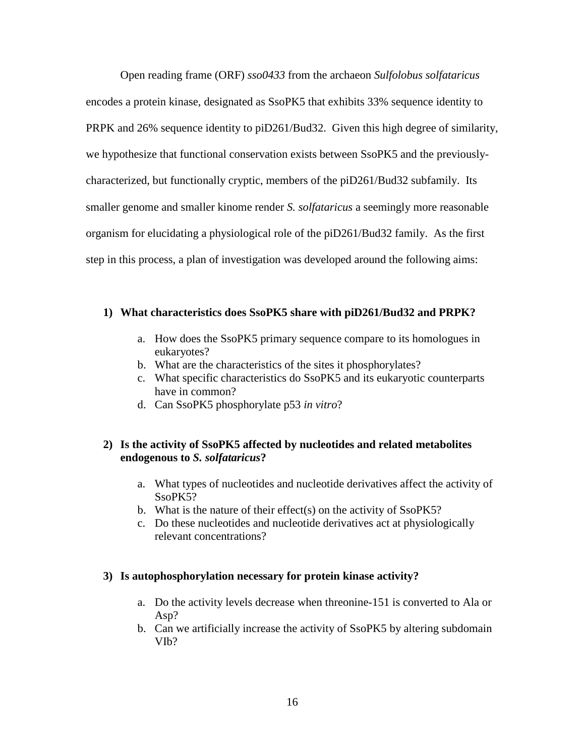Open reading frame (ORF) *sso0433* from the archaeon *Sulfolobus solfataricus* encodes a protein kinase, designated as SsoPK5 that exhibits 33% sequence identity to PRPK and 26% sequence identity to piD261/Bud32. Given this high degree of similarity, we hypothesize that functional conservation exists between SsoPK5 and the previouslycharacterized, but functionally cryptic, members of the piD261/Bud32 subfamily. Its smaller genome and smaller kinome render *S. solfataricus* a seemingly more reasonable organism for elucidating a physiological role of the piD261/Bud32 family. As the first step in this process, a plan of investigation was developed around the following aims:

#### **1) What characteristics does SsoPK5 share with piD261/Bud32 and PRPK?**

- a. How does the SsoPK5 primary sequence compare to its homologues in eukaryotes?
- b. What are the characteristics of the sites it phosphorylates?
- c. What specific characteristics do SsoPK5 and its eukaryotic counterparts have in common?
- d. Can SsoPK5 phosphorylate p53 *in vitro*?

### **2) Is the activity of SsoPK5 affected by nucleotides and related metabolites endogenous to** *S. solfataricus***?**

- a. What types of nucleotides and nucleotide derivatives affect the activity of SsoPK5?
- b. What is the nature of their effect(s) on the activity of SsoPK5?
- c. Do these nucleotides and nucleotide derivatives act at physiologically relevant concentrations?

#### **3) Is autophosphorylation necessary for protein kinase activity?**

- a. Do the activity levels decrease when threonine-151 is converted to Ala or Asp?
- b. Can we artificially increase the activity of SsoPK5 by altering subdomain VIb?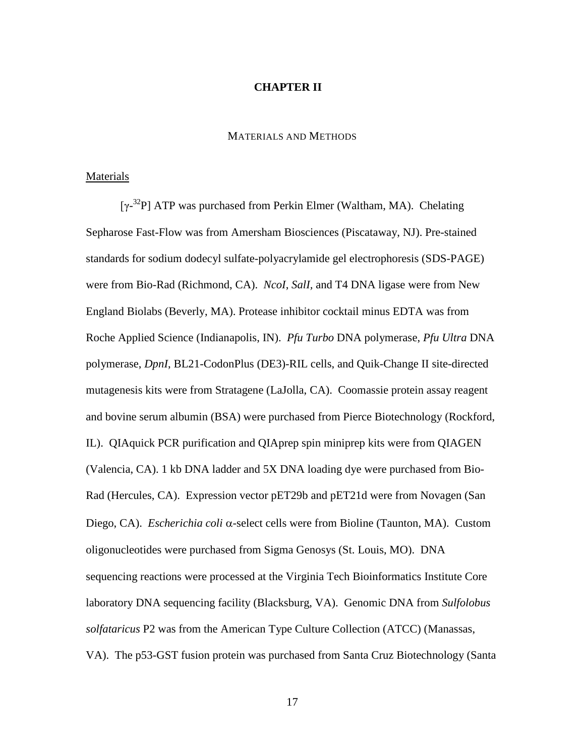#### **CHAPTER II**

#### MATERIALS AND METHODS

#### Materials

[γ-<sup>32</sup>P] ATP was purchased from Perkin Elmer (Waltham, MA). Chelating Sepharose Fast-Flow was from Amersham Biosciences (Piscataway, NJ). Pre-stained standards for sodium dodecyl sulfate-polyacrylamide gel electrophoresis (SDS-PAGE) were from Bio-Rad (Richmond, CA). *NcoI*, *SalI,* and T4 DNA ligase were from New England Biolabs (Beverly, MA). Protease inhibitor cocktail minus EDTA was from Roche Applied Science (Indianapolis, IN). *Pfu Turbo* DNA polymerase, *Pfu Ultra* DNA polymerase, *DpnI*, BL21-CodonPlus (DE3)-RIL cells, and Quik-Change II site-directed mutagenesis kits were from Stratagene (LaJolla, CA). Coomassie protein assay reagent and bovine serum albumin (BSA) were purchased from Pierce Biotechnology (Rockford, IL). QIAquick PCR purification and QIAprep spin miniprep kits were from QIAGEN (Valencia, CA). 1 kb DNA ladder and 5X DNA loading dye were purchased from Bio-Rad (Hercules, CA). Expression vector pET29b and pET21d were from Novagen (San Diego, CA). *Escherichia coli* α-select cells were from Bioline (Taunton, MA). Custom oligonucleotides were purchased from Sigma Genosys (St. Louis, MO). DNA sequencing reactions were processed at the Virginia Tech Bioinformatics Institute Core laboratory DNA sequencing facility (Blacksburg, VA). Genomic DNA from *Sulfolobus solfataricus* P2 was from the American Type Culture Collection (ATCC) (Manassas, VA). The p53-GST fusion protein was purchased from Santa Cruz Biotechnology (Santa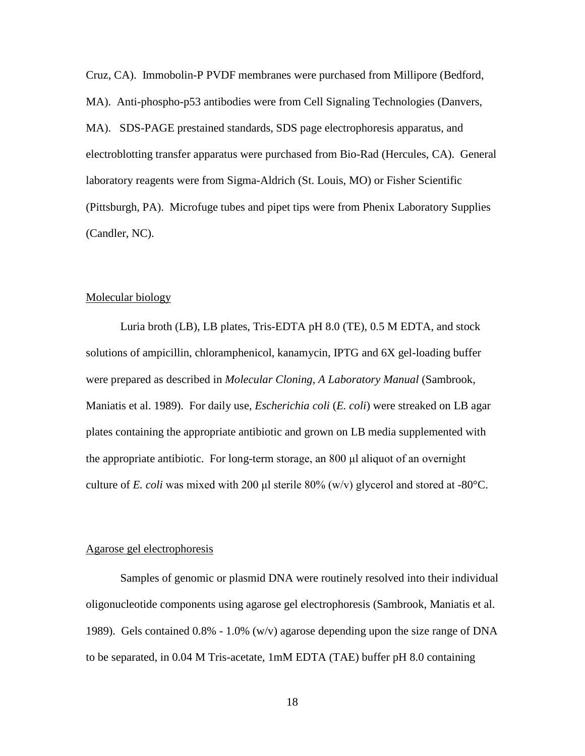Cruz, CA). Immobolin-P PVDF membranes were purchased from Millipore (Bedford, MA). Anti-phospho-p53 antibodies were from Cell Signaling Technologies (Danvers, MA). SDS-PAGE prestained standards, SDS page electrophoresis apparatus, and electroblotting transfer apparatus were purchased from Bio-Rad (Hercules, CA). General laboratory reagents were from Sigma-Aldrich (St. Louis, MO) or Fisher Scientific (Pittsburgh, PA). Microfuge tubes and pipet tips were from Phenix Laboratory Supplies (Candler, NC).

#### Molecular biology

Luria broth (LB), LB plates, Tris-EDTA pH 8.0 (TE), 0.5 M EDTA, and stock solutions of ampicillin, chloramphenicol, kanamycin, IPTG and 6X gel-loading buffer were prepared as described in *Molecular Cloning, A Laboratory Manual* (Sambrook, Maniatis et al. 1989). For daily use, *Escherichia coli* (*E. coli*) were streaked on LB agar plates containing the appropriate antibiotic and grown on LB media supplemented with the appropriate antibiotic. For long-term storage, an 800 μl aliquot of an overnight culture of *E. coli* was mixed with 200 μl sterile 80% (w/v) glycerol and stored at -80°C.

#### Agarose gel electrophoresis

Samples of genomic or plasmid DNA were routinely resolved into their individual oligonucleotide components using agarose gel electrophoresis (Sambrook, Maniatis et al. 1989). Gels contained 0.8% - 1.0% (w/v) agarose depending upon the size range of DNA to be separated, in 0.04 M Tris-acetate, 1mM EDTA (TAE) buffer pH 8.0 containing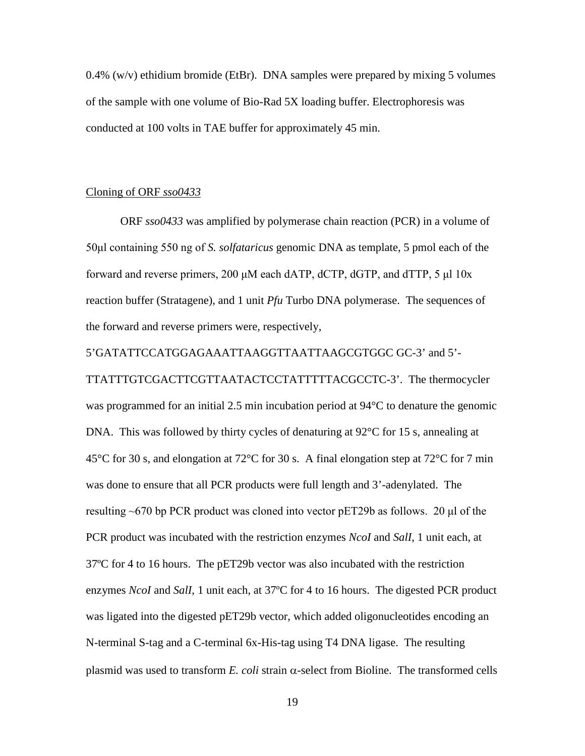$0.4\%$  (w/v) ethidium bromide (EtBr). DNA samples were prepared by mixing 5 volumes of the sample with one volume of Bio-Rad 5X loading buffer. Electrophoresis was conducted at 100 volts in TAE buffer for approximately 45 min.

#### Cloning of ORF *sso0433*

ORF *sso0433* was amplified by polymerase chain reaction (PCR) in a volume of 50μl containing 550 ng of *S. solfataricus* genomic DNA as template, 5 pmol each of the forward and reverse primers, 200 μM each dATP, dCTP, dGTP, and dTTP, 5 μl 10x reaction buffer (Stratagene), and 1 unit *Pfu* Turbo DNA polymerase. The sequences of the forward and reverse primers were, respectively,

5'GATATTCCATGGAGAAATTAAGGTTAATTAAGCGTGGC GC-3' and 5'- TTATTTGTCGACTTCGTTAATACTCCTATTTTTACGCCTC-3'. The thermocycler was programmed for an initial 2.5 min incubation period at 94°C to denature the genomic DNA. This was followed by thirty cycles of denaturing at  $92^{\circ}$ C for 15 s, annealing at 45°C for 30 s, and elongation at 72°C for 30 s. A final elongation step at 72°C for 7 min was done to ensure that all PCR products were full length and 3'-adenylated. The resulting ~670 bp PCR product was cloned into vector pET29b as follows. 20 μl of the PCR product was incubated with the restriction enzymes *NcoI* and *SalI*, 1 unit each, at 37ºC for 4 to 16 hours. The pET29b vector was also incubated with the restriction enzymes *NcoI* and *SalI*, 1 unit each, at 37ºC for 4 to 16 hours. The digested PCR product was ligated into the digested pET29b vector, which added oligonucleotides encoding an N-terminal S-tag and a C-terminal 6x-His-tag using T4 DNA ligase. The resulting plasmid was used to transform *E. coli* strain α-select from Bioline. The transformed cells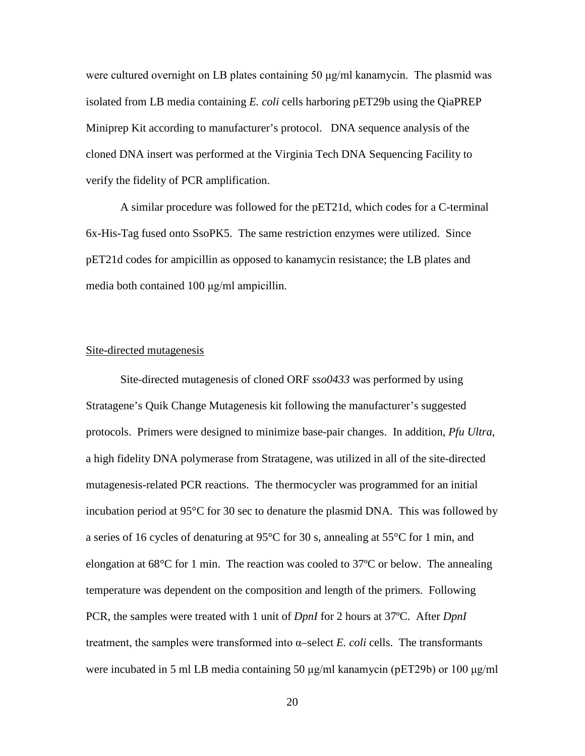were cultured overnight on LB plates containing 50  $\mu$ g/ml kanamycin. The plasmid was isolated from LB media containing *E. coli* cells harboring pET29b using the QiaPREP Miniprep Kit according to manufacturer's protocol. DNA sequence analysis of the cloned DNA insert was performed at the Virginia Tech DNA Sequencing Facility to verify the fidelity of PCR amplification.

A similar procedure was followed for the pET21d, which codes for a C-terminal 6x-His-Tag fused onto SsoPK5. The same restriction enzymes were utilized. Since pET21d codes for ampicillin as opposed to kanamycin resistance; the LB plates and media both contained 100 μg/ml ampicillin.

#### Site-directed mutagenesis

Site-directed mutagenesis of cloned ORF *sso0433* was performed by using Stratagene's Quik Change Mutagenesis kit following the manufacturer's suggested protocols. Primers were designed to minimize base-pair changes. In addition, *Pfu Ultra*, a high fidelity DNA polymerase from Stratagene, was utilized in all of the site-directed mutagenesis-related PCR reactions. The thermocycler was programmed for an initial incubation period at 95°C for 30 sec to denature the plasmid DNA. This was followed by a series of 16 cycles of denaturing at 95°C for 30 s, annealing at 55°C for 1 min, and elongation at  $68^{\circ}$ C for 1 min. The reaction was cooled to 37 $^{\circ}$ C or below. The annealing temperature was dependent on the composition and length of the primers. Following PCR, the samples were treated with 1 unit of *DpnI* for 2 hours at 37ºC. After *DpnI* treatment, the samples were transformed into  $\alpha$ –select *E. coli* cells. The transformants were incubated in 5 ml LB media containing 50 μg/ml kanamycin (pET29b) or 100 μg/ml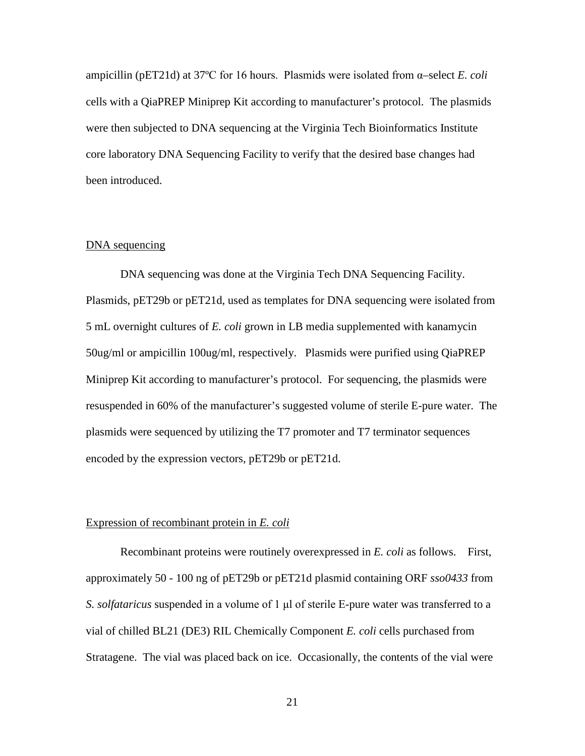ampicillin (pET21d) at 37ºC for 16 hours. Plasmids were isolated from α–select *E. coli* cells with a QiaPREP Miniprep Kit according to manufacturer's protocol. The plasmids were then subjected to DNA sequencing at the Virginia Tech Bioinformatics Institute core laboratory DNA Sequencing Facility to verify that the desired base changes had been introduced.

#### DNA sequencing

DNA sequencing was done at the Virginia Tech DNA Sequencing Facility. Plasmids, pET29b or pET21d, used as templates for DNA sequencing were isolated from 5 mL overnight cultures of *E. coli* grown in LB media supplemented with kanamycin 50ug/ml or ampicillin 100ug/ml, respectively. Plasmids were purified using QiaPREP Miniprep Kit according to manufacturer's protocol. For sequencing, the plasmids were resuspended in 60% of the manufacturer's suggested volume of sterile E-pure water. The plasmids were sequenced by utilizing the T7 promoter and T7 terminator sequences encoded by the expression vectors, pET29b or pET21d.

#### Expression of recombinant protein in *E. coli*

Recombinant proteins were routinely overexpressed in *E. coli* as follows. First, approximately 50 - 100 ng of pET29b or pET21d plasmid containing ORF *sso0433* from *S. solfataricus* suspended in a volume of 1 μl of sterile E-pure water was transferred to a vial of chilled BL21 (DE3) RIL Chemically Component *E. coli* cells purchased from Stratagene. The vial was placed back on ice. Occasionally, the contents of the vial were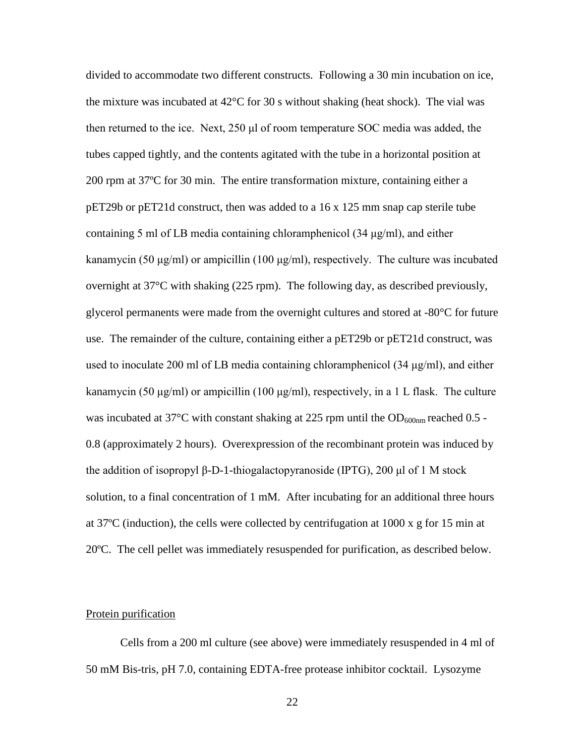divided to accommodate two different constructs. Following a 30 min incubation on ice, the mixture was incubated at  $42^{\circ}$ C for 30 s without shaking (heat shock). The vial was then returned to the ice. Next, 250 μl of room temperature SOC media was added, the tubes capped tightly, and the contents agitated with the tube in a horizontal position at 200 rpm at 37ºC for 30 min. The entire transformation mixture, containing either a pET29b or pET21d construct, then was added to a 16 x 125 mm snap cap sterile tube containing 5 ml of LB media containing chloramphenicol (34 μg/ml), and either kanamycin (50 μg/ml) or ampicillin (100 μg/ml), respectively. The culture was incubated overnight at 37°C with shaking (225 rpm). The following day, as described previously, glycerol permanents were made from the overnight cultures and stored at -80°C for future use. The remainder of the culture, containing either a pET29b or pET21d construct, was used to inoculate 200 ml of LB media containing chloramphenicol  $(34 \mu g/ml)$ , and either kanamycin (50 μg/ml) or ampicillin (100 μg/ml), respectively, in a 1 L flask. The culture was incubated at 37 $^{\circ}$ C with constant shaking at 225 rpm until the OD<sub>600nm</sub> reached 0.5 -0.8 (approximately 2 hours). Overexpression of the recombinant protein was induced by the addition of isopropyl β-D-1-thiogalactopyranoside (IPTG), 200 μl of 1 M stock solution, to a final concentration of 1 mM. After incubating for an additional three hours at 37ºC (induction), the cells were collected by centrifugation at 1000 x g for 15 min at 20ºC. The cell pellet was immediately resuspended for purification, as described below.

#### Protein purification

Cells from a 200 ml culture (see above) were immediately resuspended in 4 ml of 50 mM Bis-tris, pH 7.0, containing EDTA-free protease inhibitor cocktail. Lysozyme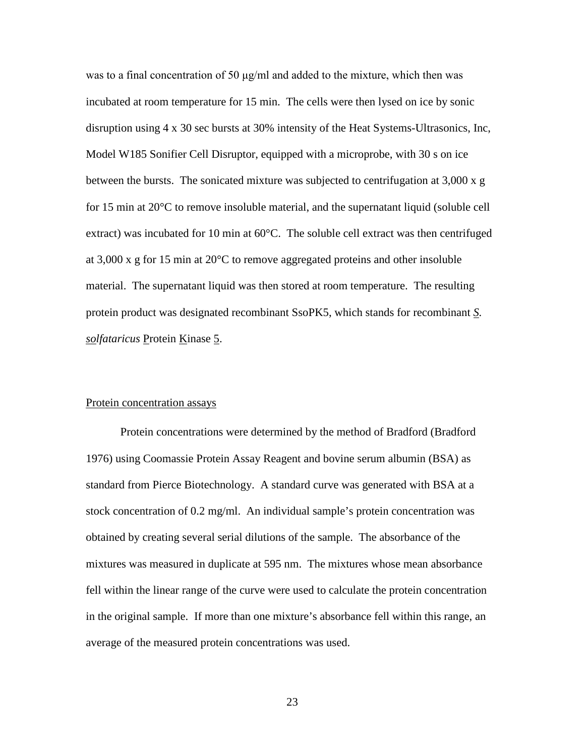was to a final concentration of 50 μg/ml and added to the mixture, which then was incubated at room temperature for 15 min. The cells were then lysed on ice by sonic disruption using 4 x 30 sec bursts at 30% intensity of the Heat Systems-Ultrasonics, Inc, Model W185 Sonifier Cell Disruptor, equipped with a microprobe, with 30 s on ice between the bursts. The sonicated mixture was subjected to centrifugation at 3,000 x g for 15 min at 20°C to remove insoluble material, and the supernatant liquid (soluble cell extract) was incubated for 10 min at 60°C. The soluble cell extract was then centrifuged at 3,000 x g for 15 min at 20°C to remove aggregated proteins and other insoluble material. The supernatant liquid was then stored at room temperature. The resulting protein product was designated recombinant SsoPK5, which stands for recombinant *S. solfataricus* Protein Kinase 5.

#### Protein concentration assays

Protein concentrations were determined by the method of Bradford (Bradford 1976) using Coomassie Protein Assay Reagent and bovine serum albumin (BSA) as standard from Pierce Biotechnology. A standard curve was generated with BSA at a stock concentration of 0.2 mg/ml. An individual sample's protein concentration was obtained by creating several serial dilutions of the sample. The absorbance of the mixtures was measured in duplicate at 595 nm. The mixtures whose mean absorbance fell within the linear range of the curve were used to calculate the protein concentration in the original sample. If more than one mixture's absorbance fell within this range, an average of the measured protein concentrations was used.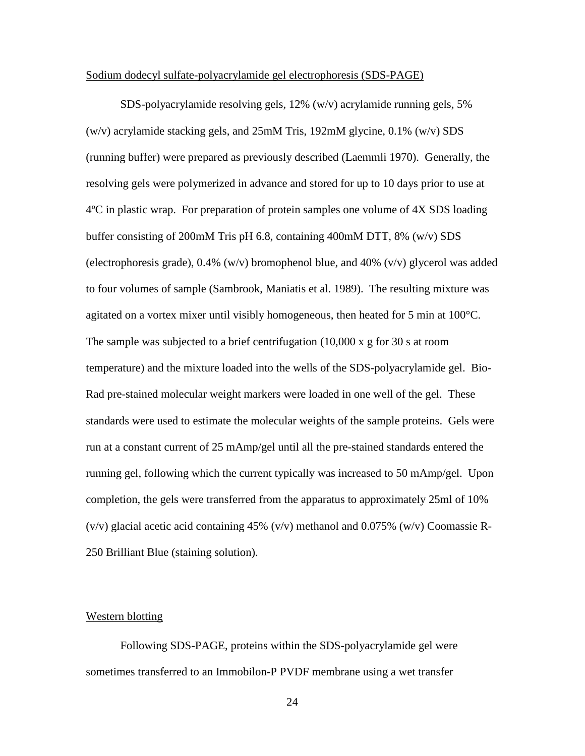#### Sodium dodecyl sulfate-polyacrylamide gel electrophoresis (SDS-PAGE)

SDS-polyacrylamide resolving gels, 12% (w/v) acrylamide running gels, 5% (w/v) acrylamide stacking gels, and 25mM Tris, 192mM glycine, 0.1% (w/v) SDS (running buffer) were prepared as previously described (Laemmli 1970). Generally, the resolving gels were polymerized in advance and stored for up to 10 days prior to use at 4ºC in plastic wrap. For preparation of protein samples one volume of 4X SDS loading buffer consisting of 200mM Tris pH 6.8, containing 400mM DTT, 8% (w/v) SDS (electrophoresis grade),  $0.4\%$  (w/v) bromophenol blue, and  $40\%$  (v/v) glycerol was added to four volumes of sample (Sambrook, Maniatis et al. 1989). The resulting mixture was agitated on a vortex mixer until visibly homogeneous, then heated for 5 min at 100°C. The sample was subjected to a brief centrifugation  $(10,000 \times g)$  for 30 s at room temperature) and the mixture loaded into the wells of the SDS-polyacrylamide gel. Bio-Rad pre-stained molecular weight markers were loaded in one well of the gel. These standards were used to estimate the molecular weights of the sample proteins. Gels were run at a constant current of 25 mAmp/gel until all the pre-stained standards entered the running gel, following which the current typically was increased to 50 mAmp/gel. Upon completion, the gels were transferred from the apparatus to approximately 25ml of 10% (v/v) glacial acetic acid containing 45% (v/v) methanol and 0.075% (w/v) Coomassie R-250 Brilliant Blue (staining solution).

#### Western blotting

Following SDS-PAGE, proteins within the SDS-polyacrylamide gel were sometimes transferred to an Immobilon-P PVDF membrane using a wet transfer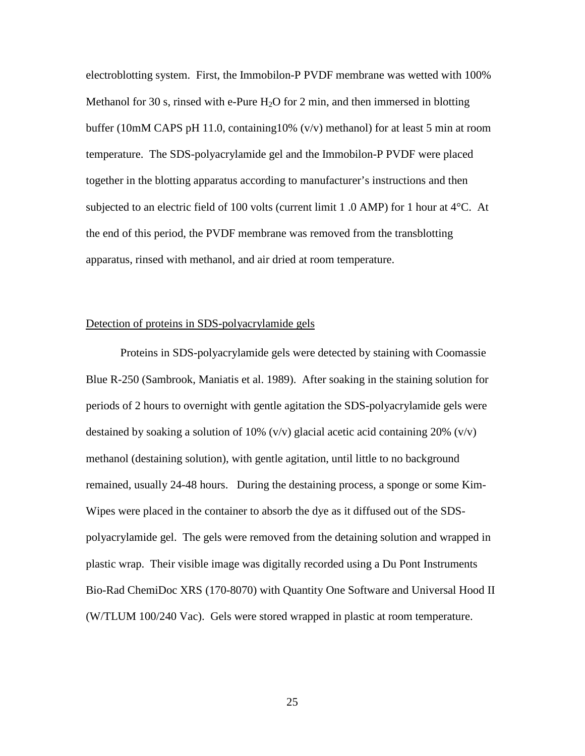electroblotting system. First, the Immobilon-P PVDF membrane was wetted with 100% Methanol for 30 s, rinsed with e-Pure  $H_2O$  for 2 min, and then immersed in blotting buffer (10mM CAPS pH 11.0, containing  $10\%$  (v/v) methanol) for at least 5 min at room temperature. The SDS-polyacrylamide gel and the Immobilon-P PVDF were placed together in the blotting apparatus according to manufacturer's instructions and then subjected to an electric field of 100 volts (current limit 1 .0 AMP) for 1 hour at 4°C. At the end of this period, the PVDF membrane was removed from the transblotting apparatus, rinsed with methanol, and air dried at room temperature.

#### Detection of proteins in SDS-polyacrylamide gels

Proteins in SDS-polyacrylamide gels were detected by staining with Coomassie Blue R-250 (Sambrook, Maniatis et al. 1989). After soaking in the staining solution for periods of 2 hours to overnight with gentle agitation the SDS-polyacrylamide gels were destained by soaking a solution of 10%  $(v/v)$  glacial acetic acid containing 20%  $(v/v)$ methanol (destaining solution), with gentle agitation, until little to no background remained, usually 24-48 hours. During the destaining process, a sponge or some Kim-Wipes were placed in the container to absorb the dye as it diffused out of the SDSpolyacrylamide gel. The gels were removed from the detaining solution and wrapped in plastic wrap. Their visible image was digitally recorded using a Du Pont Instruments Bio-Rad ChemiDoc XRS (170-8070) with Quantity One Software and Universal Hood II (W/TLUM 100/240 Vac). Gels were stored wrapped in plastic at room temperature.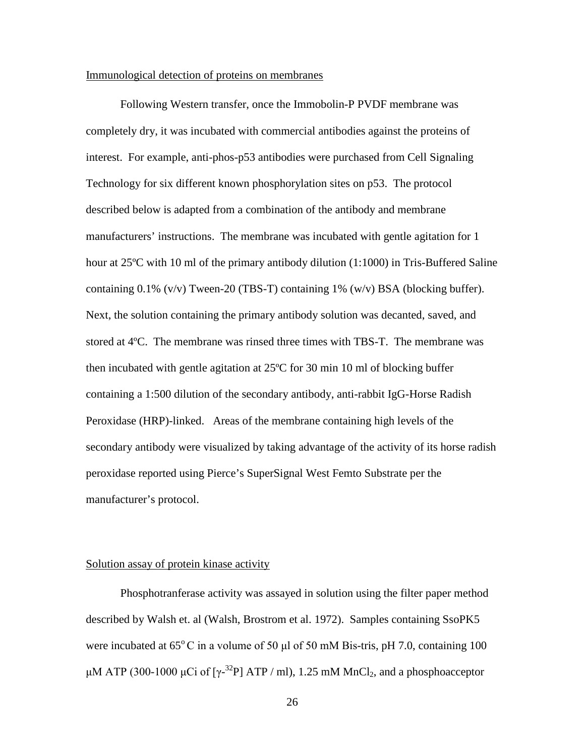#### Immunological detection of proteins on membranes

Following Western transfer, once the Immobolin-P PVDF membrane was completely dry, it was incubated with commercial antibodies against the proteins of interest. For example, anti-phos-p53 antibodies were purchased from Cell Signaling Technology for six different known phosphorylation sites on p53. The protocol described below is adapted from a combination of the antibody and membrane manufacturers' instructions. The membrane was incubated with gentle agitation for 1 hour at 25<sup>o</sup>C with 10 ml of the primary antibody dilution (1:1000) in Tris-Buffered Saline containing  $0.1\%$  (v/v) Tween-20 (TBS-T) containing 1% (w/v) BSA (blocking buffer). Next, the solution containing the primary antibody solution was decanted, saved, and stored at 4ºC. The membrane was rinsed three times with TBS-T. The membrane was then incubated with gentle agitation at 25ºC for 30 min 10 ml of blocking buffer containing a 1:500 dilution of the secondary antibody, anti-rabbit IgG-Horse Radish Peroxidase (HRP)-linked. Areas of the membrane containing high levels of the secondary antibody were visualized by taking advantage of the activity of its horse radish peroxidase reported using Pierce's SuperSignal West Femto Substrate per the manufacturer's protocol.

### Solution assay of protein kinase activity

Phosphotranferase activity was assayed in solution using the filter paper method described by Walsh et. al (Walsh, Brostrom et al. 1972). Samples containing SsoPK5 were incubated at  $65^{\circ}$ C in a volume of 50 µl of 50 mM Bis-tris, pH 7.0, containing 100 μM ATP (300-1000 μCi of [ $\gamma$ -<sup>32</sup>P] ATP / ml), 1.25 mM MnCl<sub>2</sub>, and a phosphoacceptor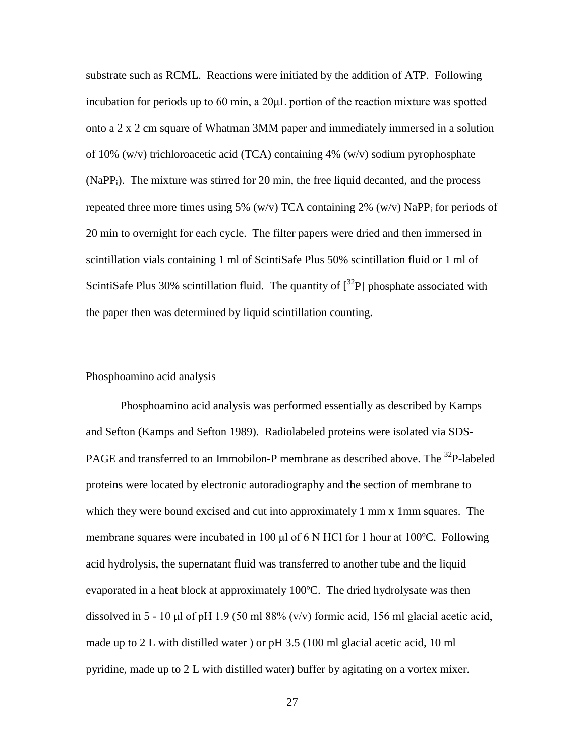substrate such as RCML. Reactions were initiated by the addition of ATP. Following incubation for periods up to 60 min, a 20μL portion of the reaction mixture was spotted onto a 2 x 2 cm square of Whatman 3MM paper and immediately immersed in a solution of 10% (w/v) trichloroacetic acid (TCA) containing 4% (w/v) sodium pyrophosphate (NaPPi). The mixture was stirred for 20 min, the free liquid decanted, and the process repeated three more times using 5% (w/v) TCA containing 2% (w/v) NaPP<sub>i</sub> for periods of 20 min to overnight for each cycle. The filter papers were dried and then immersed in scintillation vials containing 1 ml of ScintiSafe Plus 50% scintillation fluid or 1 ml of ScintiSafe Plus 30% scintillation fluid. The quantity of  $\int^{32}P$ ] phosphate associated with the paper then was determined by liquid scintillation counting.

### Phosphoamino acid analysis

Phosphoamino acid analysis was performed essentially as described by Kamps and Sefton (Kamps and Sefton 1989). Radiolabeled proteins were isolated via SDS-PAGE and transferred to an Immobilon-P membrane as described above. The <sup>32</sup>P-labeled proteins were located by electronic autoradiography and the section of membrane to which they were bound excised and cut into approximately 1 mm x 1mm squares. The membrane squares were incubated in 100 μl of 6 N HCl for 1 hour at 100ºC. Following acid hydrolysis, the supernatant fluid was transferred to another tube and the liquid evaporated in a heat block at approximately 100ºC. The dried hydrolysate was then dissolved in  $5 - 10$  µl of pH 1.9 (50 ml 88% (v/v) formic acid, 156 ml glacial acetic acid, made up to 2 L with distilled water ) or pH 3.5 (100 ml glacial acetic acid, 10 ml pyridine, made up to 2 L with distilled water) buffer by agitating on a vortex mixer.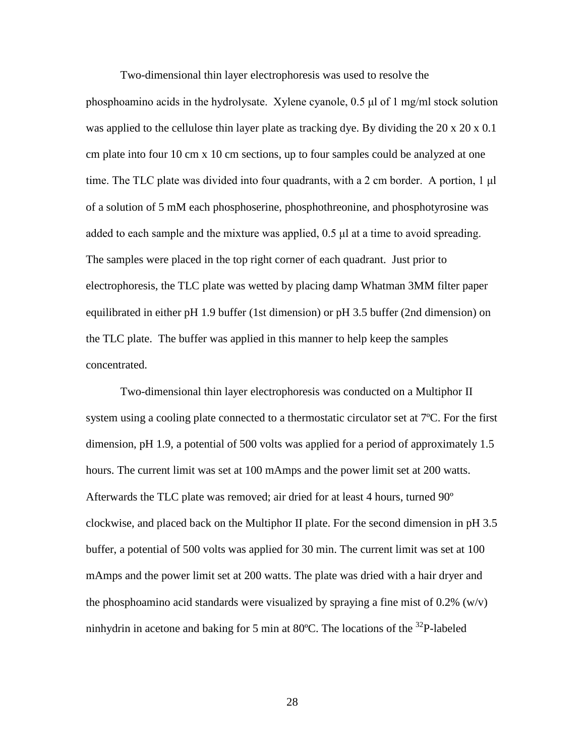Two-dimensional thin layer electrophoresis was used to resolve the

phosphoamino acids in the hydrolysate. Xylene cyanole, 0.5 μl of 1 mg/ml stock solution was applied to the cellulose thin layer plate as tracking dye. By dividing the  $20 \times 20 \times 0.1$ cm plate into four 10 cm x 10 cm sections, up to four samples could be analyzed at one time. The TLC plate was divided into four quadrants, with a 2 cm border. A portion, 1 μl of a solution of 5 mM each phosphoserine, phosphothreonine, and phosphotyrosine was added to each sample and the mixture was applied, 0.5 μl at a time to avoid spreading. The samples were placed in the top right corner of each quadrant. Just prior to electrophoresis, the TLC plate was wetted by placing damp Whatman 3MM filter paper equilibrated in either pH 1.9 buffer (1st dimension) or pH 3.5 buffer (2nd dimension) on the TLC plate. The buffer was applied in this manner to help keep the samples concentrated.

Two-dimensional thin layer electrophoresis was conducted on a Multiphor II system using a cooling plate connected to a thermostatic circulator set at 7ºC. For the first dimension, pH 1.9, a potential of 500 volts was applied for a period of approximately 1.5 hours. The current limit was set at 100 mAmps and the power limit set at 200 watts. Afterwards the TLC plate was removed; air dried for at least 4 hours, turned 90º clockwise, and placed back on the Multiphor II plate. For the second dimension in pH 3.5 buffer, a potential of 500 volts was applied for 30 min. The current limit was set at 100 mAmps and the power limit set at 200 watts. The plate was dried with a hair dryer and the phosphoamino acid standards were visualized by spraying a fine mist of  $0.2\%$  (w/v) ninhydrin in acetone and baking for 5 min at 80 $^{\circ}$ C. The locations of the <sup>32</sup>P-labeled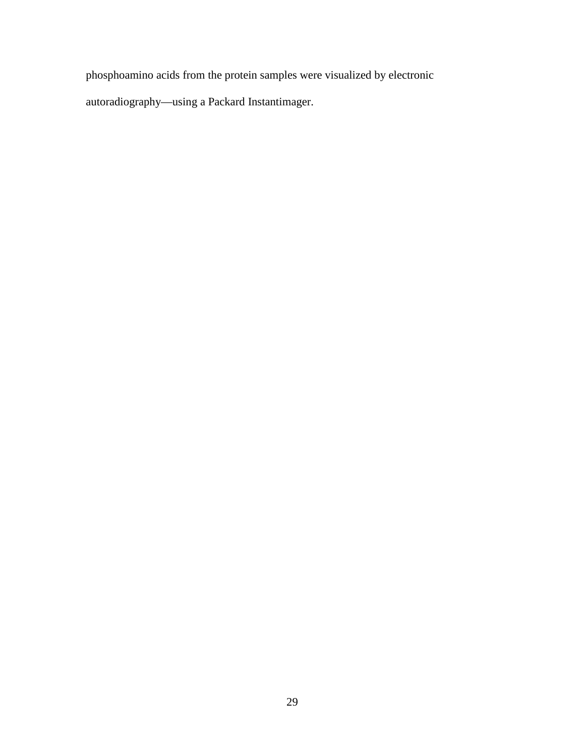phosphoamino acids from the protein samples were visualized by electronic

autoradiography—using a Packard Instantimager.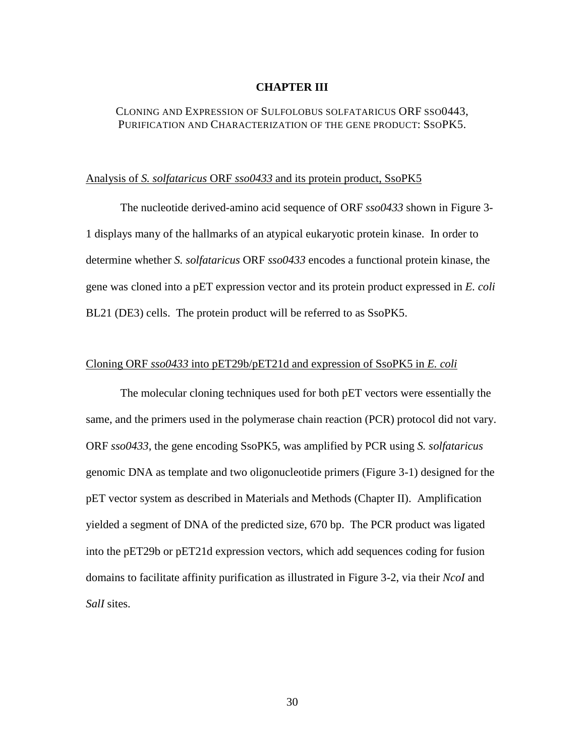#### **CHAPTER III**

## CLONING AND EXPRESSION OF SULFOLOBUS SOLFATARICUS ORF SSO0443, PURIFICATION AND CHARACTERIZATION OF THE GENE PRODUCT: SSOPK5.

#### Analysis of *S. solfataricus* ORF *sso0433* and its protein product, SsoPK5

The nucleotide derived-amino acid sequence of ORF *sso0433* shown in Figure 3- 1 displays many of the hallmarks of an atypical eukaryotic protein kinase. In order to determine whether *S. solfataricus* ORF *sso0433* encodes a functional protein kinase, the gene was cloned into a pET expression vector and its protein product expressed in *E. coli* BL21 (DE3) cells. The protein product will be referred to as SsoPK5.

#### Cloning ORF *sso0433* into pET29b/pET21d and expression of SsoPK5 in *E. coli*

The molecular cloning techniques used for both pET vectors were essentially the same, and the primers used in the polymerase chain reaction (PCR) protocol did not vary. ORF *sso0433*, the gene encoding SsoPK5, was amplified by PCR using *S. solfataricus* genomic DNA as template and two oligonucleotide primers (Figure 3-1) designed for the pET vector system as described in Materials and Methods (Chapter II). Amplification yielded a segment of DNA of the predicted size, 670 bp. The PCR product was ligated into the pET29b or pET21d expression vectors, which add sequences coding for fusion domains to facilitate affinity purification as illustrated in Figure 3-2, via their *NcoI* and *SalI* sites.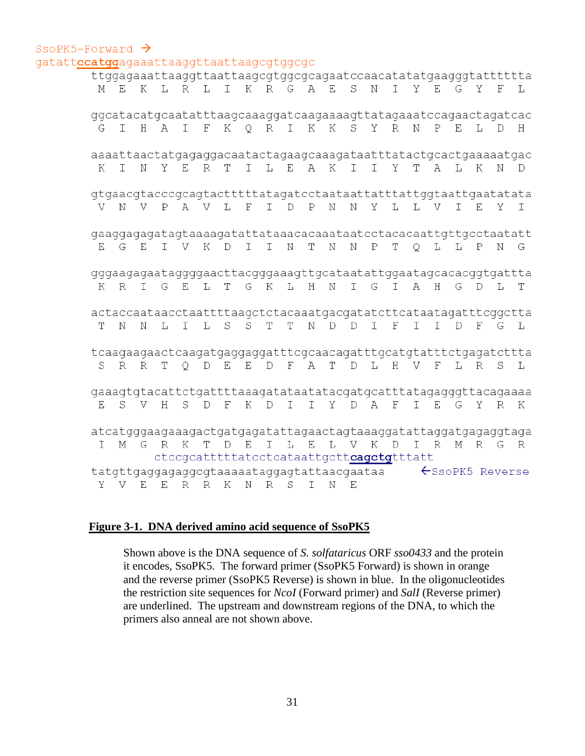#### SSOPK5-Forward  $\rightarrow$ gatattccatggagaaattaaggttaattaagcgtggcgc

|     |  |  |                                          |  |  |  |  |  |  | M E K L R L I K R G A E S N I Y E G Y F                                                                      | ttggagaadttaaggttadttaagcgtggcgcagaatccaacatatatgaagggtattttta<br>L |
|-----|--|--|------------------------------------------|--|--|--|--|--|--|--------------------------------------------------------------------------------------------------------------|---------------------------------------------------------------------|
|     |  |  |                                          |  |  |  |  |  |  | ggcatacatgcaatatttaagcaaaggatcaagaaaagttatagaaatccagaactagatcac                                              |                                                                     |
|     |  |  |                                          |  |  |  |  |  |  | G I H A I F K Q R I K K S Y R N P E L D H                                                                    |                                                                     |
| K I |  |  |                                          |  |  |  |  |  |  | N Y E R T I L E A K I I Y T A L K N D                                                                        | aaaattaactatgagaggacaatactagaagcaaagataatttatactgcactgaaaaatgac     |
|     |  |  |                                          |  |  |  |  |  |  |                                                                                                              |                                                                     |
|     |  |  |                                          |  |  |  |  |  |  | V N V P A V L F I D P N N Y L L V I E Y I                                                                    |                                                                     |
|     |  |  |                                          |  |  |  |  |  |  | gaaggagagatagtaaaagatattataaacacaaataatcctacacaattgttgcctaatatt<br>E G E I V K D I I N T N N P T Q L L P N G |                                                                     |
|     |  |  |                                          |  |  |  |  |  |  | K R I G E L T G K L H N I G I A H G D L T                                                                    | gggaagagaataggggaacttacgggaaagttgcataatattggaatagcacacggtgattta     |
|     |  |  |                                          |  |  |  |  |  |  |                                                                                                              |                                                                     |
|     |  |  |                                          |  |  |  |  |  |  | T N N L I L S S T T N D D I F I I D F G L                                                                    | actaccaataacctaattttaagctctacaaatgacgatatcttcataatagatttcggctta     |
|     |  |  |                                          |  |  |  |  |  |  |                                                                                                              | tcaagaagaactcaagatgaggaggatttcgcaacagatttgcatgtatttctgagatcttta     |
|     |  |  |                                          |  |  |  |  |  |  | S R R T Q D E E D F A T D L H V F L R S L                                                                    |                                                                     |
|     |  |  |                                          |  |  |  |  |  |  | E S V H S D F K D I I Y D A F I E G Y R K                                                                    | gaaagtgtacattctgattttaaagatataatatacgatgcatttatagagggttacagaaaa     |
|     |  |  |                                          |  |  |  |  |  |  |                                                                                                              |                                                                     |
|     |  |  |                                          |  |  |  |  |  |  | I M G R K T D E I L E L V K D I R M R G R                                                                    | atcatgggaagaaagactgatgagatattagaactagtaaaggatattaggatgagaggtaga     |
|     |  |  | ctccgcatttttatcctcataattgcttcagetgtttatt |  |  |  |  |  |  |                                                                                                              |                                                                     |
|     |  |  | Y V E E R R K N R S I N E                |  |  |  |  |  |  | $t$ atgttgaggagaggcgtaaaaataggagtattaacgaataa $\leftarrow$ SsoPK5 Reverse                                    |                                                                     |

# **Figure 3-1. DNA derived amino acid sequence of SsoPK5**

Shown above is the DNA sequence of *S. solfataricus* ORF *sso0433* and the protein it encodes, SsoPK5. The forward primer (SsoPK5 Forward) is shown in orange and the reverse primer (SsoPK5 Reverse) is shown in blue. In the oligonucleotides the restriction site sequences for *NcoI* (Forward primer) and *SalI* (Reverse primer) are underlined. The upstream and downstream regions of the DNA, to which the primers also anneal are not shown above.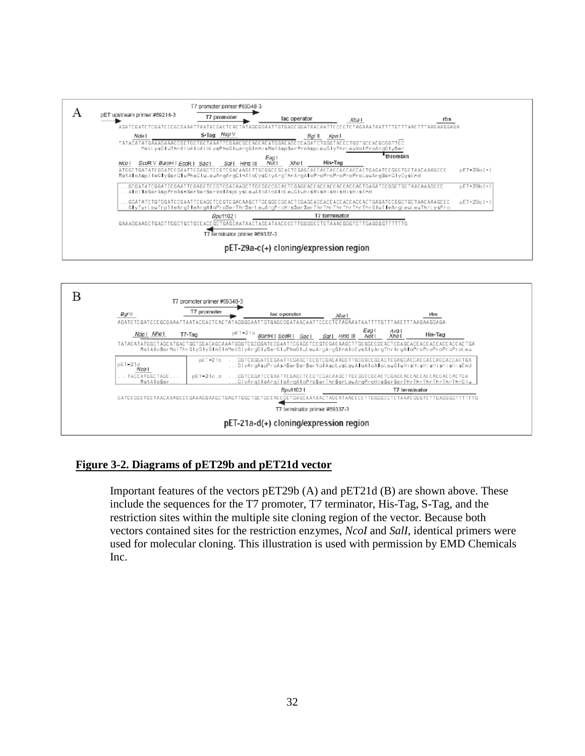



# **Figure 3-2. Diagrams of pET29b and pET21d vector**

Important features of the vectors pET29b (A) and pET21d (B) are shown above. These include the sequences for the T7 promoter, T7 terminator, His-Tag, S-Tag, and the restriction sites within the multiple site cloning region of the vector. Because both vectors contained sites for the restriction enzymes, *NcoI* and *SalI*, identical primers were used for molecular cloning. This illustration is used with permission by EMD Chemicals Inc.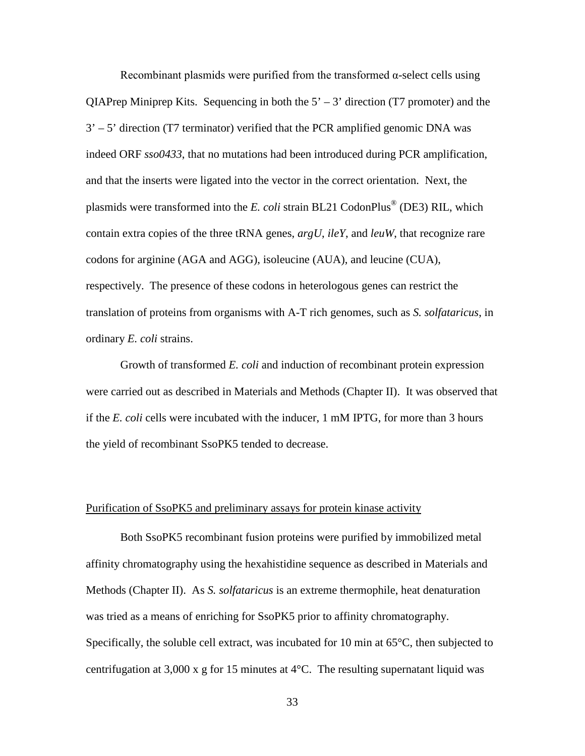Recombinant plasmids were purified from the transformed  $\alpha$ -select cells using QIAPrep Miniprep Kits. Sequencing in both the  $5' - 3'$  direction (T7 promoter) and the  $3' - 5'$  direction (T7 terminator) verified that the PCR amplified genomic DNA was indeed ORF *sso0433*, that no mutations had been introduced during PCR amplification, and that the inserts were ligated into the vector in the correct orientation. Next, the plasmids were transformed into the *E. coli* strain BL21 CodonPlus® (DE3) RIL, which contain extra copies of the three tRNA genes, *argU*, *ileY*, and *leuW*, that recognize rare codons for arginine (AGA and AGG), isoleucine (AUA), and leucine (CUA), respectively. The presence of these codons in heterologous genes can restrict the translation of proteins from organisms with A-T rich genomes, such as *S. solfataricus*, in ordinary *E. coli* strains.

Growth of transformed *E. coli* and induction of recombinant protein expression were carried out as described in Materials and Methods (Chapter II). It was observed that if the *E. coli* cells were incubated with the inducer, 1 mM IPTG, for more than 3 hours the yield of recombinant SsoPK5 tended to decrease.

#### Purification of SsoPK5 and preliminary assays for protein kinase activity

Both SsoPK5 recombinant fusion proteins were purified by immobilized metal affinity chromatography using the hexahistidine sequence as described in Materials and Methods (Chapter II). As *S. solfataricus* is an extreme thermophile, heat denaturation was tried as a means of enriching for SsoPK5 prior to affinity chromatography. Specifically, the soluble cell extract, was incubated for 10 min at 65°C, then subjected to centrifugation at 3,000 x g for 15 minutes at  $4^{\circ}$ C. The resulting supernatant liquid was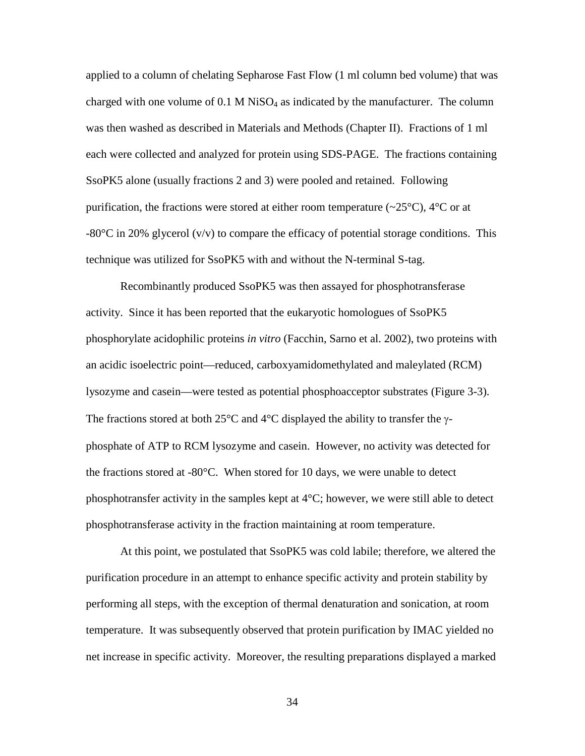applied to a column of chelating Sepharose Fast Flow (1 ml column bed volume) that was charged with one volume of  $0.1$  M NiSO<sub>4</sub> as indicated by the manufacturer. The column was then washed as described in Materials and Methods (Chapter II). Fractions of 1 ml each were collected and analyzed for protein using SDS-PAGE. The fractions containing SsoPK5 alone (usually fractions 2 and 3) were pooled and retained. Following purification, the fractions were stored at either room temperature  $(\sim 25^{\circ}C)$ ,  $4^{\circ}C$  or at  $-80^{\circ}$ C in 20% glycerol (v/v) to compare the efficacy of potential storage conditions. This technique was utilized for SsoPK5 with and without the N-terminal S-tag.

Recombinantly produced SsoPK5 was then assayed for phosphotransferase activity. Since it has been reported that the eukaryotic homologues of SsoPK5 phosphorylate acidophilic proteins *in vitro* (Facchin, Sarno et al. 2002), two proteins with an acidic isoelectric point—reduced, carboxyamidomethylated and maleylated (RCM) lysozyme and casein—were tested as potential phosphoacceptor substrates (Figure 3-3). The fractions stored at both 25 $\degree$ C and 4 $\degree$ C displayed the ability to transfer the  $\gamma$ phosphate of ATP to RCM lysozyme and casein. However, no activity was detected for the fractions stored at -80°C. When stored for 10 days, we were unable to detect phosphotransfer activity in the samples kept at 4°C; however, we were still able to detect phosphotransferase activity in the fraction maintaining at room temperature.

At this point, we postulated that SsoPK5 was cold labile; therefore, we altered the purification procedure in an attempt to enhance specific activity and protein stability by performing all steps, with the exception of thermal denaturation and sonication, at room temperature. It was subsequently observed that protein purification by IMAC yielded no net increase in specific activity. Moreover, the resulting preparations displayed a marked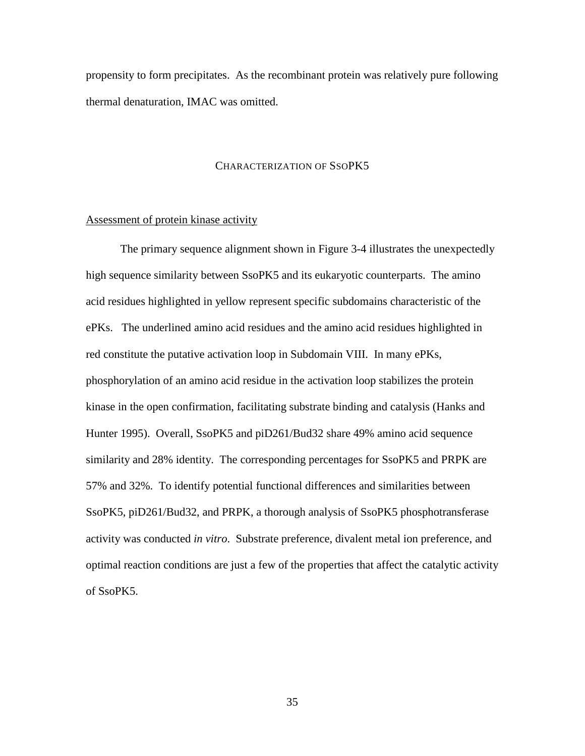propensity to form precipitates. As the recombinant protein was relatively pure following thermal denaturation, IMAC was omitted.

#### CHARACTERIZATION OF SSOPK5

#### Assessment of protein kinase activity

The primary sequence alignment shown in Figure 3-4 illustrates the unexpectedly high sequence similarity between SsoPK5 and its eukaryotic counterparts. The amino acid residues highlighted in yellow represent specific subdomains characteristic of the ePKs. The underlined amino acid residues and the amino acid residues highlighted in red constitute the putative activation loop in Subdomain VIII. In many ePKs, phosphorylation of an amino acid residue in the activation loop stabilizes the protein kinase in the open confirmation, facilitating substrate binding and catalysis (Hanks and Hunter 1995). Overall, SsoPK5 and piD261/Bud32 share 49% amino acid sequence similarity and 28% identity. The corresponding percentages for SsoPK5 and PRPK are 57% and 32%. To identify potential functional differences and similarities between SsoPK5, piD261/Bud32, and PRPK, a thorough analysis of SsoPK5 phosphotransferase activity was conducted *in vitro*. Substrate preference, divalent metal ion preference, and optimal reaction conditions are just a few of the properties that affect the catalytic activity of SsoPK5.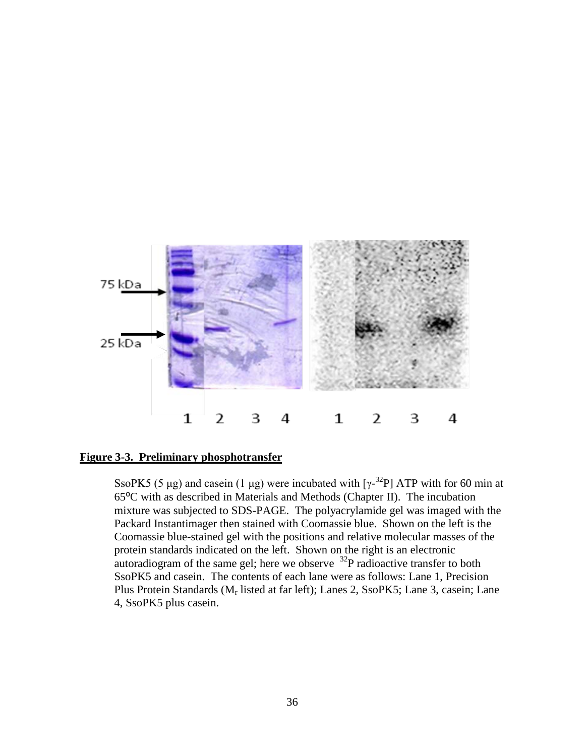

# **Figure 3-3. Preliminary phosphotransfer**

SsoPK5 (5 µg) and casein (1 µg) were incubated with  $[\gamma^{-32}P]$  ATP with for 60 min at 65⁰C with as described in Materials and Methods (Chapter II). The incubation mixture was subjected to SDS-PAGE. The polyacrylamide gel was imaged with the Packard Instantimager then stained with Coomassie blue. Shown on the left is the Coomassie blue-stained gel with the positions and relative molecular masses of the protein standards indicated on the left. Shown on the right is an electronic autoradiogram of the same gel; here we observe  $^{32}P$  radioactive transfer to both SsoPK5 and casein. The contents of each lane were as follows: Lane 1, Precision Plus Protein Standards (Mr listed at far left); Lanes 2, SsoPK5; Lane 3, casein; Lane 4, SsoPK5 plus casein.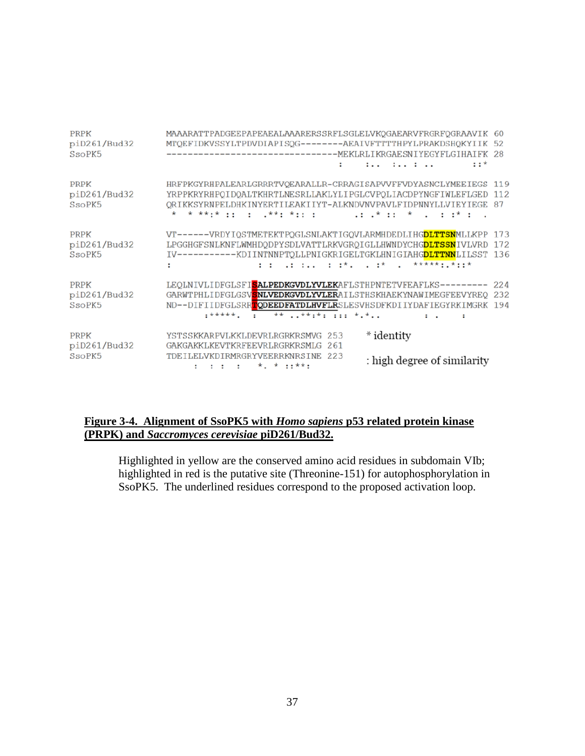| <b>PRPK</b><br>piD261/Bud32<br>SsoPK5 | MAAARATTPADGEEPAPEAEALAAARERSSRFLSGLELVKQGAEARVFRGRFQGRAAVIK 60<br>MTQEFIDKVSSYLTPDVDIAPISQG--------AEAIVFTTTTHPYLPRAKDSHQKYIIK 52<br>------------------------------------ MEKLRLIKRGAESNIYEGYFLGIHAIFK 28<br>$: :$ $*$<br>$\cdots$ $\cdots$                                                                           |  |
|---------------------------------------|------------------------------------------------------------------------------------------------------------------------------------------------------------------------------------------------------------------------------------------------------------------------------------------------------------------------|--|
| <b>PRPK</b><br>piD261/Bud32<br>SsoPK5 | HRFPKGYRHPALEARLGRRRTVQEARALLR-CRRAGISAPVVFFVDYASNCLYMEEIEGS 119<br>YRPPKRYRHPOIDOALTKHRTLNESRLLAKLYLIPGLCVPOLIACDPYNGFIWLEFLGED 112<br>ORIKKSYRNPELDHKINYERTILEAKIIYT-ALKNDVNVPAVLFIDPNNYLLVIEYIEGE<br>87<br>* **:* :: : . **: *:: :<br>$\ldots$ $\ldots$ $\star$ $\ldots$ $\star$ $\ldots$ $\ldots$ $\star$ $\ldots$ |  |
| <b>PRPK</b><br>piD261/Bud32<br>SsoPK5 | VT------VRDYIQSTMETEKTPQGLSNLAKTIGQVLARMHDEDLIHG <b>DLTTSN</b> MLLKPP<br>173<br>LPGGHGFSNLKNFLWMHDODPYSDLVATTLRKVGROIGLLHWNDYCHGDLTSSNIVLVRD<br>172<br>IV-----------KDIINTNNPTQLLPNIGKRIGELTGKLHNIGIAHG <mark>DLTTNN</mark> LILSST                136                                                                  |  |
| <b>PRPK</b><br>piD261/Bud32<br>SsoPK5 | LEQLNIVLIDFGLSFI <b>SALPEDKGVDLYVLEK</b> AFLSTHPNTETVFEAFLKS---------<br>224<br>GARWTPHLIDFGLGSV <mark>SNLVEDKGVDLYVLER</mark> AILSTHSKHAEKYNAWIMEGFEEVYREQ<br>232<br>ND--DIFIIDFGLSRREQDEEDFATDLHVFLRSLESVHSDFKDIIYDAFIEGYRKIMGRK<br>194<br>.***** ** **:*:  *.*<br>$\mathbf{r}$                                      |  |
| <b>PRPK</b><br>piD261/Bud32<br>SsoPK5 | * identity<br>YSTSSKKARPVLKKLDEVRLRGRKRSMVG<br>-253<br>GAKGAKKLKEVTKRFEEVRLRGRKRSMLG<br>261<br>TDEILELVKDIRMRGRYVEERRKNRSINE 223<br>: high degree of similarity                                                                                                                                                        |  |

# **Figure 3-4. Alignment of SsoPK5 with** *Homo sapiens* **p53 related protein kinase (PRPK) and** *Saccromyces cerevisiae* **piD261/Bud32.**

Highlighted in yellow are the conserved amino acid residues in subdomain VIb; highlighted in red is the putative site (Threonine-151) for autophosphorylation in SsoPK5. The underlined residues correspond to the proposed activation loop.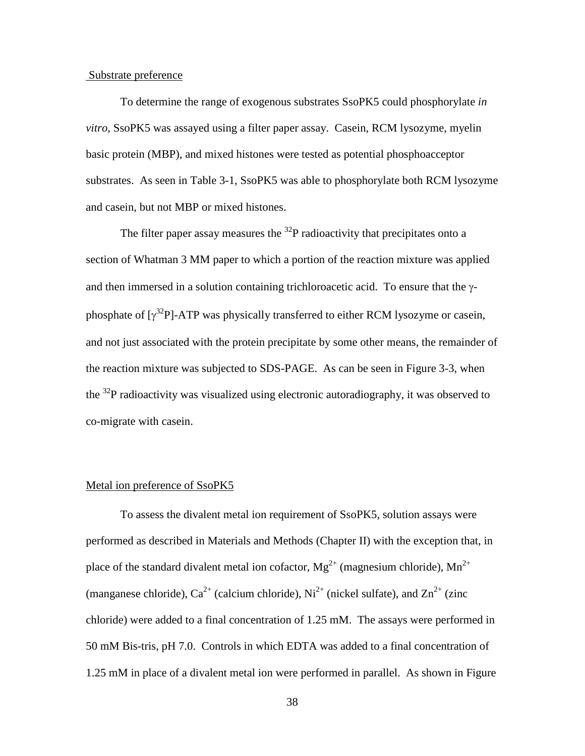#### Substrate preference

To determine the range of exogenous substrates SsoPK5 could phosphorylate *in vitro*, SsoPK5 was assayed using a filter paper assay. Casein, RCM lysozyme, myelin basic protein (MBP), and mixed histones were tested as potential phosphoacceptor substrates. As seen in Table 3-1, SsoPK5 was able to phosphorylate both RCM lysozyme and casein, but not MBP or mixed histones.

The filter paper assay measures the  $^{32}P$  radioactivity that precipitates onto a section of Whatman 3 MM paper to which a portion of the reaction mixture was applied and then immersed in a solution containing trichloroacetic acid. To ensure that the γphosphate of  $[\gamma^{32}P]$ -ATP was physically transferred to either RCM lysozyme or casein, and not just associated with the protein precipitate by some other means, the remainder of the reaction mixture was subjected to SDS-PAGE. As can be seen in Figure 3-3, when the  $^{32}P$  radioactivity was visualized using electronic autoradiography, it was observed to co-migrate with casein.

#### Metal ion preference of SsoPK5

To assess the divalent metal ion requirement of SsoPK5, solution assays were performed as described in Materials and Methods (Chapter II) with the exception that, in place of the standard divalent metal ion cofactor,  $Mg^{2+}$  (magnesium chloride),  $Mn^{2+}$ (manganese chloride),  $Ca^{2+}$  (calcium chloride),  $Ni^{2+}$  (nickel sulfate), and  $Zn^{2+}$  (zinc chloride) were added to a final concentration of 1.25 mM. The assays were performed in 50 mM Bis-tris, pH 7.0. Controls in which EDTA was added to a final concentration of 1.25 mM in place of a divalent metal ion were performed in parallel. As shown in Figure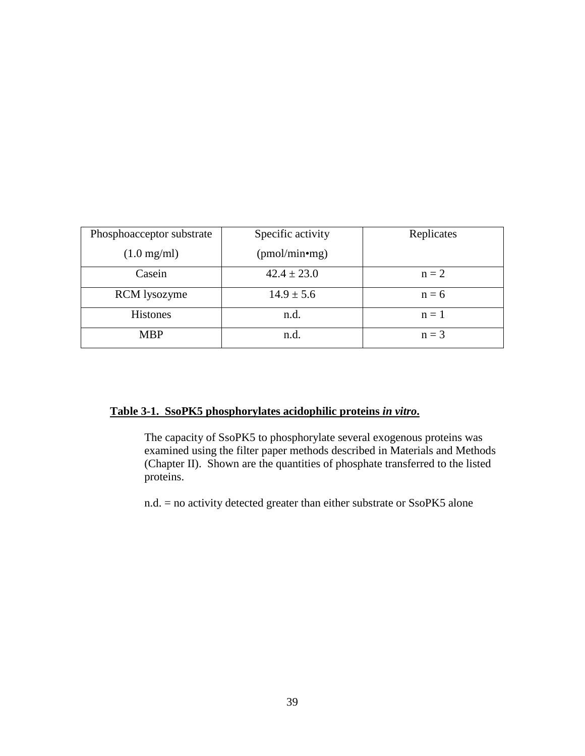| Phosphoacceptor substrate | Specific activity          | Replicates |  |  |  |
|---------------------------|----------------------------|------------|--|--|--|
| $(1.0 \text{ mg/ml})$     | (pmol/min <sup>•</sup> mg) |            |  |  |  |
| Casein                    | $42.4 \pm 23.0$            | $n = 2$    |  |  |  |
| <b>RCM</b> lysozyme       | $14.9 \pm 5.6$             | $n = 6$    |  |  |  |
| <b>Histones</b>           | n.d.                       | $n = 1$    |  |  |  |
| <b>MBP</b>                | n.d.                       | $n = 3$    |  |  |  |

# **Table 3-1. SsoPK5 phosphorylates acidophilic proteins** *in vitro***.**

The capacity of SsoPK5 to phosphorylate several exogenous proteins was examined using the filter paper methods described in Materials and Methods (Chapter II). Shown are the quantities of phosphate transferred to the listed proteins.

n.d. = no activity detected greater than either substrate or SsoPK5 alone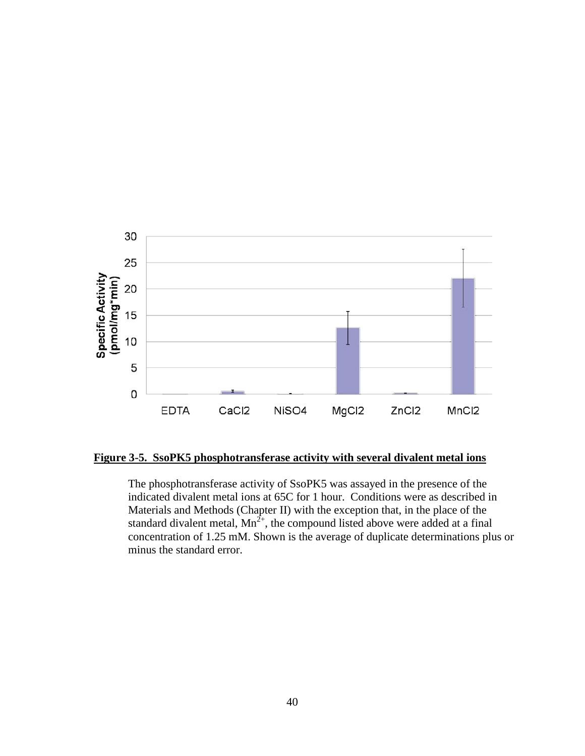

**Figure 3-5. SsoPK5 phosphotransferase activity with several divalent metal ions** 

The phosphotransferase activity of SsoPK5 was assayed in the presence of the indicated divalent metal ions at 65C for 1 hour. Conditions were as described in Materials and Methods (Chapter II) with the exception that, in the place of the standard divalent metal,  $Mn^{2+}$ , the compound listed above were added at a final concentration of 1.25 mM. Shown is the average of duplicate determinations plus or minus the standard error.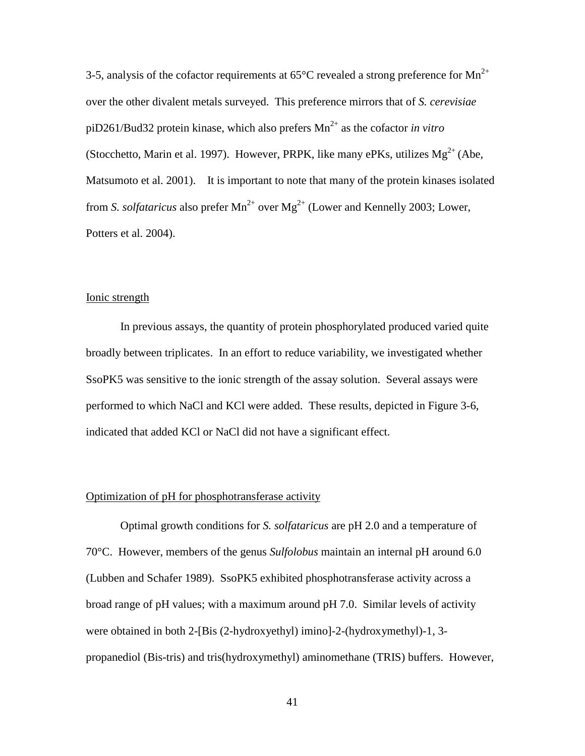3-5, analysis of the cofactor requirements at  $65^{\circ}$ C revealed a strong preference for Mn<sup>2+</sup> over the other divalent metals surveyed. This preference mirrors that of *S. cerevisiae* piD261/Bud32 protein kinase, which also prefers  $Mn^{2+}$  as the cofactor *in vitro* (Stocchetto, Marin et al. 1997). However, PRPK, like many ePKs, utilizes  $Mg^{2+}$  (Abe, Matsumoto et al. 2001). It is important to note that many of the protein kinases isolated from *S. solfataricus* also prefer  $Mn^{2+}$  over  $Mg^{2+}$  (Lower and Kennelly 2003; Lower, Potters et al. 2004).

#### Ionic strength

In previous assays, the quantity of protein phosphorylated produced varied quite broadly between triplicates. In an effort to reduce variability, we investigated whether SsoPK5 was sensitive to the ionic strength of the assay solution. Several assays were performed to which NaCl and KCl were added. These results, depicted in Figure 3-6, indicated that added KCl or NaCl did not have a significant effect.

#### Optimization of pH for phosphotransferase activity

Optimal growth conditions for *S. solfataricus* are pH 2.0 and a temperature of 70°C. However, members of the genus *Sulfolobus* maintain an internal pH around 6.0 (Lubben and Schafer 1989). SsoPK5 exhibited phosphotransferase activity across a broad range of pH values; with a maximum around pH 7.0. Similar levels of activity were obtained in both 2-[Bis (2-hydroxyethyl) imino]-2-(hydroxymethyl)-1, 3 propanediol (Bis-tris) and tris(hydroxymethyl) aminomethane (TRIS) buffers. However,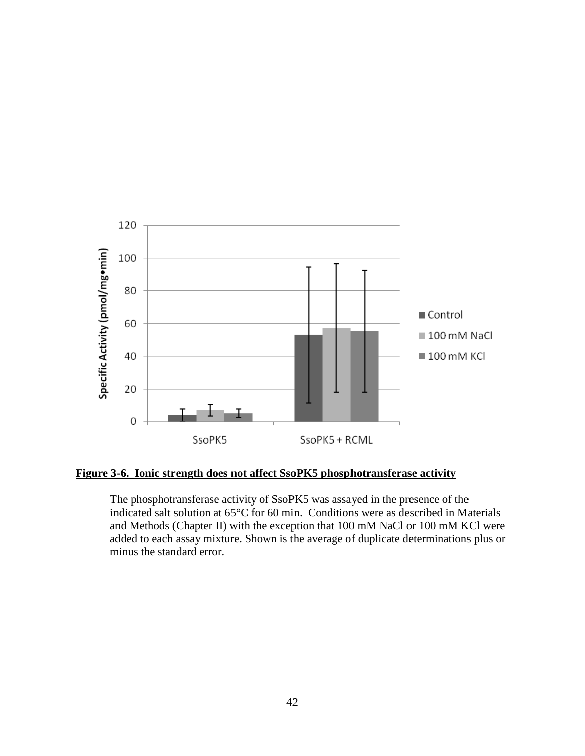

# **Figure 3-6. Ionic strength does not affect SsoPK5 phosphotransferase activity**

The phosphotransferase activity of SsoPK5 was assayed in the presence of the indicated salt solution at 65°C for 60 min. Conditions were as described in Materials and Methods (Chapter II) with the exception that 100 mM NaCl or 100 mM KCl were added to each assay mixture. Shown is the average of duplicate determinations plus or minus the standard error.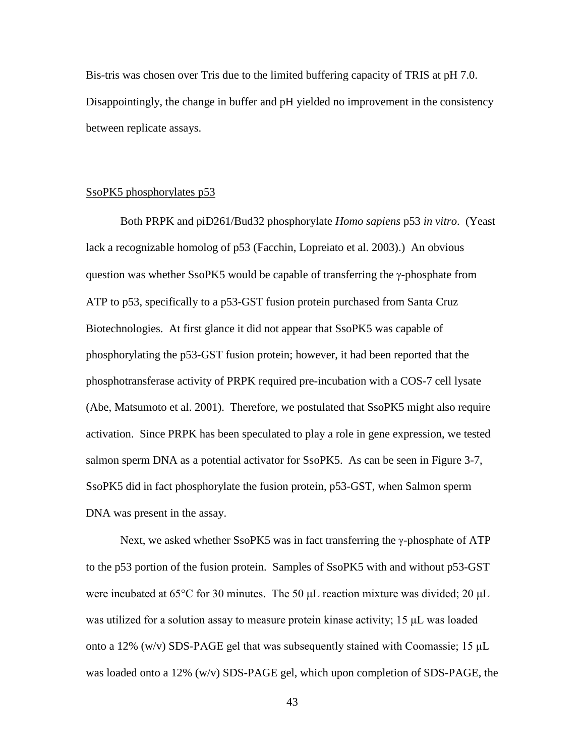Bis-tris was chosen over Tris due to the limited buffering capacity of TRIS at pH 7.0. Disappointingly, the change in buffer and pH yielded no improvement in the consistency between replicate assays.

#### SsoPK5 phosphorylates p53

Both PRPK and piD261/Bud32 phosphorylate *Homo sapiens* p53 *in vitro*. (Yeast lack a recognizable homolog of p53 (Facchin, Lopreiato et al. 2003).) An obvious question was whether SsoPK5 would be capable of transferring the γ-phosphate from ATP to p53, specifically to a p53-GST fusion protein purchased from Santa Cruz Biotechnologies. At first glance it did not appear that SsoPK5 was capable of phosphorylating the p53-GST fusion protein; however, it had been reported that the phosphotransferase activity of PRPK required pre-incubation with a COS-7 cell lysate (Abe, Matsumoto et al. 2001). Therefore, we postulated that SsoPK5 might also require activation. Since PRPK has been speculated to play a role in gene expression, we tested salmon sperm DNA as a potential activator for SsoPK5. As can be seen in Figure 3-7, SsoPK5 did in fact phosphorylate the fusion protein, p53-GST, when Salmon sperm DNA was present in the assay.

Next, we asked whether SsoPK5 was in fact transferring the γ-phosphate of ATP to the p53 portion of the fusion protein. Samples of SsoPK5 with and without p53-GST were incubated at 65°C for 30 minutes. The 50 μL reaction mixture was divided; 20 μL was utilized for a solution assay to measure protein kinase activity; 15 μL was loaded onto a 12% (w/v) SDS-PAGE gel that was subsequently stained with Coomassie; 15 μL was loaded onto a 12% (w/v) SDS-PAGE gel, which upon completion of SDS-PAGE, the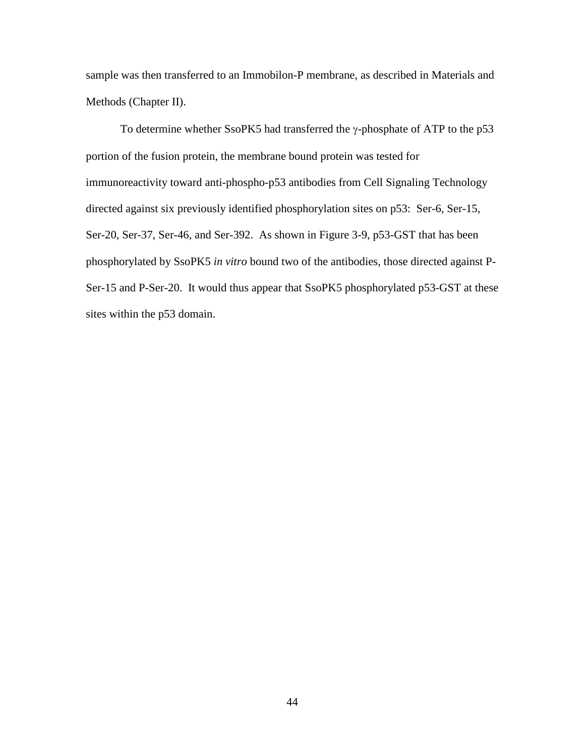sample was then transferred to an Immobilon-P membrane, as described in Materials and Methods (Chapter II).

To determine whether SsoPK5 had transferred the γ-phosphate of ATP to the p53 portion of the fusion protein, the membrane bound protein was tested for immunoreactivity toward anti-phospho-p53 antibodies from Cell Signaling Technology directed against six previously identified phosphorylation sites on p53: Ser-6, Ser-15, Ser-20, Ser-37, Ser-46, and Ser-392. As shown in Figure 3-9, p53-GST that has been phosphorylated by SsoPK5 *in vitro* bound two of the antibodies, those directed against P-Ser-15 and P-Ser-20. It would thus appear that SsoPK5 phosphorylated p53-GST at these sites within the p53 domain.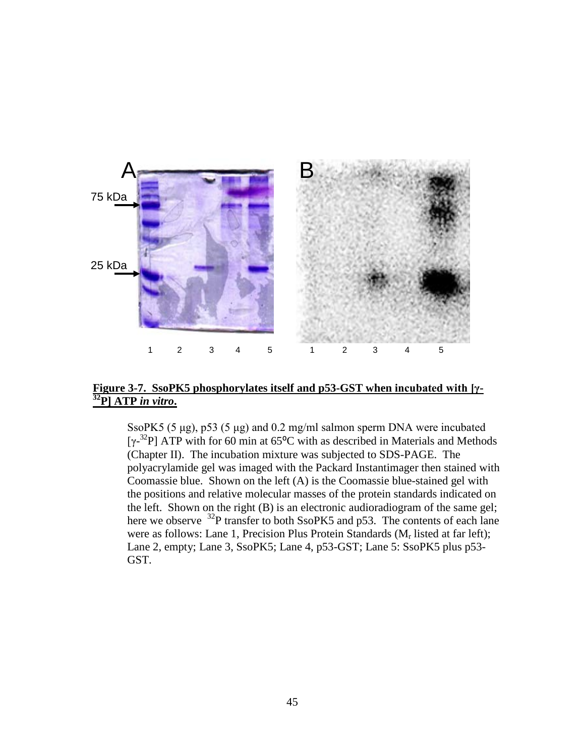

# **Figure 3-7. SsoPK5 phosphorylates itself and p53-GST when incubated with [γ- 32P] ATP** *in vitro***.**

SsoPK5 (5 μg), p53 (5 μg) and 0.2 mg/ml salmon sperm DNA were incubated [ $\gamma$ <sup>-32</sup>P] ATP with for 60 min at 65<sup>o</sup>C with as described in Materials and Methods (Chapter II). The incubation mixture was subjected to SDS-PAGE. The polyacrylamide gel was imaged with the Packard Instantimager then stained with Coomassie blue. Shown on the left (A) is the Coomassie blue-stained gel with the positions and relative molecular masses of the protein standards indicated on the left. Shown on the right (B) is an electronic audioradiogram of the same gel; here we observe <sup>32</sup>P transfer to both SsoPK5 and p53. The contents of each lane were as follows: Lane 1, Precision Plus Protein Standards  $(M_r \text{ listed at far left});$ Lane 2, empty; Lane 3, SsoPK5; Lane 4, p53-GST; Lane 5: SsoPK5 plus p53- GST.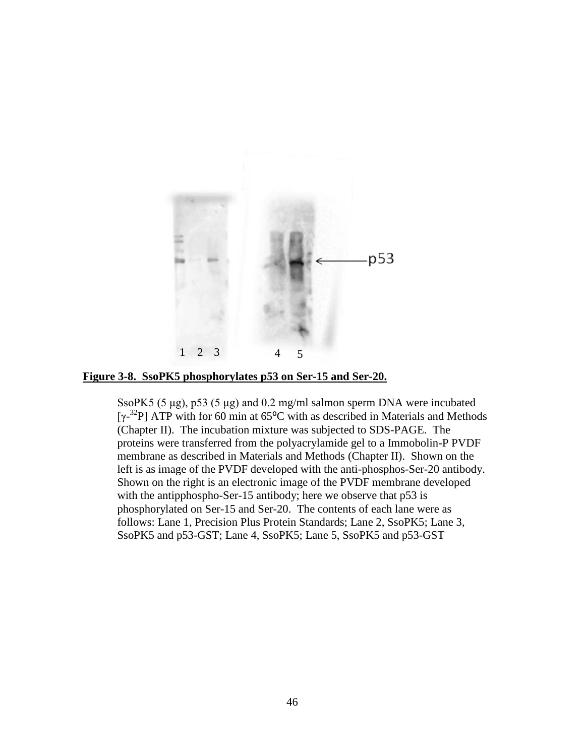

**Figure 3-8. SsoPK5 phosphorylates p53 on Ser-15 and Ser-20.** 

SsoPK5 (5 μg), p53 (5 μg) and 0.2 mg/ml salmon sperm DNA were incubated [ $\gamma$ <sup>-32</sup>P] ATP with for 60 min at 65<sup>o</sup>C with as described in Materials and Methods (Chapter II). The incubation mixture was subjected to SDS-PAGE. The proteins were transferred from the polyacrylamide gel to a Immobolin-P PVDF membrane as described in Materials and Methods (Chapter II). Shown on the left is as image of the PVDF developed with the anti-phosphos-Ser-20 antibody. Shown on the right is an electronic image of the PVDF membrane developed with the antipphospho-Ser-15 antibody; here we observe that p53 is phosphorylated on Ser-15 and Ser-20. The contents of each lane were as follows: Lane 1, Precision Plus Protein Standards; Lane 2, SsoPK5; Lane 3, SsoPK5 and p53-GST; Lane 4, SsoPK5; Lane 5, SsoPK5 and p53-GST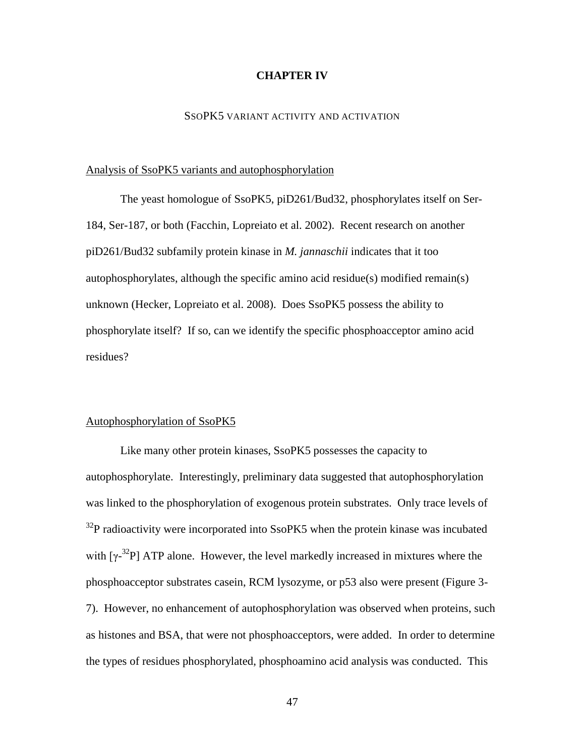#### **CHAPTER IV**

#### SSOPK5 VARIANT ACTIVITY AND ACTIVATION

#### Analysis of SsoPK5 variants and autophosphorylation

The yeast homologue of SsoPK5, piD261/Bud32, phosphorylates itself on Ser-184, Ser-187, or both (Facchin, Lopreiato et al. 2002). Recent research on another piD261/Bud32 subfamily protein kinase in *M. jannaschii* indicates that it too autophosphorylates, although the specific amino acid residue(s) modified remain(s) unknown (Hecker, Lopreiato et al. 2008). Does SsoPK5 possess the ability to phosphorylate itself? If so, can we identify the specific phosphoacceptor amino acid residues?

#### Autophosphorylation of SsoPK5

Like many other protein kinases, SsoPK5 possesses the capacity to autophosphorylate. Interestingly, preliminary data suggested that autophosphorylation was linked to the phosphorylation of exogenous protein substrates. Only trace levels of  $32P$  radioactivity were incorporated into SsoPK5 when the protein kinase was incubated with  $[\gamma^{32}P]$  ATP alone. However, the level markedly increased in mixtures where the phosphoacceptor substrates casein, RCM lysozyme, or p53 also were present (Figure 3- 7). However, no enhancement of autophosphorylation was observed when proteins, such as histones and BSA, that were not phosphoacceptors, were added. In order to determine the types of residues phosphorylated, phosphoamino acid analysis was conducted. This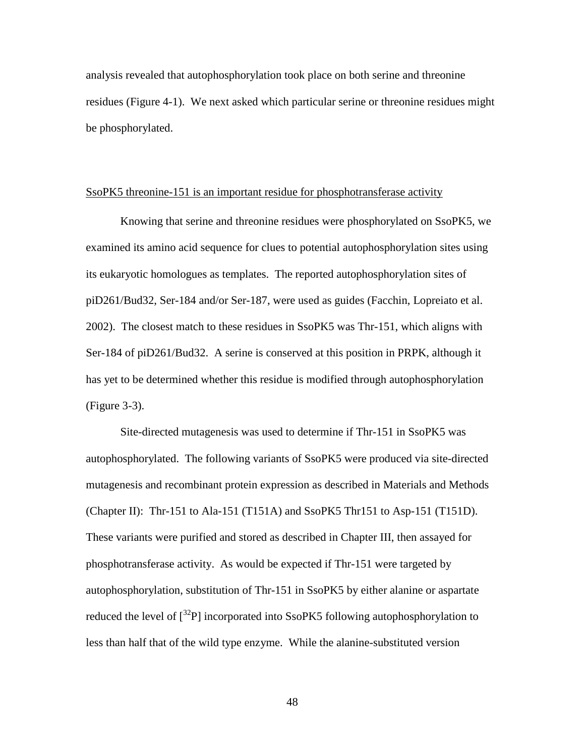analysis revealed that autophosphorylation took place on both serine and threonine residues (Figure 4-1). We next asked which particular serine or threonine residues might be phosphorylated.

#### SsoPK5 threonine-151 is an important residue for phosphotransferase activity

Knowing that serine and threonine residues were phosphorylated on SsoPK5, we examined its amino acid sequence for clues to potential autophosphorylation sites using its eukaryotic homologues as templates. The reported autophosphorylation sites of piD261/Bud32, Ser-184 and/or Ser-187, were used as guides (Facchin, Lopreiato et al. 2002). The closest match to these residues in SsoPK5 was Thr-151, which aligns with Ser-184 of piD261/Bud32. A serine is conserved at this position in PRPK, although it has yet to be determined whether this residue is modified through autophosphorylation (Figure 3-3).

Site-directed mutagenesis was used to determine if Thr-151 in SsoPK5 was autophosphorylated. The following variants of SsoPK5 were produced via site-directed mutagenesis and recombinant protein expression as described in Materials and Methods (Chapter II): Thr-151 to Ala-151 (T151A) and SsoPK5 Thr151 to Asp-151 (T151D). These variants were purified and stored as described in Chapter III, then assayed for phosphotransferase activity. As would be expected if Thr-151 were targeted by autophosphorylation, substitution of Thr-151 in SsoPK5 by either alanine or aspartate reduced the level of  $\int^{32}P$ ] incorporated into SsoPK5 following autophosphorylation to less than half that of the wild type enzyme. While the alanine-substituted version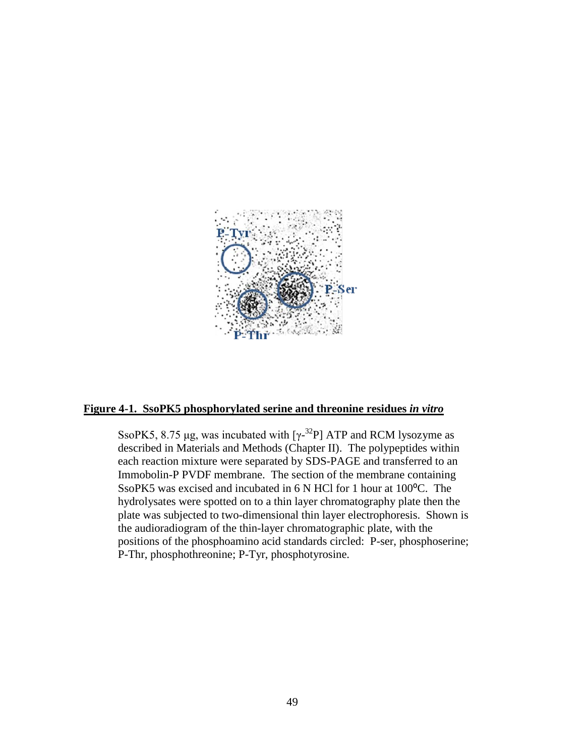

#### **Figure 4-1. SsoPK5 phosphorylated serine and threonine residues** *in vitro*

SsoPK5, 8.75 µg, was incubated with  $[\gamma^{-32}P]$  ATP and RCM lysozyme as described in Materials and Methods (Chapter II). The polypeptides within each reaction mixture were separated by SDS-PAGE and transferred to an Immobolin-P PVDF membrane. The section of the membrane containing SsoPK5 was excised and incubated in 6 N HCl for 1 hour at 100°C. The hydrolysates were spotted on to a thin layer chromatography plate then the plate was subjected to two-dimensional thin layer electrophoresis. Shown is the audioradiogram of the thin-layer chromatographic plate, with the positions of the phosphoamino acid standards circled: P-ser, phosphoserine; P-Thr, phosphothreonine; P-Tyr, phosphotyrosine.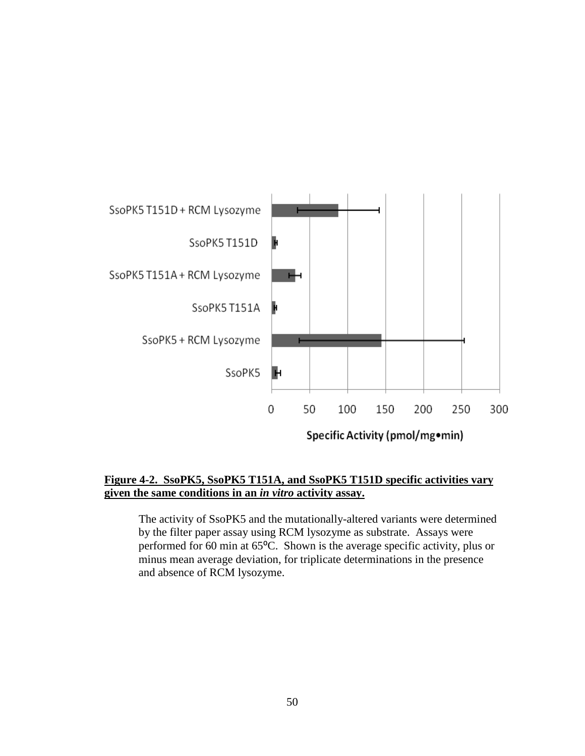

# **Figure 4-2. SsoPK5, SsoPK5 T151A, and SsoPK5 T151D specific activities vary given the same conditions in an** *in vitro* **activity assay.**

The activity of SsoPK5 and the mutationally-altered variants were determined by the filter paper assay using RCM lysozyme as substrate. Assays were performed for 60 min at 65°C. Shown is the average specific activity, plus or minus mean average deviation, for triplicate determinations in the presence and absence of RCM lysozyme.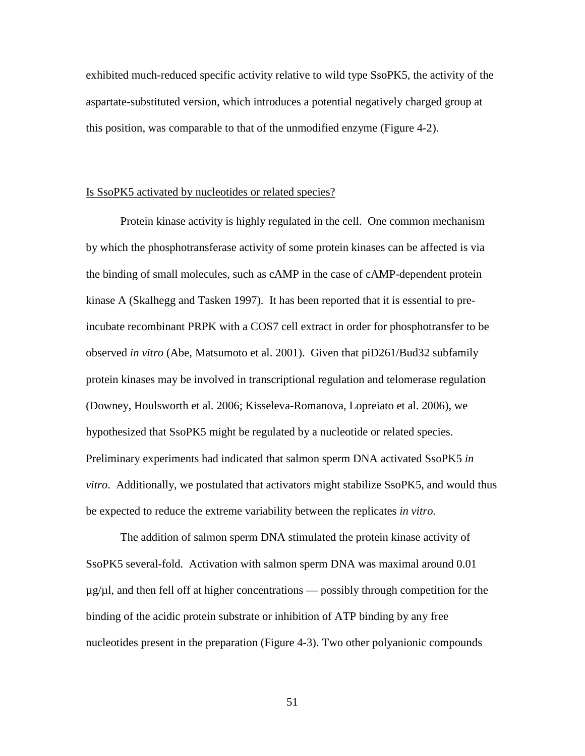exhibited much-reduced specific activity relative to wild type SsoPK5, the activity of the aspartate-substituted version, which introduces a potential negatively charged group at this position, was comparable to that of the unmodified enzyme (Figure 4-2).

#### Is SsoPK5 activated by nucleotides or related species?

Protein kinase activity is highly regulated in the cell. One common mechanism by which the phosphotransferase activity of some protein kinases can be affected is via the binding of small molecules, such as cAMP in the case of cAMP-dependent protein kinase A (Skalhegg and Tasken 1997). It has been reported that it is essential to preincubate recombinant PRPK with a COS7 cell extract in order for phosphotransfer to be observed *in vitro* (Abe, Matsumoto et al. 2001). Given that piD261/Bud32 subfamily protein kinases may be involved in transcriptional regulation and telomerase regulation (Downey, Houlsworth et al. 2006; Kisseleva-Romanova, Lopreiato et al. 2006), we hypothesized that SsoPK5 might be regulated by a nucleotide or related species. Preliminary experiments had indicated that salmon sperm DNA activated SsoPK5 *in vitro*. Additionally, we postulated that activators might stabilize SsoPK5, and would thus be expected to reduce the extreme variability between the replicates *in vitro.*

The addition of salmon sperm DNA stimulated the protein kinase activity of SsoPK5 several-fold. Activation with salmon sperm DNA was maximal around 0.01  $\mu$ g/ $\mu$ l, and then fell off at higher concentrations — possibly through competition for the binding of the acidic protein substrate or inhibition of ATP binding by any free nucleotides present in the preparation (Figure 4-3). Two other polyanionic compounds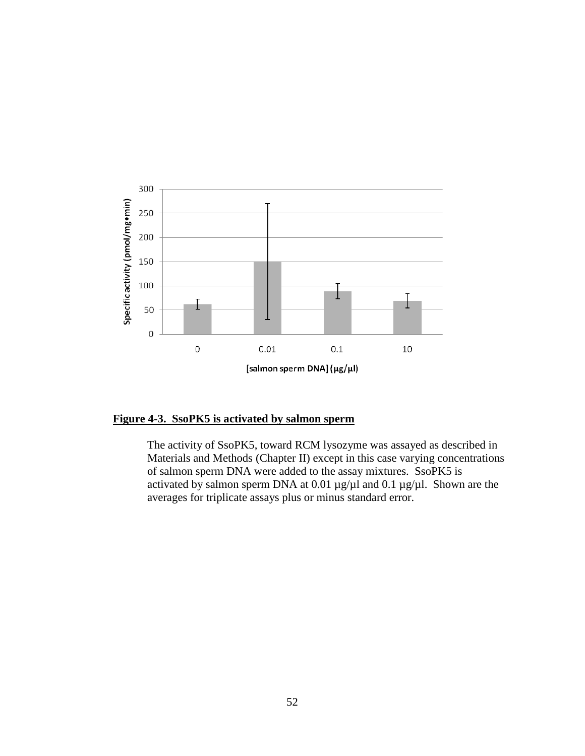

**Figure 4-3. SsoPK5 is activated by salmon sperm** 

The activity of SsoPK5, toward RCM lysozyme was assayed as described in Materials and Methods (Chapter II) except in this case varying concentrations of salmon sperm DNA were added to the assay mixtures. SsoPK5 is activated by salmon sperm DNA at 0.01  $\mu$ g/ $\mu$ l and 0.1  $\mu$ g/ $\mu$ l. Shown are the averages for triplicate assays plus or minus standard error.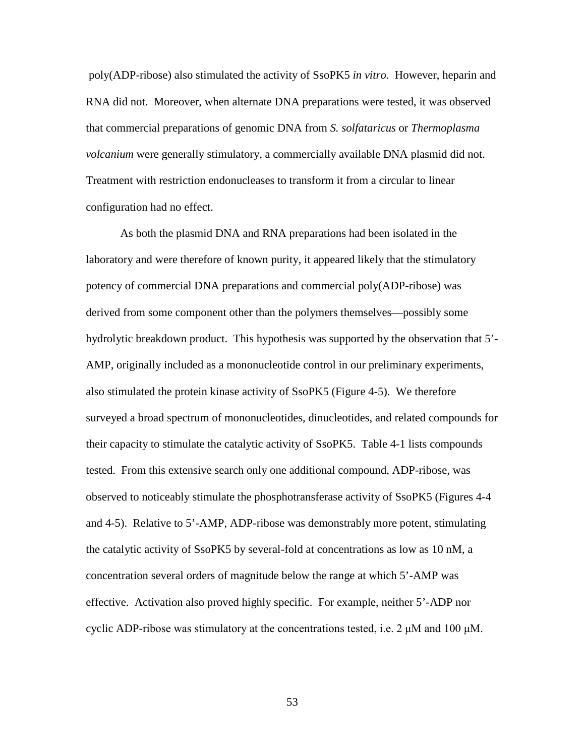poly(ADP-ribose) also stimulated the activity of SsoPK5 *in vitro.* However, heparin and RNA did not. Moreover, when alternate DNA preparations were tested, it was observed that commercial preparations of genomic DNA from *S. solfataricus* or *Thermoplasma volcanium* were generally stimulatory, a commercially available DNA plasmid did not. Treatment with restriction endonucleases to transform it from a circular to linear configuration had no effect.

As both the plasmid DNA and RNA preparations had been isolated in the laboratory and were therefore of known purity, it appeared likely that the stimulatory potency of commercial DNA preparations and commercial poly(ADP-ribose) was derived from some component other than the polymers themselves—possibly some hydrolytic breakdown product. This hypothesis was supported by the observation that 5'- AMP, originally included as a mononucleotide control in our preliminary experiments, also stimulated the protein kinase activity of SsoPK5 (Figure 4-5). We therefore surveyed a broad spectrum of mononucleotides, dinucleotides, and related compounds for their capacity to stimulate the catalytic activity of SsoPK5. Table 4-1 lists compounds tested. From this extensive search only one additional compound, ADP-ribose, was observed to noticeably stimulate the phosphotransferase activity of SsoPK5 (Figures 4-4 and 4-5). Relative to 5'-AMP, ADP-ribose was demonstrably more potent, stimulating the catalytic activity of SsoPK5 by several-fold at concentrations as low as 10 nM, a concentration several orders of magnitude below the range at which 5'-AMP was effective. Activation also proved highly specific. For example, neither 5'-ADP nor cyclic ADP-ribose was stimulatory at the concentrations tested, i.e.  $2 \mu M$  and 100  $\mu M$ .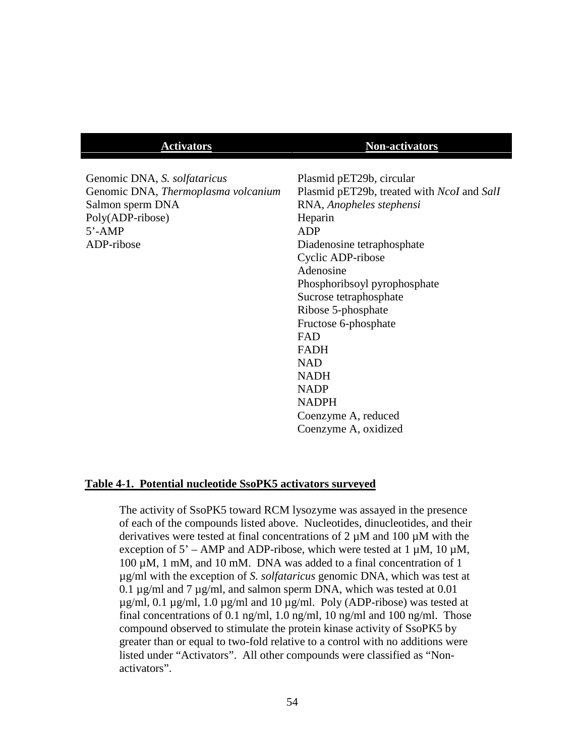#### **Activators Non-activators**

Genomic DNA, *S. solfataricus* Genomic DNA, *Thermoplasma volcanium* Salmon sperm DNA Poly(ADP-ribose) 5'-AMP ADP-ribose

Plasmid pET29b, circular Plasmid pET29b, treated with *NcoI* and *SalI* RNA, *Anopheles stephensi* Heparin ADP Diadenosine tetraphosphate Cyclic ADP-ribose Adenosine Phosphoribsoyl pyrophosphate Sucrose tetraphosphate Ribose 5-phosphate Fructose 6-phosphate FAD FADH NAD NADH NADP NADPH Coenzyme A, reduced Coenzyme A, oxidized

#### **Table 4-1. Potential nucleotide SsoPK5 activators surveyed**

The activity of SsoPK5 toward RCM lysozyme was assayed in the presence of each of the compounds listed above. Nucleotides, dinucleotides, and their derivatives were tested at final concentrations of 2 µM and 100 µM with the exception of  $5'$  – AMP and ADP-ribose, which were tested at 1  $\mu$ M, 10  $\mu$ M,  $100 \mu M$ , 1 mM, and 10 mM. DNA was added to a final concentration of 1 µg/ml with the exception of *S. solfataricus* genomic DNA, which was test at 0.1 µg/ml and 7 µg/ml, and salmon sperm DNA, which was tested at 0.01  $\mu$ g/ml, 0.1  $\mu$ g/ml, 1.0  $\mu$ g/ml and 10  $\mu$ g/ml. Poly (ADP-ribose) was tested at final concentrations of 0.1 ng/ml, 1.0 ng/ml, 10 ng/ml and 100 ng/ml. Those compound observed to stimulate the protein kinase activity of SsoPK5 by greater than or equal to two-fold relative to a control with no additions were listed under "Activators". All other compounds were classified as "Nonactivators".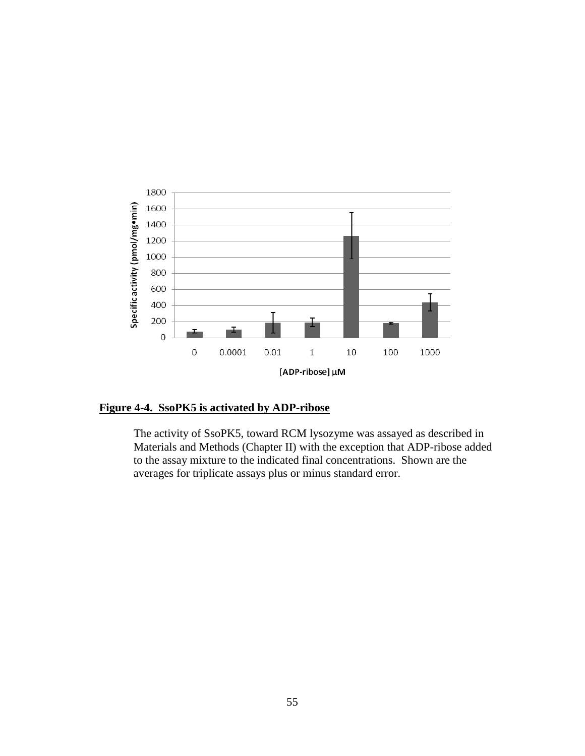

# **Figure 4-4. SsoPK5 is activated by ADP-ribose**

The activity of SsoPK5, toward RCM lysozyme was assayed as described in Materials and Methods (Chapter II) with the exception that ADP-ribose added to the assay mixture to the indicated final concentrations. Shown are the averages for triplicate assays plus or minus standard error.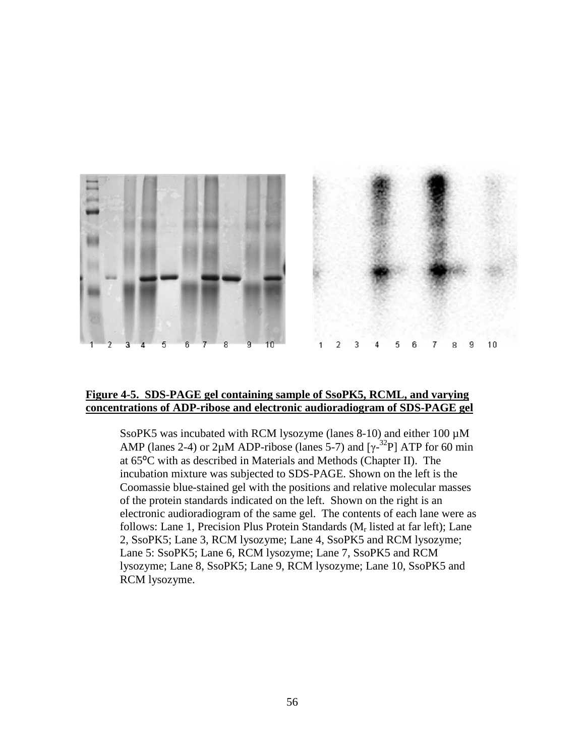



# **Figure 4-5. SDS-PAGE gel containing sample of SsoPK5, RCML, and varying concentrations of ADP-ribose and electronic audioradiogram of SDS-PAGE gel**

SsoPK5 was incubated with RCM lysozyme (lanes 8-10) and either 100  $\mu$ M AMP (lanes 2-4) or 2 $\mu$ M ADP-ribose (lanes 5-7) and [ $\gamma$ -<sup>32</sup>P] ATP for 60 min at 65⁰C with as described in Materials and Methods (Chapter II). The incubation mixture was subjected to SDS-PAGE. Shown on the left is the Coomassie blue-stained gel with the positions and relative molecular masses of the protein standards indicated on the left. Shown on the right is an electronic audioradiogram of the same gel. The contents of each lane were as follows: Lane 1, Precision Plus Protein Standards  $(M_r \text{ listed at far left})$ ; Lane 2, SsoPK5; Lane 3, RCM lysozyme; Lane 4, SsoPK5 and RCM lysozyme; Lane 5: SsoPK5; Lane 6, RCM lysozyme; Lane 7, SsoPK5 and RCM lysozyme; Lane 8, SsoPK5; Lane 9, RCM lysozyme; Lane 10, SsoPK5 and RCM lysozyme.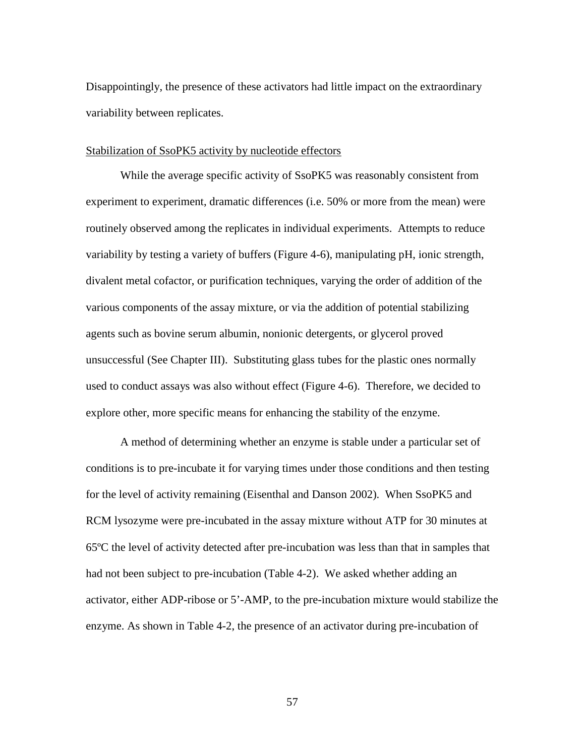Disappointingly, the presence of these activators had little impact on the extraordinary variability between replicates.

#### Stabilization of SsoPK5 activity by nucleotide effectors

While the average specific activity of SsoPK5 was reasonably consistent from experiment to experiment, dramatic differences (i.e. 50% or more from the mean) were routinely observed among the replicates in individual experiments. Attempts to reduce variability by testing a variety of buffers (Figure 4-6), manipulating pH, ionic strength, divalent metal cofactor, or purification techniques, varying the order of addition of the various components of the assay mixture, or via the addition of potential stabilizing agents such as bovine serum albumin, nonionic detergents, or glycerol proved unsuccessful (See Chapter III). Substituting glass tubes for the plastic ones normally used to conduct assays was also without effect (Figure 4-6). Therefore, we decided to explore other, more specific means for enhancing the stability of the enzyme.

A method of determining whether an enzyme is stable under a particular set of conditions is to pre-incubate it for varying times under those conditions and then testing for the level of activity remaining (Eisenthal and Danson 2002). When SsoPK5 and RCM lysozyme were pre-incubated in the assay mixture without ATP for 30 minutes at 65ºC the level of activity detected after pre-incubation was less than that in samples that had not been subject to pre-incubation (Table 4-2). We asked whether adding an activator, either ADP-ribose or 5'-AMP, to the pre-incubation mixture would stabilize the enzyme. As shown in Table 4-2, the presence of an activator during pre-incubation of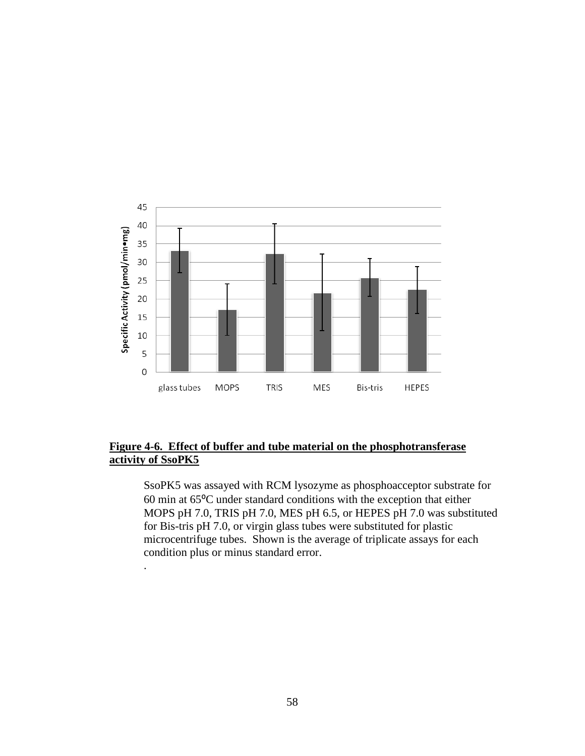

# **Figure 4-6. Effect of buffer and tube material on the phosphotransferase activity of SsoPK5**

.

SsoPK5 was assayed with RCM lysozyme as phosphoacceptor substrate for 60 min at 65⁰C under standard conditions with the exception that either MOPS pH 7.0, TRIS pH 7.0, MES pH 6.5, or HEPES pH 7.0 was substituted for Bis-tris pH 7.0, or virgin glass tubes were substituted for plastic microcentrifuge tubes. Shown is the average of triplicate assays for each condition plus or minus standard error.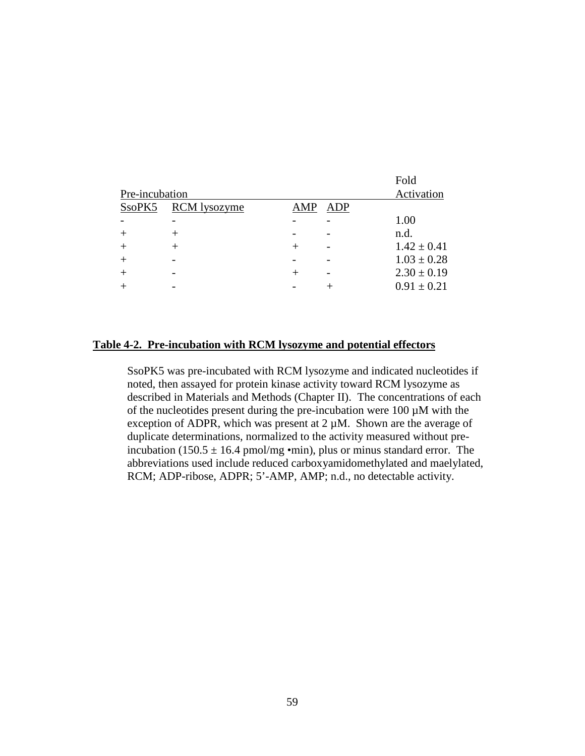|                |                     |      |     | Fold            |
|----------------|---------------------|------|-----|-----------------|
| Pre-incubation | Activation          |      |     |                 |
| SsoPK5         | <b>RCM</b> lysozyme | AMP  | ADP |                 |
|                |                     |      |     | 1.00            |
|                |                     |      |     | n.d.            |
|                |                     |      |     | $1.42 \pm 0.41$ |
|                |                     |      |     | $1.03 \pm 0.28$ |
|                |                     | $^+$ |     | $2.30 \pm 0.19$ |
|                |                     |      |     | $0.91 \pm 0.21$ |
|                |                     |      |     |                 |

# **Table 4-2. Pre-incubation with RCM lysozyme and potential effectors**

SsoPK5 was pre-incubated with RCM lysozyme and indicated nucleotides if noted, then assayed for protein kinase activity toward RCM lysozyme as described in Materials and Methods (Chapter II). The concentrations of each of the nucleotides present during the pre-incubation were  $100 \mu M$  with the exception of ADPR, which was present at  $2 \mu M$ . Shown are the average of duplicate determinations, normalized to the activity measured without preincubation (150.5  $\pm$  16.4 pmol/mg •min), plus or minus standard error. The abbreviations used include reduced carboxyamidomethylated and maelylated, RCM; ADP-ribose, ADPR; 5'-AMP, AMP; n.d., no detectable activity.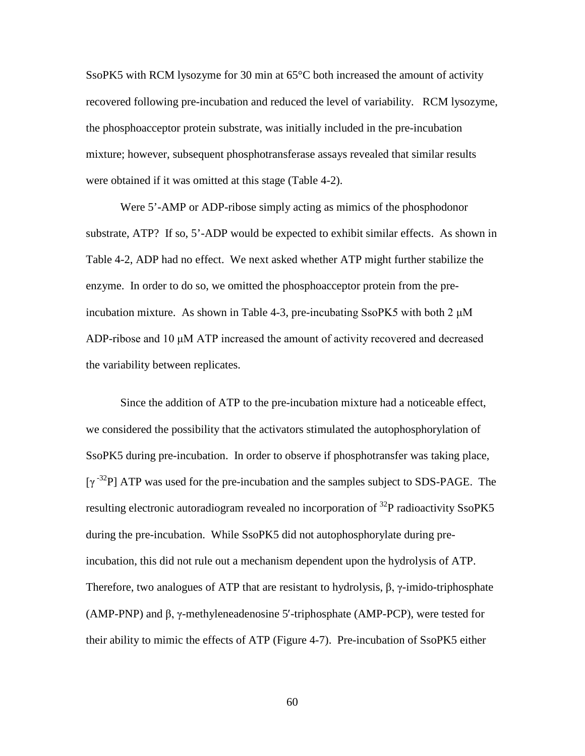SsoPK5 with RCM lysozyme for 30 min at 65°C both increased the amount of activity recovered following pre-incubation and reduced the level of variability. RCM lysozyme, the phosphoacceptor protein substrate, was initially included in the pre-incubation mixture; however, subsequent phosphotransferase assays revealed that similar results were obtained if it was omitted at this stage (Table 4-2).

Were 5'-AMP or ADP-ribose simply acting as mimics of the phosphodonor substrate, ATP? If so, 5'-ADP would be expected to exhibit similar effects. As shown in Table 4-2, ADP had no effect. We next asked whether ATP might further stabilize the enzyme. In order to do so, we omitted the phosphoacceptor protein from the preincubation mixture. As shown in Table 4-3, pre-incubating SsoPK5 with both  $2 \mu M$ ADP-ribose and 10 μM ATP increased the amount of activity recovered and decreased the variability between replicates.

Since the addition of ATP to the pre-incubation mixture had a noticeable effect, we considered the possibility that the activators stimulated the autophosphorylation of SsoPK5 during pre-incubation. In order to observe if phosphotransfer was taking place,  $[\gamma^{-32}P]$  ATP was used for the pre-incubation and the samples subject to SDS-PAGE. The resulting electronic autoradiogram revealed no incorporation of <sup>32</sup>P radioactivity SsoPK5 during the pre-incubation. While SsoPK5 did not autophosphorylate during preincubation, this did not rule out a mechanism dependent upon the hydrolysis of ATP. Therefore, two analogues of ATP that are resistant to hydrolysis,  $\beta$ ,  $\gamma$ -imido-triphosphate (AMP-PNP) and β, γ-methyleneadenosine 5′-triphosphate (AMP-PCP), were tested for their ability to mimic the effects of ATP (Figure 4-7). Pre-incubation of SsoPK5 either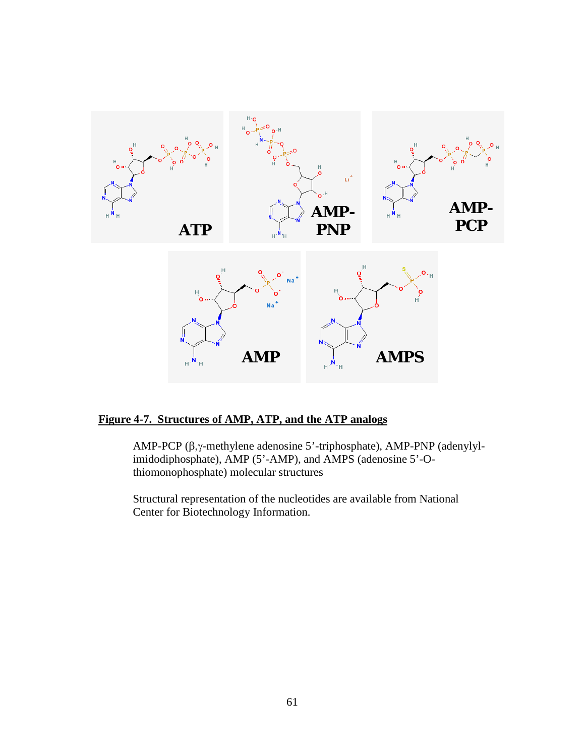

# **Figure 4-7. Structures of AMP, ATP, and the ATP analogs**

AMP-PCP (β,γ-methylene adenosine 5'-triphosphate), AMP-PNP (adenylylimidodiphosphate), AMP (5'-AMP), and AMPS (adenosine 5'-Othiomonophosphate) molecular structures

Structural representation of the nucleotides are available from National Center for Biotechnology Information.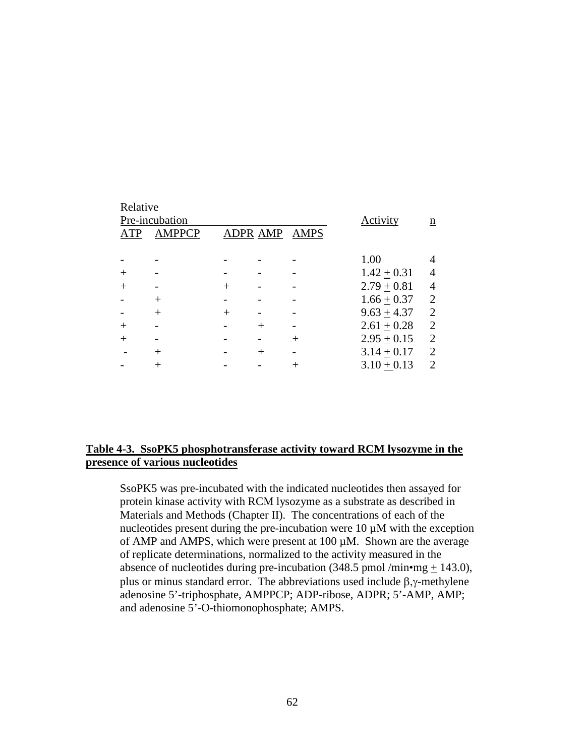| Relative<br>ATP | Pre-incubation<br><b>AMPPCP</b> |        | <b>ADPR AMP</b> | AMPS    | <b>Activity</b> | n              |
|-----------------|---------------------------------|--------|-----------------|---------|-----------------|----------------|
|                 |                                 |        |                 |         | 1.00            |                |
|                 |                                 |        |                 |         | $1.42 + 0.31$   | 4              |
| $^+$            |                                 | $\, +$ |                 |         | $2.79 + 0.81$   | 4              |
|                 | $^{+}$                          |        |                 |         | $1.66 + 0.37$   | $\overline{2}$ |
|                 | $^{+}$                          | $\, +$ |                 |         | $9.63 + 4.37$   | $\overline{2}$ |
| $^+$            |                                 |        | $^{+}$          |         | $2.61 + 0.28$   | $\overline{2}$ |
| $^{+}$          |                                 |        |                 | $\,+\,$ | $2.95 + 0.15$   | $\overline{2}$ |
|                 | $^{+}$                          |        | $\, +$          |         | $3.14 + 0.17$   | $\overline{2}$ |
|                 |                                 |        |                 |         | $3.10 + 0.13$   | 2              |

## **Table 4-3. SsoPK5 phosphotransferase activity toward RCM lysozyme in the presence of various nucleotides**

SsoPK5 was pre-incubated with the indicated nucleotides then assayed for protein kinase activity with RCM lysozyme as a substrate as described in Materials and Methods (Chapter II). The concentrations of each of the nucleotides present during the pre-incubation were  $10 \mu M$  with the exception of AMP and AMPS, which were present at 100 µM. Shown are the average of replicate determinations, normalized to the activity measured in the absence of nucleotides during pre-incubation (348.5 pmol /min•mg  $+$  143.0), plus or minus standard error. The abbreviations used include  $β, γ$ -methylene adenosine 5'-triphosphate, AMPPCP; ADP-ribose, ADPR; 5'-AMP, AMP; and adenosine 5'-O-thiomonophosphate; AMPS.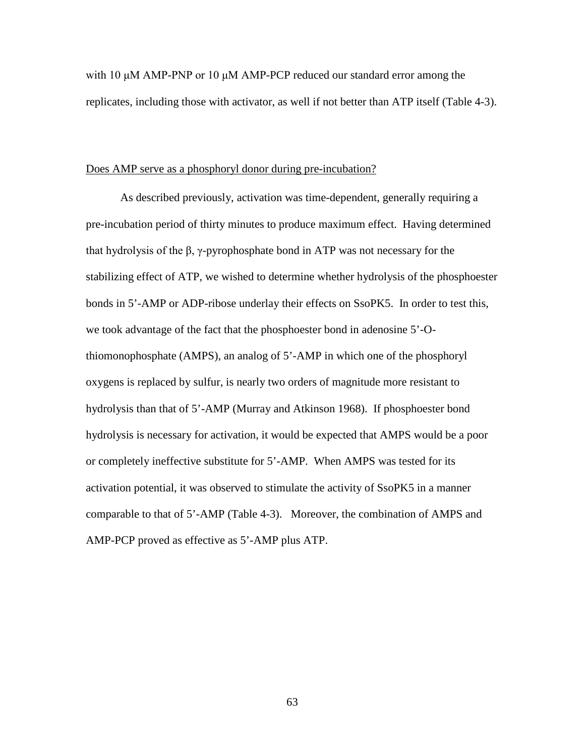with 10 μM AMP-PNP or 10 μM AMP-PCP reduced our standard error among the replicates, including those with activator, as well if not better than ATP itself (Table 4-3).

### Does AMP serve as a phosphoryl donor during pre-incubation?

As described previously, activation was time-dependent, generally requiring a pre-incubation period of thirty minutes to produce maximum effect. Having determined that hydrolysis of the β, γ-pyrophosphate bond in ATP was not necessary for the stabilizing effect of ATP, we wished to determine whether hydrolysis of the phosphoester bonds in 5'-AMP or ADP-ribose underlay their effects on SsoPK5. In order to test this, we took advantage of the fact that the phosphoester bond in adenosine 5'-Othiomonophosphate (AMPS), an analog of 5'-AMP in which one of the phosphoryl oxygens is replaced by sulfur, is nearly two orders of magnitude more resistant to hydrolysis than that of 5'-AMP (Murray and Atkinson 1968). If phosphoester bond hydrolysis is necessary for activation, it would be expected that AMPS would be a poor or completely ineffective substitute for 5'-AMP. When AMPS was tested for its activation potential, it was observed to stimulate the activity of SsoPK5 in a manner comparable to that of 5'-AMP (Table 4-3). Moreover, the combination of AMPS and AMP-PCP proved as effective as 5'-AMP plus ATP.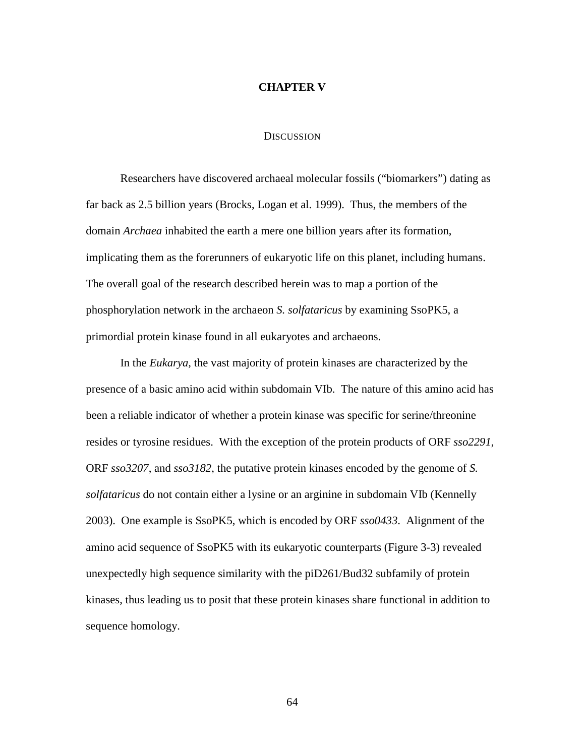### **CHAPTER V**

### **DISCUSSION**

Researchers have discovered archaeal molecular fossils ("biomarkers") dating as far back as 2.5 billion years (Brocks, Logan et al. 1999). Thus, the members of the domain *Archaea* inhabited the earth a mere one billion years after its formation, implicating them as the forerunners of eukaryotic life on this planet, including humans. The overall goal of the research described herein was to map a portion of the phosphorylation network in the archaeon *S. solfataricus* by examining SsoPK5, a primordial protein kinase found in all eukaryotes and archaeons.

In the *Eukarya,* the vast majority of protein kinases are characterized by the presence of a basic amino acid within subdomain VIb. The nature of this amino acid has been a reliable indicator of whether a protein kinase was specific for serine/threonine resides or tyrosine residues. With the exception of the protein products of ORF *sso2291*, ORF *sso3207*, and *sso3182*, the putative protein kinases encoded by the genome of *S. solfataricus* do not contain either a lysine or an arginine in subdomain VIb (Kennelly 2003). One example is SsoPK5, which is encoded by ORF *sso0433*. Alignment of the amino acid sequence of SsoPK5 with its eukaryotic counterparts (Figure 3-3) revealed unexpectedly high sequence similarity with the piD261/Bud32 subfamily of protein kinases, thus leading us to posit that these protein kinases share functional in addition to sequence homology.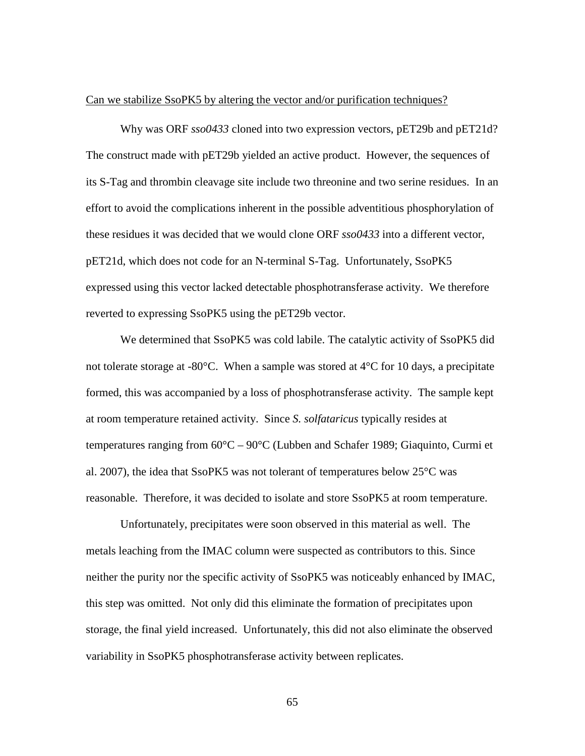#### Can we stabilize SsoPK5 by altering the vector and/or purification techniques?

Why was ORF *sso0433* cloned into two expression vectors, pET29b and pET21d? The construct made with pET29b yielded an active product. However, the sequences of its S-Tag and thrombin cleavage site include two threonine and two serine residues. In an effort to avoid the complications inherent in the possible adventitious phosphorylation of these residues it was decided that we would clone ORF *sso0433* into a different vector, pET21d, which does not code for an N-terminal S-Tag. Unfortunately, SsoPK5 expressed using this vector lacked detectable phosphotransferase activity. We therefore reverted to expressing SsoPK5 using the pET29b vector.

We determined that SsoPK5 was cold labile. The catalytic activity of SsoPK5 did not tolerate storage at -80 $^{\circ}$ C. When a sample was stored at 4 $^{\circ}$ C for 10 days, a precipitate formed, this was accompanied by a loss of phosphotransferase activity. The sample kept at room temperature retained activity. Since *S. solfataricus* typically resides at temperatures ranging from 60°C – 90°C (Lubben and Schafer 1989; Giaquinto, Curmi et al. 2007), the idea that SsoPK5 was not tolerant of temperatures below 25°C was reasonable. Therefore, it was decided to isolate and store SsoPK5 at room temperature.

Unfortunately, precipitates were soon observed in this material as well. The metals leaching from the IMAC column were suspected as contributors to this. Since neither the purity nor the specific activity of SsoPK5 was noticeably enhanced by IMAC, this step was omitted. Not only did this eliminate the formation of precipitates upon storage, the final yield increased. Unfortunately, this did not also eliminate the observed variability in SsoPK5 phosphotransferase activity between replicates.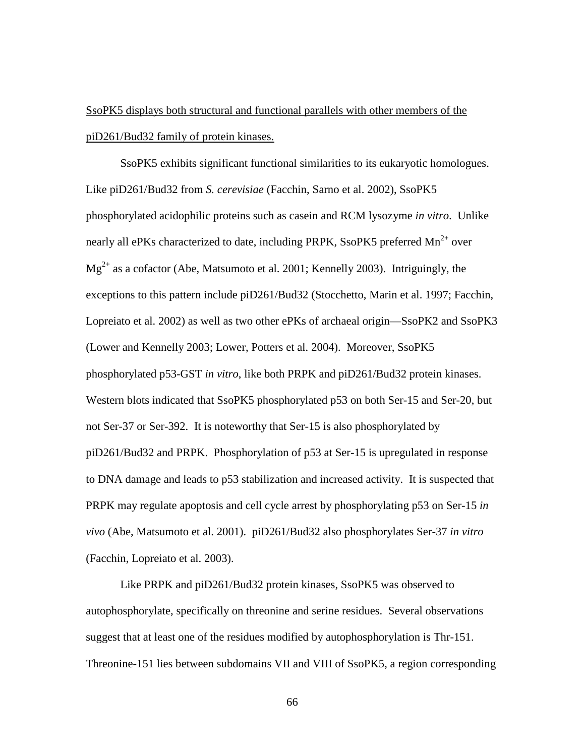# SsoPK5 displays both structural and functional parallels with other members of the piD261/Bud32 family of protein kinases.

SsoPK5 exhibits significant functional similarities to its eukaryotic homologues. Like piD261/Bud32 from *S. cerevisiae* (Facchin, Sarno et al. 2002), SsoPK5 phosphorylated acidophilic proteins such as casein and RCM lysozyme *in vitro*. Unlike nearly all ePKs characterized to date, including PRPK, SsoPK5 preferred  $Mn^{2+}$  over  $Mg^{2+}$  as a cofactor (Abe, Matsumoto et al. 2001; Kennelly 2003). Intriguingly, the exceptions to this pattern include piD261/Bud32 (Stocchetto, Marin et al. 1997; Facchin, Lopreiato et al. 2002) as well as two other ePKs of archaeal origin—SsoPK2 and SsoPK3 (Lower and Kennelly 2003; Lower, Potters et al. 2004). Moreover, SsoPK5 phosphorylated p53-GST *in vitro*, like both PRPK and piD261/Bud32 protein kinases. Western blots indicated that SsoPK5 phosphorylated p53 on both Ser-15 and Ser-20, but not Ser-37 or Ser-392. It is noteworthy that Ser-15 is also phosphorylated by piD261/Bud32 and PRPK. Phosphorylation of p53 at Ser-15 is upregulated in response to DNA damage and leads to p53 stabilization and increased activity. It is suspected that PRPK may regulate apoptosis and cell cycle arrest by phosphorylating p53 on Ser-15 *in vivo* (Abe, Matsumoto et al. 2001). piD261/Bud32 also phosphorylates Ser-37 *in vitro*  (Facchin, Lopreiato et al. 2003).

Like PRPK and piD261/Bud32 protein kinases, SsoPK5 was observed to autophosphorylate, specifically on threonine and serine residues. Several observations suggest that at least one of the residues modified by autophosphorylation is Thr-151. Threonine-151 lies between subdomains VII and VIII of SsoPK5, a region corresponding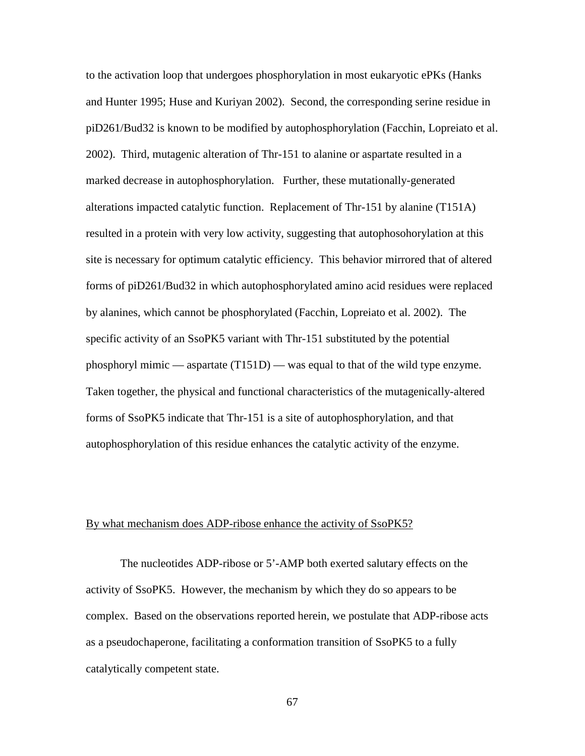to the activation loop that undergoes phosphorylation in most eukaryotic ePKs (Hanks and Hunter 1995; Huse and Kuriyan 2002). Second, the corresponding serine residue in piD261/Bud32 is known to be modified by autophosphorylation (Facchin, Lopreiato et al. 2002). Third, mutagenic alteration of Thr-151 to alanine or aspartate resulted in a marked decrease in autophosphorylation. Further, these mutationally-generated alterations impacted catalytic function. Replacement of Thr-151 by alanine (T151A) resulted in a protein with very low activity, suggesting that autophosohorylation at this site is necessary for optimum catalytic efficiency. This behavior mirrored that of altered forms of piD261/Bud32 in which autophosphorylated amino acid residues were replaced by alanines, which cannot be phosphorylated (Facchin, Lopreiato et al. 2002). The specific activity of an SsoPK5 variant with Thr-151 substituted by the potential phosphoryl mimic — aspartate (T151D) — was equal to that of the wild type enzyme. Taken together, the physical and functional characteristics of the mutagenically-altered forms of SsoPK5 indicate that Thr-151 is a site of autophosphorylation, and that autophosphorylation of this residue enhances the catalytic activity of the enzyme.

### By what mechanism does ADP-ribose enhance the activity of SsoPK5?

The nucleotides ADP-ribose or 5'-AMP both exerted salutary effects on the activity of SsoPK5. However, the mechanism by which they do so appears to be complex. Based on the observations reported herein, we postulate that ADP-ribose acts as a pseudochaperone, facilitating a conformation transition of SsoPK5 to a fully catalytically competent state.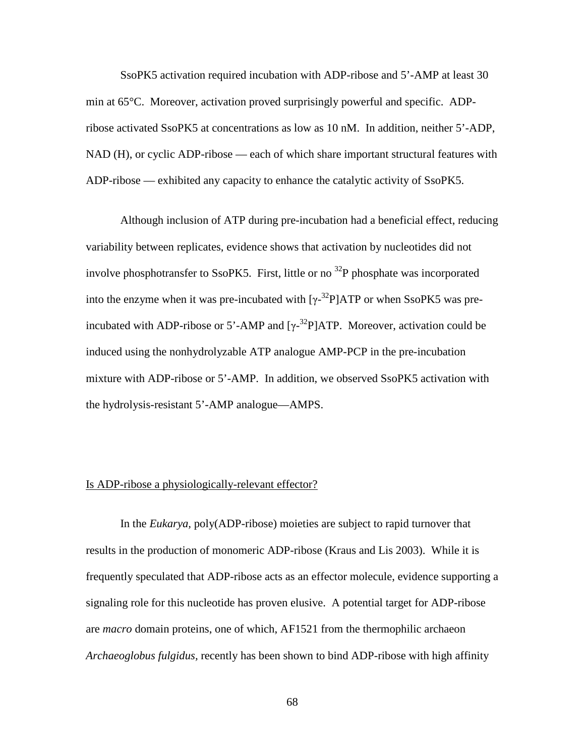SsoPK5 activation required incubation with ADP-ribose and 5'-AMP at least 30 min at 65°C. Moreover, activation proved surprisingly powerful and specific. ADPribose activated SsoPK5 at concentrations as low as 10 nM. In addition, neither 5'-ADP, NAD (H), or cyclic ADP-ribose — each of which share important structural features with ADP-ribose — exhibited any capacity to enhance the catalytic activity of SsoPK5.

Although inclusion of ATP during pre-incubation had a beneficial effect, reducing variability between replicates, evidence shows that activation by nucleotides did not involve phosphotransfer to SsoPK5. First, little or no  $^{32}P$  phosphate was incorporated into the enzyme when it was pre-incubated with  $[\gamma^{-32}P]ATP$  or when SsoPK5 was preincubated with ADP-ribose or 5'-AMP and  $[\gamma^{-32}P]$ ATP. Moreover, activation could be induced using the nonhydrolyzable ATP analogue AMP-PCP in the pre-incubation mixture with ADP-ribose or 5'-AMP. In addition, we observed SsoPK5 activation with the hydrolysis-resistant 5'-AMP analogue—AMPS.

### Is ADP-ribose a physiologically-relevant effector?

In the *Eukarya,* poly(ADP-ribose) moieties are subject to rapid turnover that results in the production of monomeric ADP-ribose (Kraus and Lis 2003). While it is frequently speculated that ADP-ribose acts as an effector molecule, evidence supporting a signaling role for this nucleotide has proven elusive. A potential target for ADP-ribose are *macro* domain proteins, one of which, AF1521 from the thermophilic archaeon *Archaeoglobus fulgidus,* recently has been shown to bind ADP-ribose with high affinity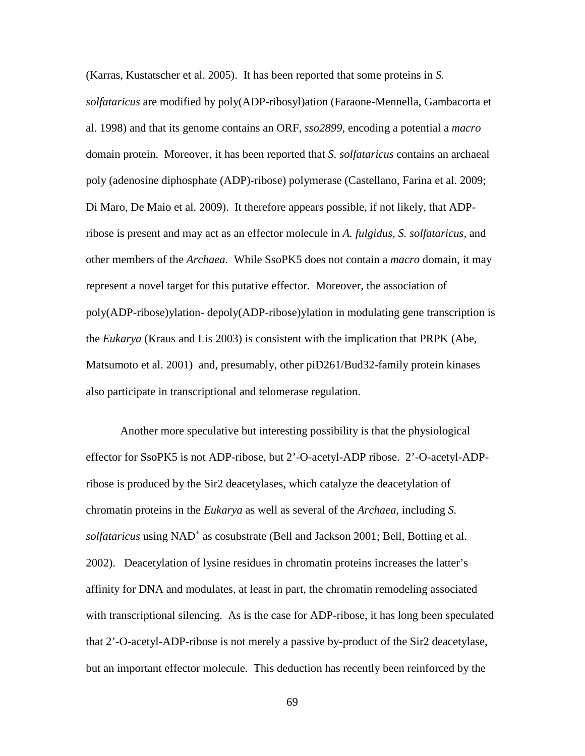(Karras, Kustatscher et al. 2005). It has been reported that some proteins in *S. solfataricus* are modified by poly(ADP-ribosyl)ation (Faraone-Mennella, Gambacorta et al. 1998) and that its genome contains an ORF, *sso2899,* encoding a potential a *macro*  domain protein. Moreover, it has been reported that *S. solfataricus* contains an archaeal poly (adenosine diphosphate (ADP)-ribose) polymerase (Castellano, Farina et al. 2009; Di Maro, De Maio et al. 2009). It therefore appears possible, if not likely, that ADPribose is present and may act as an effector molecule in *A. fulgidus, S. solfataricus,* and other members of the *Archaea.* While SsoPK5 does not contain a *macro* domain, it may represent a novel target for this putative effector. Moreover, the association of poly(ADP-ribose)ylation- depoly(ADP-ribose)ylation in modulating gene transcription is the *Eukarya* (Kraus and Lis 2003) is consistent with the implication that PRPK (Abe, Matsumoto et al. 2001) and, presumably, other piD261/Bud32-family protein kinases also participate in transcriptional and telomerase regulation.

Another more speculative but interesting possibility is that the physiological effector for SsoPK5 is not ADP-ribose, but 2'-O-acetyl-ADP ribose. 2'-O-acetyl-ADPribose is produced by the Sir2 deacetylases, which catalyze the deacetylation of chromatin proteins in the *Eukarya* as well as several of the *Archaea,* including *S. solfataricus* using NAD<sup>+</sup> as cosubstrate (Bell and Jackson 2001; Bell, Botting et al. 2002). Deacetylation of lysine residues in chromatin proteins increases the latter's affinity for DNA and modulates, at least in part, the chromatin remodeling associated with transcriptional silencing. As is the case for ADP-ribose, it has long been speculated that 2'-O-acetyl-ADP-ribose is not merely a passive by-product of the Sir2 deacetylase, but an important effector molecule. This deduction has recently been reinforced by the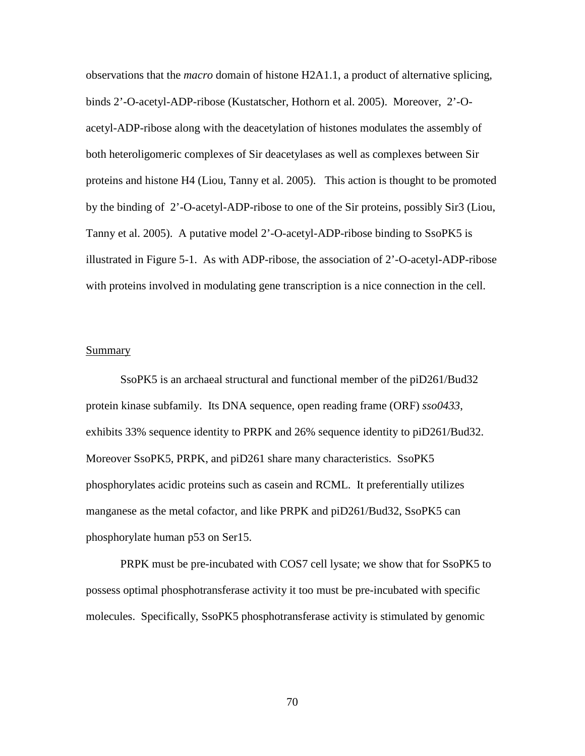observations that the *macro* domain of histone H2A1.1, a product of alternative splicing, binds 2'-O-acetyl-ADP-ribose (Kustatscher, Hothorn et al. 2005). Moreover, 2'-Oacetyl-ADP-ribose along with the deacetylation of histones modulates the assembly of both heteroligomeric complexes of Sir deacetylases as well as complexes between Sir proteins and histone H4 (Liou, Tanny et al. 2005). This action is thought to be promoted by the binding of 2'-O-acetyl-ADP-ribose to one of the Sir proteins, possibly Sir3 (Liou, Tanny et al. 2005). A putative model 2'-O-acetyl-ADP-ribose binding to SsoPK5 is illustrated in Figure 5-1. As with ADP-ribose, the association of 2'-O-acetyl-ADP-ribose with proteins involved in modulating gene transcription is a nice connection in the cell.

### Summary

SsoPK5 is an archaeal structural and functional member of the piD261/Bud32 protein kinase subfamily. Its DNA sequence, open reading frame (ORF) *sso0433*, exhibits 33% sequence identity to PRPK and 26% sequence identity to piD261/Bud32. Moreover SsoPK5, PRPK, and piD261 share many characteristics. SsoPK5 phosphorylates acidic proteins such as casein and RCML. It preferentially utilizes manganese as the metal cofactor, and like PRPK and piD261/Bud32, SsoPK5 can phosphorylate human p53 on Ser15.

PRPK must be pre-incubated with COS7 cell lysate; we show that for SsoPK5 to possess optimal phosphotransferase activity it too must be pre-incubated with specific molecules. Specifically, SsoPK5 phosphotransferase activity is stimulated by genomic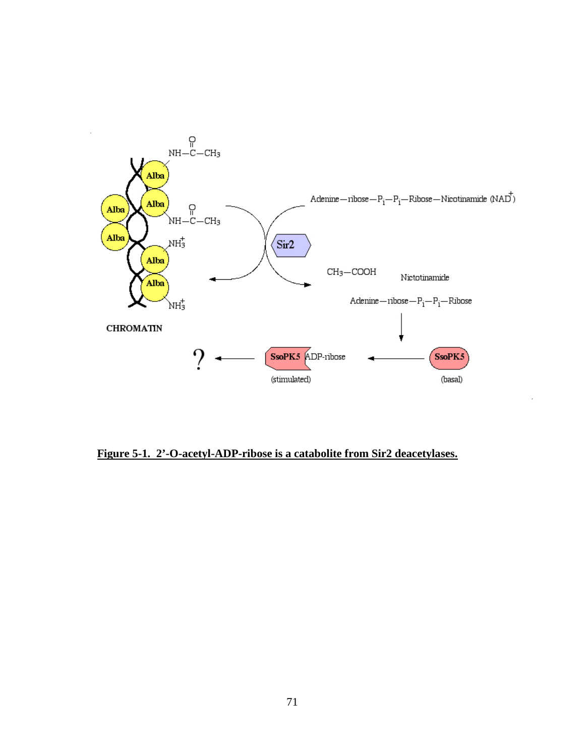

**Figure 5-1. 2'-O-acetyl-ADP-ribose is a catabolite from Sir2 deacetylases.**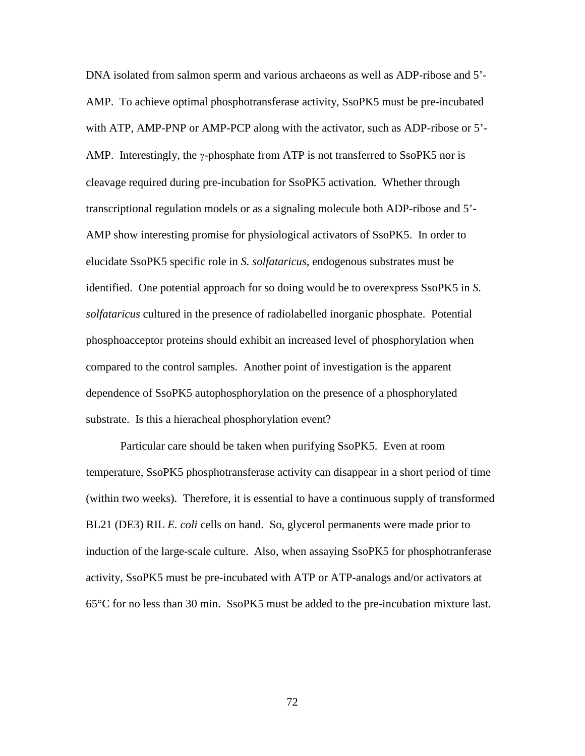DNA isolated from salmon sperm and various archaeons as well as ADP-ribose and 5'- AMP. To achieve optimal phosphotransferase activity, SsoPK5 must be pre-incubated with ATP, AMP-PNP or AMP-PCP along with the activator, such as ADP-ribose or 5'- AMP. Interestingly, the  $\gamma$ -phosphate from ATP is not transferred to SsoPK5 nor is cleavage required during pre-incubation for SsoPK5 activation. Whether through transcriptional regulation models or as a signaling molecule both ADP-ribose and 5'- AMP show interesting promise for physiological activators of SsoPK5. In order to elucidate SsoPK5 specific role in *S. solfataricus*, endogenous substrates must be identified. One potential approach for so doing would be to overexpress SsoPK5 in *S. solfataricus* cultured in the presence of radiolabelled inorganic phosphate. Potential phosphoacceptor proteins should exhibit an increased level of phosphorylation when compared to the control samples. Another point of investigation is the apparent dependence of SsoPK5 autophosphorylation on the presence of a phosphorylated substrate. Is this a hieracheal phosphorylation event?

Particular care should be taken when purifying SsoPK5. Even at room temperature, SsoPK5 phosphotransferase activity can disappear in a short period of time (within two weeks). Therefore, it is essential to have a continuous supply of transformed BL21 (DE3) RIL *E. coli* cells on hand. So, glycerol permanents were made prior to induction of the large-scale culture. Also, when assaying SsoPK5 for phosphotranferase activity, SsoPK5 must be pre-incubated with ATP or ATP-analogs and/or activators at 65°C for no less than 30 min. SsoPK5 must be added to the pre-incubation mixture last.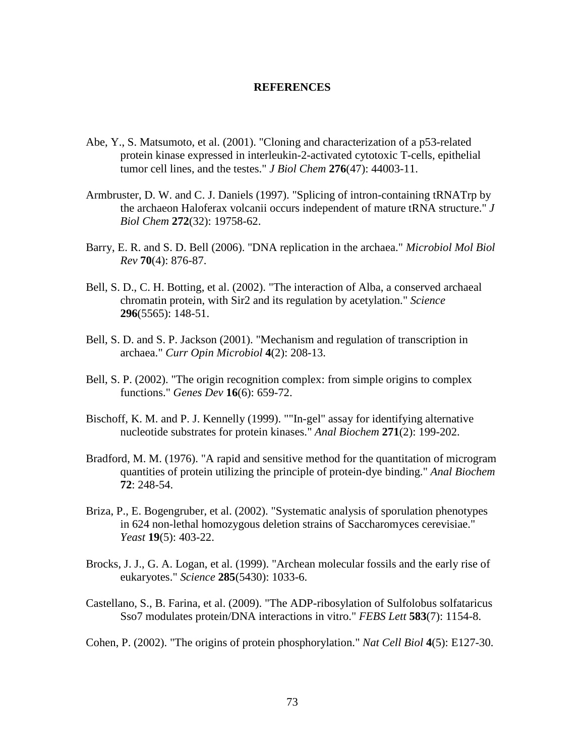### **REFERENCES**

- Abe, Y., S. Matsumoto, et al. (2001). "Cloning and characterization of a p53-related protein kinase expressed in interleukin-2-activated cytotoxic T-cells, epithelial tumor cell lines, and the testes." *J Biol Chem* **276**(47): 44003-11.
- Armbruster, D. W. and C. J. Daniels (1997). "Splicing of intron-containing tRNATrp by the archaeon Haloferax volcanii occurs independent of mature tRNA structure." *J Biol Chem* **272**(32): 19758-62.
- Barry, E. R. and S. D. Bell (2006). "DNA replication in the archaea." *Microbiol Mol Biol Rev* **70**(4): 876-87.
- Bell, S. D., C. H. Botting, et al. (2002). "The interaction of Alba, a conserved archaeal chromatin protein, with Sir2 and its regulation by acetylation." *Science* **296**(5565): 148-51.
- Bell, S. D. and S. P. Jackson (2001). "Mechanism and regulation of transcription in archaea." *Curr Opin Microbiol* **4**(2): 208-13.
- Bell, S. P. (2002). "The origin recognition complex: from simple origins to complex functions." *Genes Dev* **16**(6): 659-72.
- Bischoff, K. M. and P. J. Kennelly (1999). ""In-gel" assay for identifying alternative nucleotide substrates for protein kinases." *Anal Biochem* **271**(2): 199-202.
- Bradford, M. M. (1976). "A rapid and sensitive method for the quantitation of microgram quantities of protein utilizing the principle of protein-dye binding." *Anal Biochem* **72**: 248-54.
- Briza, P., E. Bogengruber, et al. (2002). "Systematic analysis of sporulation phenotypes in 624 non-lethal homozygous deletion strains of Saccharomyces cerevisiae." *Yeast* **19**(5): 403-22.
- Brocks, J. J., G. A. Logan, et al. (1999). "Archean molecular fossils and the early rise of eukaryotes." *Science* **285**(5430): 1033-6.
- Castellano, S., B. Farina, et al. (2009). "The ADP-ribosylation of Sulfolobus solfataricus Sso7 modulates protein/DNA interactions in vitro." *FEBS Lett* **583**(7): 1154-8.
- Cohen, P. (2002). "The origins of protein phosphorylation." *Nat Cell Biol* **4**(5): E127-30.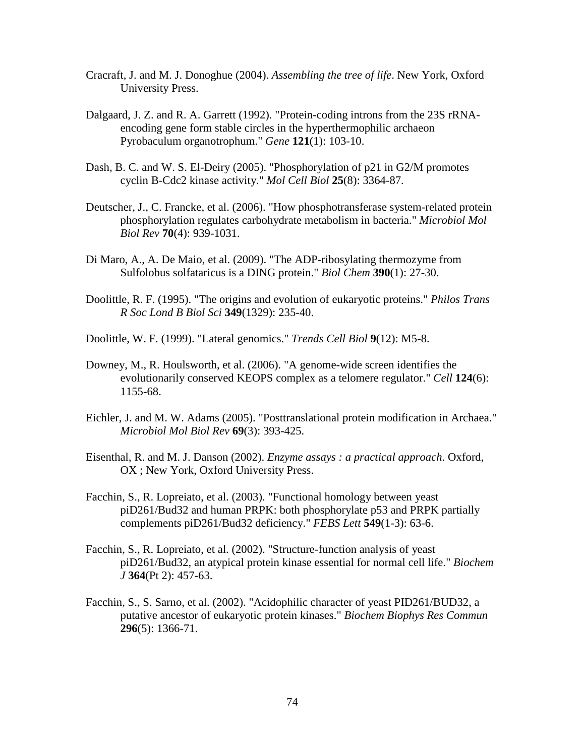- Cracraft, J. and M. J. Donoghue (2004). *Assembling the tree of life*. New York, Oxford University Press.
- Dalgaard, J. Z. and R. A. Garrett (1992). "Protein-coding introns from the 23S rRNAencoding gene form stable circles in the hyperthermophilic archaeon Pyrobaculum organotrophum." *Gene* **121**(1): 103-10.
- Dash, B. C. and W. S. El-Deiry (2005). "Phosphorylation of p21 in G2/M promotes cyclin B-Cdc2 kinase activity." *Mol Cell Biol* **25**(8): 3364-87.
- Deutscher, J., C. Francke, et al. (2006). "How phosphotransferase system-related protein phosphorylation regulates carbohydrate metabolism in bacteria." *Microbiol Mol Biol Rev* **70**(4): 939-1031.
- Di Maro, A., A. De Maio, et al. (2009). "The ADP-ribosylating thermozyme from Sulfolobus solfataricus is a DING protein." *Biol Chem* **390**(1): 27-30.
- Doolittle, R. F. (1995). "The origins and evolution of eukaryotic proteins." *Philos Trans R Soc Lond B Biol Sci* **349**(1329): 235-40.
- Doolittle, W. F. (1999). "Lateral genomics." *Trends Cell Biol* **9**(12): M5-8.
- Downey, M., R. Houlsworth, et al. (2006). "A genome-wide screen identifies the evolutionarily conserved KEOPS complex as a telomere regulator." *Cell* **124**(6): 1155-68.
- Eichler, J. and M. W. Adams (2005). "Posttranslational protein modification in Archaea." *Microbiol Mol Biol Rev* **69**(3): 393-425.
- Eisenthal, R. and M. J. Danson (2002). *Enzyme assays : a practical approach*. Oxford, OX ; New York, Oxford University Press.
- Facchin, S., R. Lopreiato, et al. (2003). "Functional homology between yeast piD261/Bud32 and human PRPK: both phosphorylate p53 and PRPK partially complements piD261/Bud32 deficiency." *FEBS Lett* **549**(1-3): 63-6.
- Facchin, S., R. Lopreiato, et al. (2002). "Structure-function analysis of yeast piD261/Bud32, an atypical protein kinase essential for normal cell life." *Biochem J* **364**(Pt 2): 457-63.
- Facchin, S., S. Sarno, et al. (2002). "Acidophilic character of yeast PID261/BUD32, a putative ancestor of eukaryotic protein kinases." *Biochem Biophys Res Commun* **296**(5): 1366-71.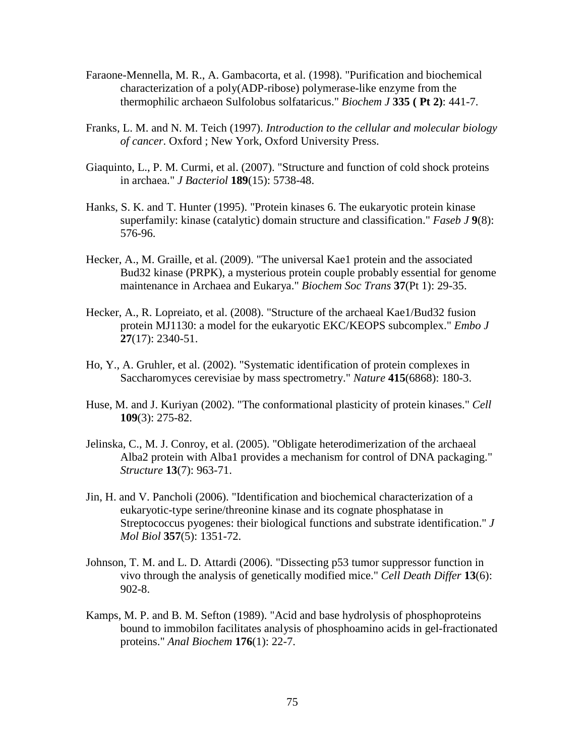- Faraone-Mennella, M. R., A. Gambacorta, et al. (1998). "Purification and biochemical characterization of a poly(ADP-ribose) polymerase-like enzyme from the thermophilic archaeon Sulfolobus solfataricus." *Biochem J* **335 ( Pt 2)**: 441-7.
- Franks, L. M. and N. M. Teich (1997). *Introduction to the cellular and molecular biology of cancer*. Oxford ; New York, Oxford University Press.
- Giaquinto, L., P. M. Curmi, et al. (2007). "Structure and function of cold shock proteins in archaea." *J Bacteriol* **189**(15): 5738-48.
- Hanks, S. K. and T. Hunter (1995). "Protein kinases 6. The eukaryotic protein kinase superfamily: kinase (catalytic) domain structure and classification." *Faseb J* **9**(8): 576-96.
- Hecker, A., M. Graille, et al. (2009). "The universal Kae1 protein and the associated Bud32 kinase (PRPK), a mysterious protein couple probably essential for genome maintenance in Archaea and Eukarya." *Biochem Soc Trans* **37**(Pt 1): 29-35.
- Hecker, A., R. Lopreiato, et al. (2008). "Structure of the archaeal Kae1/Bud32 fusion protein MJ1130: a model for the eukaryotic EKC/KEOPS subcomplex." *Embo J* **27**(17): 2340-51.
- Ho, Y., A. Gruhler, et al. (2002). "Systematic identification of protein complexes in Saccharomyces cerevisiae by mass spectrometry." *Nature* **415**(6868): 180-3.
- Huse, M. and J. Kuriyan (2002). "The conformational plasticity of protein kinases." *Cell* **109**(3): 275-82.
- Jelinska, C., M. J. Conroy, et al. (2005). "Obligate heterodimerization of the archaeal Alba2 protein with Alba1 provides a mechanism for control of DNA packaging." *Structure* **13**(7): 963-71.
- Jin, H. and V. Pancholi (2006). "Identification and biochemical characterization of a eukaryotic-type serine/threonine kinase and its cognate phosphatase in Streptococcus pyogenes: their biological functions and substrate identification." *J Mol Biol* **357**(5): 1351-72.
- Johnson, T. M. and L. D. Attardi (2006). "Dissecting p53 tumor suppressor function in vivo through the analysis of genetically modified mice." *Cell Death Differ* **13**(6): 902-8.
- Kamps, M. P. and B. M. Sefton (1989). "Acid and base hydrolysis of phosphoproteins bound to immobilon facilitates analysis of phosphoamino acids in gel-fractionated proteins." *Anal Biochem* **176**(1): 22-7.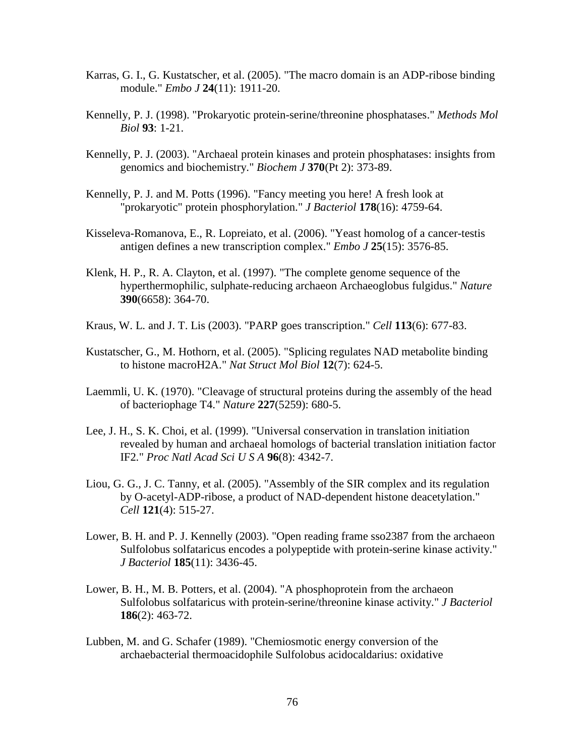- Karras, G. I., G. Kustatscher, et al. (2005). "The macro domain is an ADP-ribose binding module." *Embo J* **24**(11): 1911-20.
- Kennelly, P. J. (1998). "Prokaryotic protein-serine/threonine phosphatases." *Methods Mol Biol* **93**: 1-21.
- Kennelly, P. J. (2003). "Archaeal protein kinases and protein phosphatases: insights from genomics and biochemistry." *Biochem J* **370**(Pt 2): 373-89.
- Kennelly, P. J. and M. Potts (1996). "Fancy meeting you here! A fresh look at "prokaryotic" protein phosphorylation." *J Bacteriol* **178**(16): 4759-64.
- Kisseleva-Romanova, E., R. Lopreiato, et al. (2006). "Yeast homolog of a cancer-testis antigen defines a new transcription complex." *Embo J* **25**(15): 3576-85.
- Klenk, H. P., R. A. Clayton, et al. (1997). "The complete genome sequence of the hyperthermophilic, sulphate-reducing archaeon Archaeoglobus fulgidus." *Nature* **390**(6658): 364-70.
- Kraus, W. L. and J. T. Lis (2003). "PARP goes transcription." *Cell* **113**(6): 677-83.
- Kustatscher, G., M. Hothorn, et al. (2005). "Splicing regulates NAD metabolite binding to histone macroH2A." *Nat Struct Mol Biol* **12**(7): 624-5.
- Laemmli, U. K. (1970). "Cleavage of structural proteins during the assembly of the head of bacteriophage T4." *Nature* **227**(5259): 680-5.
- Lee, J. H., S. K. Choi, et al. (1999). "Universal conservation in translation initiation revealed by human and archaeal homologs of bacterial translation initiation factor IF2." *Proc Natl Acad Sci U S A* **96**(8): 4342-7.
- Liou, G. G., J. C. Tanny, et al. (2005). "Assembly of the SIR complex and its regulation by O-acetyl-ADP-ribose, a product of NAD-dependent histone deacetylation." *Cell* **121**(4): 515-27.
- Lower, B. H. and P. J. Kennelly (2003). "Open reading frame sso2387 from the archaeon Sulfolobus solfataricus encodes a polypeptide with protein-serine kinase activity." *J Bacteriol* **185**(11): 3436-45.
- Lower, B. H., M. B. Potters, et al. (2004). "A phosphoprotein from the archaeon Sulfolobus solfataricus with protein-serine/threonine kinase activity." *J Bacteriol* **186**(2): 463-72.
- Lubben, M. and G. Schafer (1989). "Chemiosmotic energy conversion of the archaebacterial thermoacidophile Sulfolobus acidocaldarius: oxidative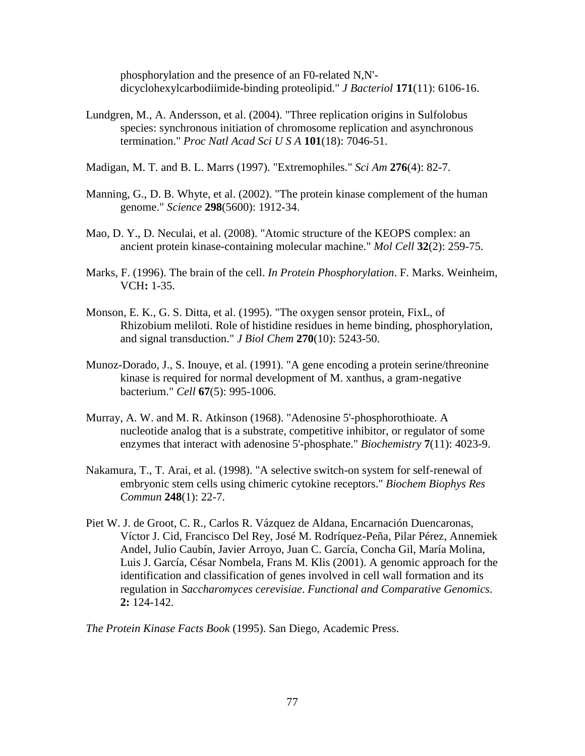phosphorylation and the presence of an F0-related N,N' dicyclohexylcarbodiimide-binding proteolipid." *J Bacteriol* **171**(11): 6106-16.

- Lundgren, M., A. Andersson, et al. (2004). "Three replication origins in Sulfolobus species: synchronous initiation of chromosome replication and asynchronous termination." *Proc Natl Acad Sci U S A* **101**(18): 7046-51.
- Madigan, M. T. and B. L. Marrs (1997). "Extremophiles." *Sci Am* **276**(4): 82-7.
- Manning, G., D. B. Whyte, et al. (2002). "The protein kinase complement of the human genome." *Science* **298**(5600): 1912-34.
- Mao, D. Y., D. Neculai, et al. (2008). "Atomic structure of the KEOPS complex: an ancient protein kinase-containing molecular machine." *Mol Cell* **32**(2): 259-75.
- Marks, F. (1996). The brain of the cell. *In Protein Phosphorylation*. F. Marks. Weinheim, VCH**:** 1-35.
- Monson, E. K., G. S. Ditta, et al. (1995). "The oxygen sensor protein, FixL, of Rhizobium meliloti. Role of histidine residues in heme binding, phosphorylation, and signal transduction." *J Biol Chem* **270**(10): 5243-50.
- Munoz-Dorado, J., S. Inouye, et al. (1991). "A gene encoding a protein serine/threonine kinase is required for normal development of M. xanthus, a gram-negative bacterium." *Cell* **67**(5): 995-1006.
- Murray, A. W. and M. R. Atkinson (1968). "Adenosine 5'-phosphorothioate. A nucleotide analog that is a substrate, competitive inhibitor, or regulator of some enzymes that interact with adenosine 5'-phosphate." *Biochemistry* **7**(11): 4023-9.
- Nakamura, T., T. Arai, et al. (1998). "A selective switch-on system for self-renewal of embryonic stem cells using chimeric cytokine receptors." *Biochem Biophys Res Commun* **248**(1): 22-7.
- Piet W. J. de Groot, C. R., Carlos R. Vázquez de Aldana, Encarnación Duencaronas, Víctor J. Cid, Francisco Del Rey, José M. Rodríquez-Peña, Pilar Pérez, Annemiek Andel, Julio Caubín, Javier Arroyo, Juan C. García, Concha Gil, María Molina, Luis J. García, César Nombela, Frans M. Klis (2001). A genomic approach for the identification and classification of genes involved in cell wall formation and its regulation in *Saccharomyces cerevisiae*. *Functional and Comparative Genomics*. **2:** 124-142.

*The Protein Kinase Facts Book* (1995). San Diego, Academic Press.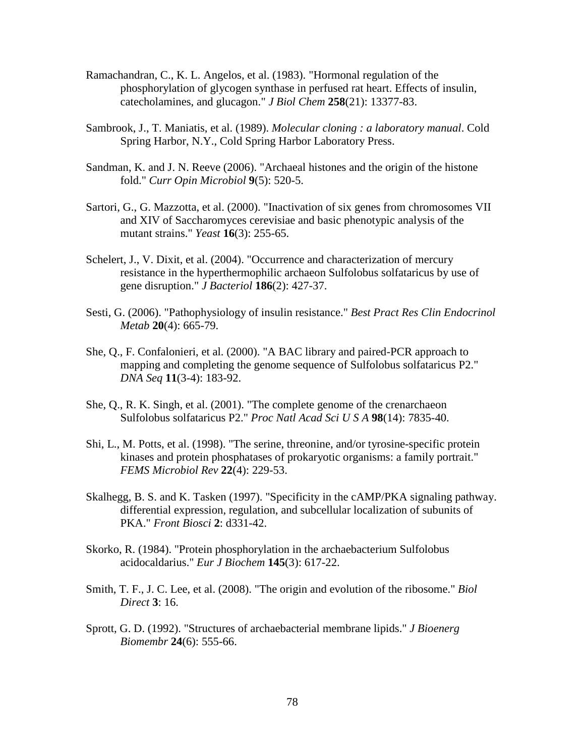- Ramachandran, C., K. L. Angelos, et al. (1983). "Hormonal regulation of the phosphorylation of glycogen synthase in perfused rat heart. Effects of insulin, catecholamines, and glucagon." *J Biol Chem* **258**(21): 13377-83.
- Sambrook, J., T. Maniatis, et al. (1989). *Molecular cloning : a laboratory manual*. Cold Spring Harbor, N.Y., Cold Spring Harbor Laboratory Press.
- Sandman, K. and J. N. Reeve (2006). "Archaeal histones and the origin of the histone fold." *Curr Opin Microbiol* **9**(5): 520-5.
- Sartori, G., G. Mazzotta, et al. (2000). "Inactivation of six genes from chromosomes VII and XIV of Saccharomyces cerevisiae and basic phenotypic analysis of the mutant strains." *Yeast* **16**(3): 255-65.
- Schelert, J., V. Dixit, et al. (2004). "Occurrence and characterization of mercury resistance in the hyperthermophilic archaeon Sulfolobus solfataricus by use of gene disruption." *J Bacteriol* **186**(2): 427-37.
- Sesti, G. (2006). "Pathophysiology of insulin resistance." *Best Pract Res Clin Endocrinol Metab* **20**(4): 665-79.
- She, Q., F. Confalonieri, et al. (2000). "A BAC library and paired-PCR approach to mapping and completing the genome sequence of Sulfolobus solfataricus P2." *DNA Seq* **11**(3-4): 183-92.
- She, Q., R. K. Singh, et al. (2001). "The complete genome of the crenarchaeon Sulfolobus solfataricus P2." *Proc Natl Acad Sci U S A* **98**(14): 7835-40.
- Shi, L., M. Potts, et al. (1998). "The serine, threonine, and/or tyrosine-specific protein kinases and protein phosphatases of prokaryotic organisms: a family portrait." *FEMS Microbiol Rev* **22**(4): 229-53.
- Skalhegg, B. S. and K. Tasken (1997). "Specificity in the cAMP/PKA signaling pathway. differential expression, regulation, and subcellular localization of subunits of PKA." *Front Biosci* **2**: d331-42.
- Skorko, R. (1984). "Protein phosphorylation in the archaebacterium Sulfolobus acidocaldarius." *Eur J Biochem* **145**(3): 617-22.
- Smith, T. F., J. C. Lee, et al. (2008). "The origin and evolution of the ribosome." *Biol Direct* **3**: 16.
- Sprott, G. D. (1992). "Structures of archaebacterial membrane lipids." *J Bioenerg Biomembr* **24**(6): 555-66.